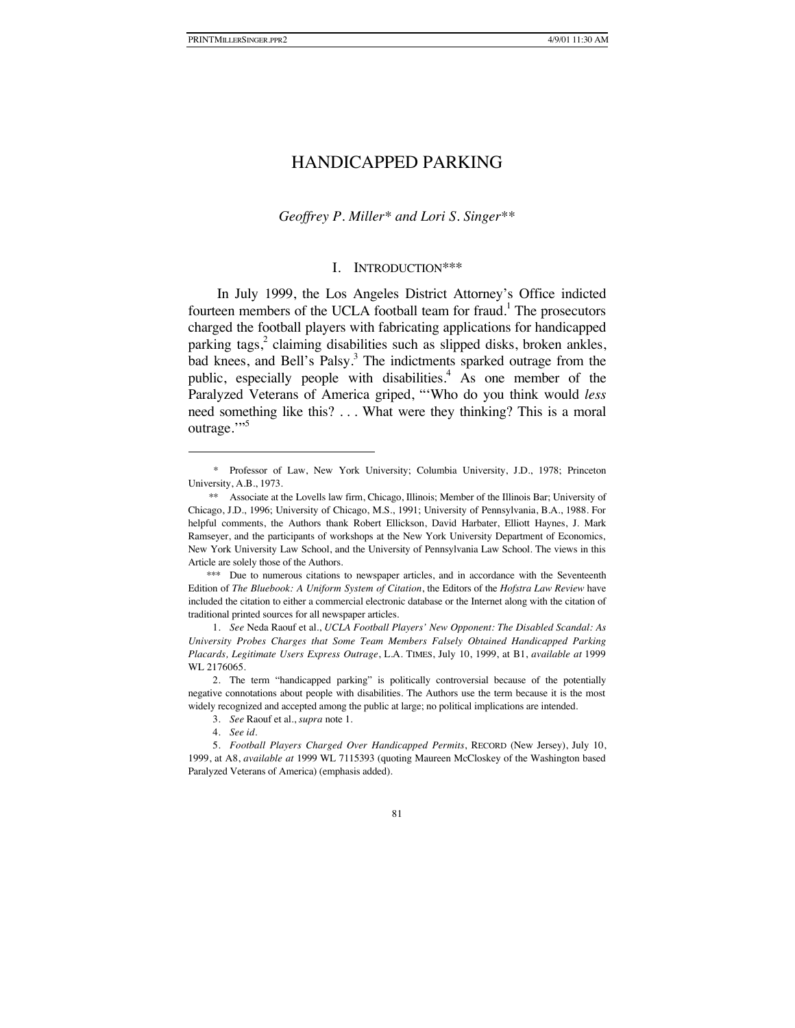### *Geoffrey P. Miller\* and Lori S. Singer\*\**

### I. INTRODUCTION\*\*\*

In July 1999, the Los Angeles District Attorney's Office indicted fourteen members of the UCLA football team for fraud.<sup>1</sup> The prosecutors charged the football players with fabricating applications for handicapped parking tags,<sup>2</sup> claiming disabilities such as slipped disks, broken ankles, bad knees, and Bell's Palsy.<sup>3</sup> The indictments sparked outrage from the public, especially people with disabilities.<sup>4</sup> As one member of the Paralyzed Veterans of America griped, "'Who do you think would *less* need something like this? . . . What were they thinking? This is a moral outrage."

<sup>\*</sup> Professor of Law, New York University; Columbia University, J.D., 1978; Princeton University, A.B., 1973.

<sup>\*\*</sup> Associate at the Lovells law firm, Chicago, Illinois; Member of the Illinois Bar; University of Chicago, J.D., 1996; University of Chicago, M.S., 1991; University of Pennsylvania, B.A., 1988. For helpful comments, the Authors thank Robert Ellickson, David Harbater, Elliott Haynes, J. Mark Ramseyer, and the participants of workshops at the New York University Department of Economics, New York University Law School, and the University of Pennsylvania Law School. The views in this Article are solely those of the Authors.

<sup>\*\*\*</sup> Due to numerous citations to newspaper articles, and in accordance with the Seventeenth Edition of *The Bluebook: A Uniform System of Citation*, the Editors of the *Hofstra Law Review* have included the citation to either a commercial electronic database or the Internet along with the citation of traditional printed sources for all newspaper articles.

<sup>1.</sup> *See* Neda Raouf et al., *UCLA Football Players' New Opponent: The Disabled Scandal: As University Probes Charges that Some Team Members Falsely Obtained Handicapped Parking Placards, Legitimate Users Express Outrage*, L.A. TIMES, July 10, 1999, at B1, *available at* 1999 WL 2176065.

<sup>2.</sup> The term "handicapped parking" is politically controversial because of the potentially negative connotations about people with disabilities. The Authors use the term because it is the most widely recognized and accepted among the public at large; no political implications are intended.

<sup>3.</sup> *See* Raouf et al., *supra* note 1.

<sup>4.</sup> *See id.*

<sup>5.</sup> *Football Players Charged Over Handicapped Permits*, RECORD (New Jersey), July 10, 1999, at A8, *available at* 1999 WL 7115393 (quoting Maureen McCloskey of the Washington based Paralyzed Veterans of America) (emphasis added).

<sup>81</sup>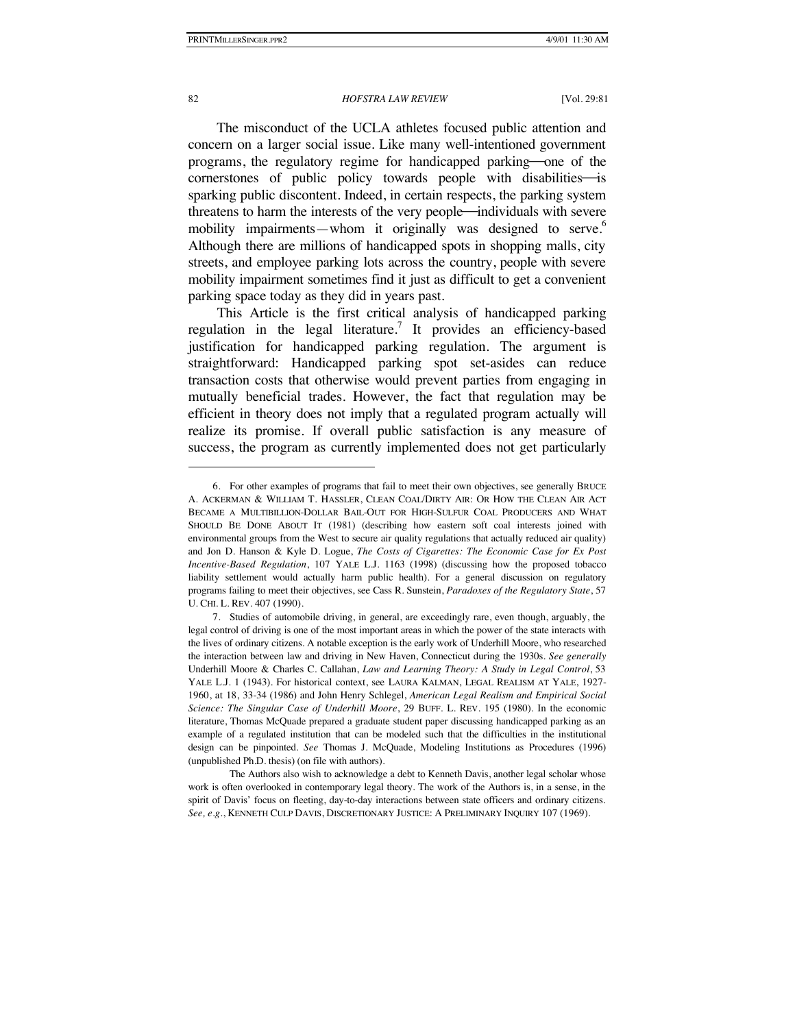The misconduct of the UCLA athletes focused public attention and concern on a larger social issue. Like many well-intentioned government programs, the regulatory regime for handicapped parking—one of the cornerstones of public policy towards people with disabilities- is sparking public discontent. Indeed, in certain respects, the parking system threatens to harm the interests of the very people—individuals with severe mobility impairments—whom it originally was designed to serve.<sup>6</sup> Although there are millions of handicapped spots in shopping malls, city streets, and employee parking lots across the country, people with severe mobility impairment sometimes find it just as difficult to get a convenient parking space today as they did in years past.

This Article is the first critical analysis of handicapped parking regulation in the legal literature.<sup>7</sup> It provides an efficiency-based justification for handicapped parking regulation. The argument is straightforward: Handicapped parking spot set-asides can reduce transaction costs that otherwise would prevent parties from engaging in mutually beneficial trades. However, the fact that regulation may be efficient in theory does not imply that a regulated program actually will realize its promise. If overall public satisfaction is any measure of success, the program as currently implemented does not get particularly

<sup>6.</sup> For other examples of programs that fail to meet their own objectives, see generally BRUCE A. ACKERMAN & WILLIAM T. HASSLER, CLEAN COAL/DIRTY AIR: OR HOW THE CLEAN AIR ACT BECAME A MULTIBILLION-DOLLAR BAIL-OUT FOR HIGH-SULFUR COAL PRODUCERS AND WHAT SHOULD BE DONE ABOUT IT (1981) (describing how eastern soft coal interests joined with environmental groups from the West to secure air quality regulations that actually reduced air quality) and Jon D. Hanson & Kyle D. Logue, *The Costs of Cigarettes: The Economic Case for Ex Post Incentive-Based Regulation*, 107 YALE L.J. 1163 (1998) (discussing how the proposed tobacco liability settlement would actually harm public health). For a general discussion on regulatory programs failing to meet their objectives, see Cass R. Sunstein, *Paradoxes of the Regulatory State*, 57 U. CHI. L. REV. 407 (1990).

<sup>7.</sup> Studies of automobile driving, in general, are exceedingly rare, even though, arguably, the legal control of driving is one of the most important areas in which the power of the state interacts with the lives of ordinary citizens. A notable exception is the early work of Underhill Moore, who researched the interaction between law and driving in New Haven, Connecticut during the 1930s. *See generally* Underhill Moore & Charles C. Callahan, *Law and Learning Theory: A Study in Legal Control*, 53 YALE L.J. 1 (1943). For historical context, see LAURA KALMAN, LEGAL REALISM AT YALE, 1927-1960, at 18, 33-34 (1986) and John Henry Schlegel, *American Legal Realism and Empirical Social Science: The Singular Case of Underhill Moore*, 29 BUFF. L. REV. 195 (1980). In the economic literature, Thomas McQuade prepared a graduate student paper discussing handicapped parking as an example of a regulated institution that can be modeled such that the difficulties in the institutional design can be pinpointed. *See* Thomas J. McQuade, Modeling Institutions as Procedures (1996) (unpublished Ph.D. thesis) (on file with authors).

The Authors also wish to acknowledge a debt to Kenneth Davis, another legal scholar whose work is often overlooked in contemporary legal theory. The work of the Authors is, in a sense, in the spirit of Davis' focus on fleeting, day-to-day interactions between state officers and ordinary citizens. *See, e.g.*, KENNETH CULP DAVIS, DISCRETIONARY JUSTICE: A PRELIMINARY INQUIRY 107 (1969).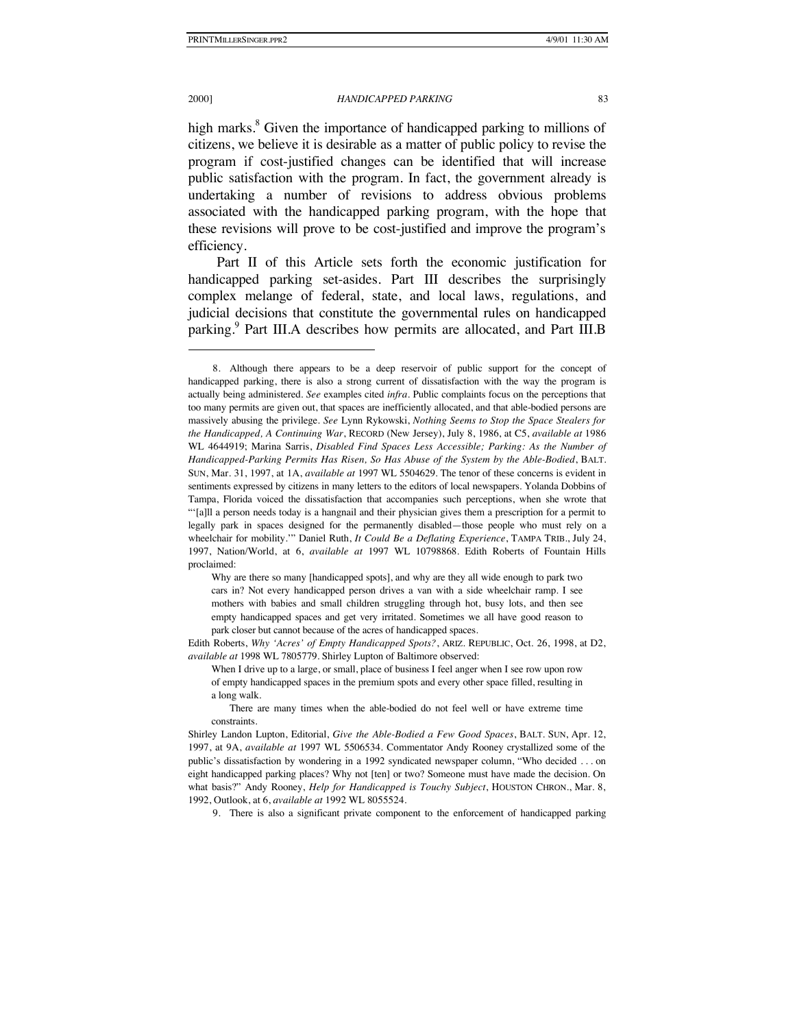#### 2000] *HANDICAPPED PARKING* 83

high marks.<sup>8</sup> Given the importance of handicapped parking to millions of citizens, we believe it is desirable as a matter of public policy to revise the program if cost-justified changes can be identified that will increase public satisfaction with the program. In fact, the government already is undertaking a number of revisions to address obvious problems associated with the handicapped parking program, with the hope that these revisions will prove to be cost-justified and improve the program's efficiency.

Part II of this Article sets forth the economic justification for handicapped parking set-asides. Part III describes the surprisingly complex melange of federal, state, and local laws, regulations, and judicial decisions that constitute the governmental rules on handicapped parking.<sup>9</sup> Part III.A describes how permits are allocated, and Part III.B

Why are there so many [handicapped spots], and why are they all wide enough to park two cars in? Not every handicapped person drives a van with a side wheelchair ramp. I see mothers with babies and small children struggling through hot, busy lots, and then see empty handicapped spaces and get very irritated. Sometimes we all have good reason to park closer but cannot because of the acres of handicapped spaces.

Edith Roberts, *Why 'Acres' of Empty Handicapped Spots?*, ARIZ. REPUBLIC, Oct. 26, 1998, at D2, *available at* 1998 WL 7805779. Shirley Lupton of Baltimore observed:

There are many times when the able-bodied do not feel well or have extreme time constraints.

9. There is also a significant private component to the enforcement of handicapped parking

<sup>8.</sup> Although there appears to be a deep reservoir of public support for the concept of handicapped parking, there is also a strong current of dissatisfaction with the way the program is actually being administered. *See* examples cited *infra.* Public complaints focus on the perceptions that too many permits are given out, that spaces are inefficiently allocated, and that able-bodied persons are massively abusing the privilege. *See* Lynn Rykowski, *Nothing Seems to Stop the Space Stealers for the Handicapped, A Continuing War*, RECORD (New Jersey), July 8, 1986, at C5, *available at* 1986 WL 4644919; Marina Sarris, *Disabled Find Spaces Less Accessible; Parking: As the Number of Handicapped-Parking Permits Has Risen, So Has Abuse of the System by the Able-Bodied*, BALT. SUN, Mar. 31, 1997, at 1A, *available at* 1997 WL 5504629. The tenor of these concerns is evident in sentiments expressed by citizens in many letters to the editors of local newspapers. Yolanda Dobbins of Tampa, Florida voiced the dissatisfaction that accompanies such perceptions, when she wrote that "'[a]ll a person needs today is a hangnail and their physician gives them a prescription for a permit to legally park in spaces designed for the permanently disabled—those people who must rely on a wheelchair for mobility.'" Daniel Ruth, *It Could Be a Deflating Experience*, TAMPA TRIB., July 24, 1997, Nation/World, at 6, *available at* 1997 WL 10798868. Edith Roberts of Fountain Hills proclaimed:

When I drive up to a large, or small, place of business I feel anger when I see row upon row of empty handicapped spaces in the premium spots and every other space filled, resulting in a long walk.

Shirley Landon Lupton, Editorial, *Give the Able-Bodied a Few Good Spaces*, BALT. SUN, Apr. 12, 1997, at 9A, *available at* 1997 WL 5506534. Commentator Andy Rooney crystallized some of the public's dissatisfaction by wondering in a 1992 syndicated newspaper column, "Who decided . . . on eight handicapped parking places? Why not [ten] or two? Someone must have made the decision. On what basis?" Andy Rooney, *Help for Handicapped is Touchy Subject*, HOUSTON CHRON., Mar. 8, 1992, Outlook, at 6, *available at* 1992 WL 8055524.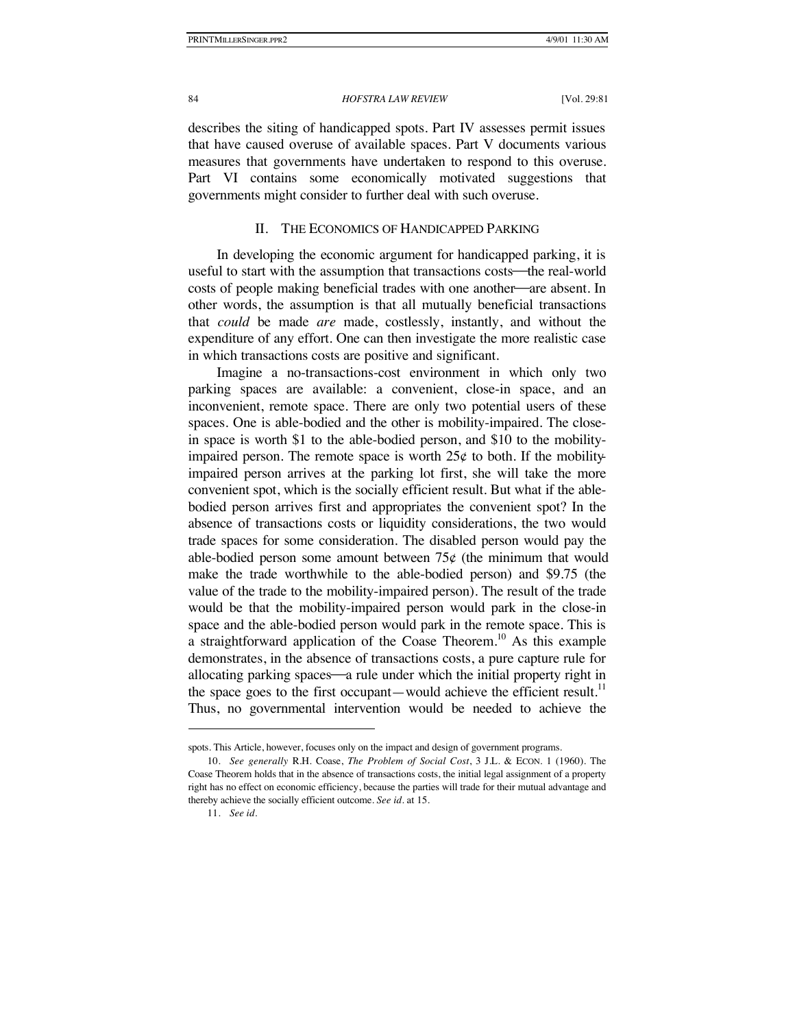describes the siting of handicapped spots. Part IV assesses permit issues that have caused overuse of available spaces. Part V documents various measures that governments have undertaken to respond to this overuse. Part VI contains some economically motivated suggestions that governments might consider to further deal with such overuse.

### II. THE ECONOMICS OF HANDICAPPED PARKING

In developing the economic argument for handicapped parking, it is useful to start with the assumption that transactions costs—the real-world costs of people making beneficial trades with one another—are absent. In other words, the assumption is that all mutually beneficial transactions that *could* be made *are* made, costlessly, instantly, and without the expenditure of any effort. One can then investigate the more realistic case in which transactions costs are positive and significant.

Imagine a no-transactions-cost environment in which only two parking spaces are available: a convenient, close-in space, and an inconvenient, remote space. There are only two potential users of these spaces. One is able-bodied and the other is mobility-impaired. The closein space is worth \$1 to the able-bodied person, and \$10 to the mobilityimpaired person. The remote space is worth  $25¢$  to both. If the mobilityimpaired person arrives at the parking lot first, she will take the more convenient spot, which is the socially efficient result. But what if the ablebodied person arrives first and appropriates the convenient spot? In the absence of transactions costs or liquidity considerations, the two would trade spaces for some consideration. The disabled person would pay the able-bodied person some amount between  $75¢$  (the minimum that would make the trade worthwhile to the able-bodied person) and \$9.75 (the value of the trade to the mobility-impaired person). The result of the trade would be that the mobility-impaired person would park in the close-in space and the able-bodied person would park in the remote space. This is a straightforward application of the Coase Theorem.<sup>10</sup> As this example demonstrates, in the absence of transactions costs, a pure capture rule for allocating parking spaces—a rule under which the initial property right in the space goes to the first occupant—would achieve the efficient result.<sup>11</sup> Thus, no governmental intervention would be needed to achieve the

spots. This Article, however, focuses only on the impact and design of government programs.

<sup>10.</sup> *See generally* R.H. Coase, *The Problem of Social Cost*, 3 J.L. & ECON. 1 (1960). The Coase Theorem holds that in the absence of transactions costs, the initial legal assignment of a property right has no effect on economic efficiency, because the parties will trade for their mutual advantage and thereby achieve the socially efficient outcome. *See id.* at 15.

<sup>11.</sup> *See id.*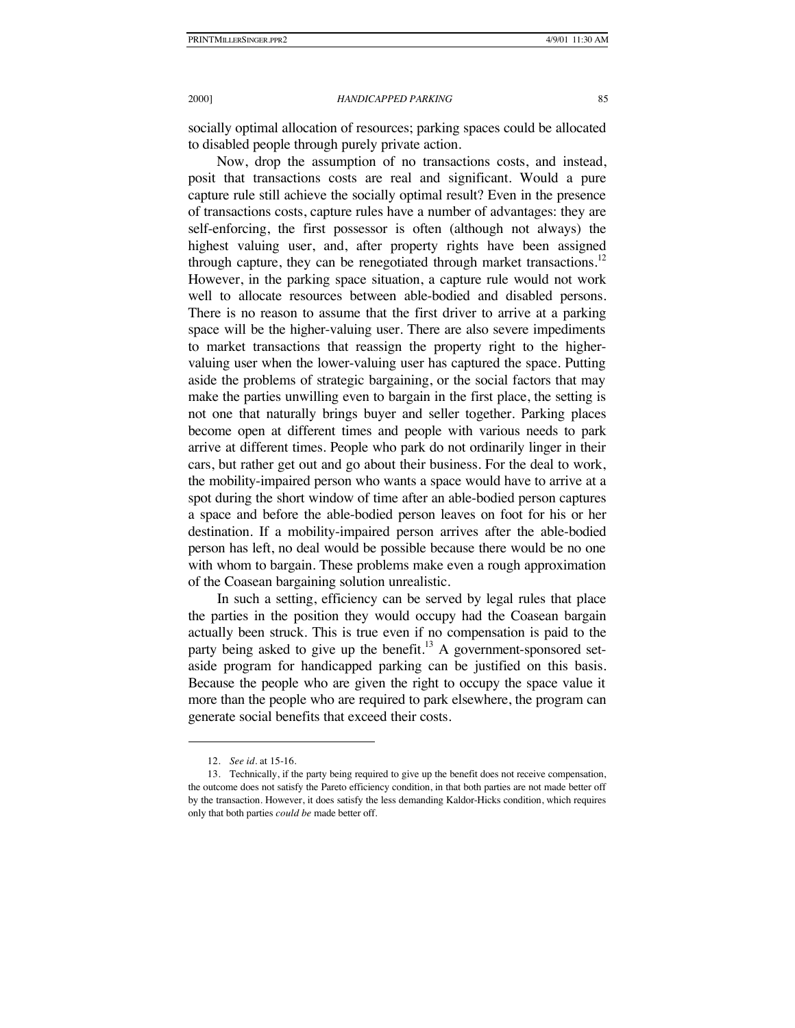socially optimal allocation of resources; parking spaces could be allocated to disabled people through purely private action.

Now, drop the assumption of no transactions costs, and instead, posit that transactions costs are real and significant. Would a pure capture rule still achieve the socially optimal result? Even in the presence of transactions costs, capture rules have a number of advantages: they are self-enforcing, the first possessor is often (although not always) the highest valuing user, and, after property rights have been assigned through capture, they can be renegotiated through market transactions.<sup>12</sup> However, in the parking space situation, a capture rule would not work well to allocate resources between able-bodied and disabled persons. There is no reason to assume that the first driver to arrive at a parking space will be the higher-valuing user. There are also severe impediments to market transactions that reassign the property right to the highervaluing user when the lower-valuing user has captured the space. Putting aside the problems of strategic bargaining, or the social factors that may make the parties unwilling even to bargain in the first place, the setting is not one that naturally brings buyer and seller together. Parking places become open at different times and people with various needs to park arrive at different times. People who park do not ordinarily linger in their cars, but rather get out and go about their business. For the deal to work, the mobility-impaired person who wants a space would have to arrive at a spot during the short window of time after an able-bodied person captures a space and before the able-bodied person leaves on foot for his or her destination. If a mobility-impaired person arrives after the able-bodied person has left, no deal would be possible because there would be no one with whom to bargain. These problems make even a rough approximation of the Coasean bargaining solution unrealistic.

In such a setting, efficiency can be served by legal rules that place the parties in the position they would occupy had the Coasean bargain actually been struck. This is true even if no compensation is paid to the party being asked to give up the benefit.<sup>13</sup> A government-sponsored setaside program for handicapped parking can be justified on this basis. Because the people who are given the right to occupy the space value it more than the people who are required to park elsewhere, the program can generate social benefits that exceed their costs.

<sup>12.</sup> *See id.* at 15-16.

<sup>13.</sup> Technically, if the party being required to give up the benefit does not receive compensation, the outcome does not satisfy the Pareto efficiency condition, in that both parties are not made better off by the transaction. However, it does satisfy the less demanding Kaldor-Hicks condition, which requires only that both parties *could be* made better off.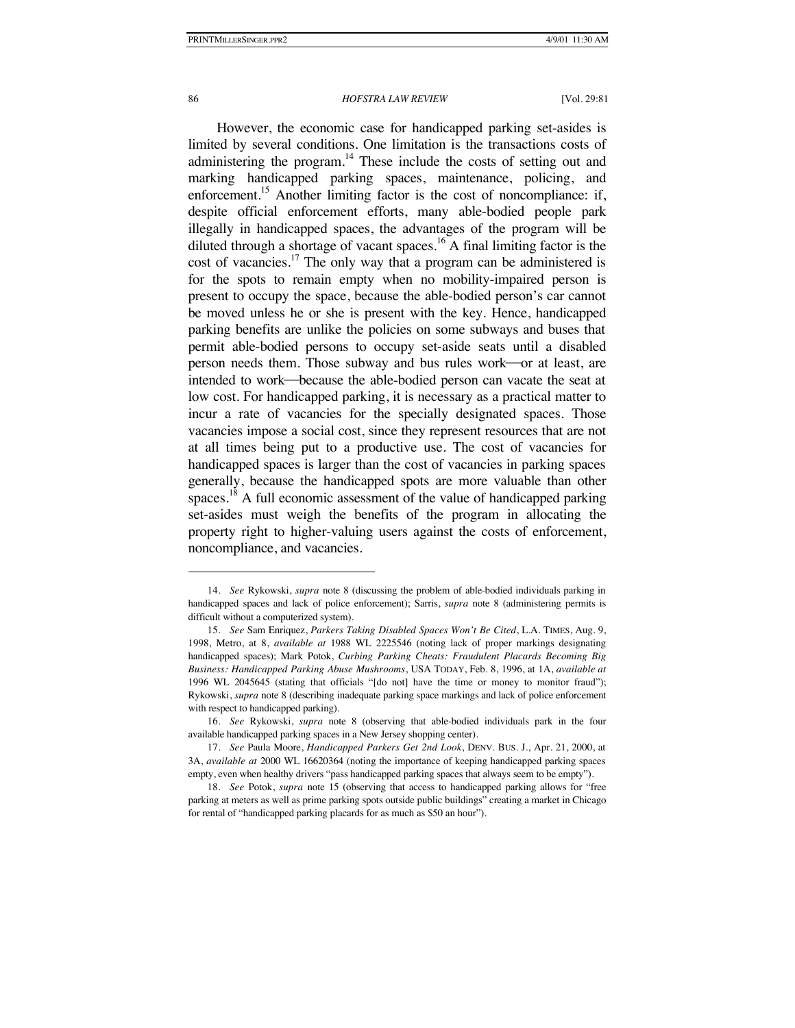### 86 *HOFSTRA LAW REVIEW* [Vol. 29:81

However, the economic case for handicapped parking set-asides is limited by several conditions. One limitation is the transactions costs of administering the program. $^{14}$  These include the costs of setting out and marking handicapped parking spaces, maintenance, policing, and enforcement.<sup>15</sup> Another limiting factor is the cost of noncompliance: if, despite official enforcement efforts, many able-bodied people park illegally in handicapped spaces, the advantages of the program will be diluted through a shortage of vacant spaces.<sup>16</sup> A final limiting factor is the cost of vacancies.<sup>17</sup> The only way that a program can be administered is for the spots to remain empty when no mobility-impaired person is present to occupy the space, because the able-bodied person's car cannot be moved unless he or she is present with the key. Hence, handicapped parking benefits are unlike the policies on some subways and buses that permit able-bodied persons to occupy set-aside seats until a disabled person needs them. Those subway and bus rules work-or at least, are intended to work—because the able-bodied person can vacate the seat at low cost. For handicapped parking, it is necessary as a practical matter to incur a rate of vacancies for the specially designated spaces. Those vacancies impose a social cost, since they represent resources that are not at all times being put to a productive use. The cost of vacancies for handicapped spaces is larger than the cost of vacancies in parking spaces generally, because the handicapped spots are more valuable than other spaces.<sup>18</sup> A full economic assessment of the value of handicapped parking set-asides must weigh the benefits of the program in allocating the property right to higher-valuing users against the costs of enforcement, noncompliance, and vacancies.

<sup>14.</sup> *See* Rykowski, *supra* note 8 (discussing the problem of able-bodied individuals parking in handicapped spaces and lack of police enforcement); Sarris, *supra* note 8 (administering permits is difficult without a computerized system).

<sup>15.</sup> *See* Sam Enriquez, *Parkers Taking Disabled Spaces Won't Be Cited*, L.A. TIMES, Aug. 9, 1998, Metro, at 8, *available at* 1988 WL 2225546 (noting lack of proper markings designating handicapped spaces); Mark Potok, *Curbing Parking Cheats: Fraudulent Placards Becoming Big Business: Handicapped Parking Abuse Mushrooms*, USA TODAY, Feb. 8, 1996, at 1A, *available at*  1996 WL 2045645 (stating that officials "[do not] have the time or money to monitor fraud"); Rykowski, *supra* note 8 (describing inadequate parking space markings and lack of police enforcement with respect to handicapped parking).

<sup>16.</sup> *See* Rykowski, *supra* note 8 (observing that able-bodied individuals park in the four available handicapped parking spaces in a New Jersey shopping center).

<sup>17.</sup> *See* Paula Moore, *Handicapped Parkers Get 2nd Look*, DENV. BUS. J., Apr. 21, 2000, at 3A, *available at* 2000 WL 16620364 (noting the importance of keeping handicapped parking spaces empty, even when healthy drivers "pass handicapped parking spaces that always seem to be empty").

<sup>18.</sup> *See* Potok, *supra* note 15 (observing that access to handicapped parking allows for "free parking at meters as well as prime parking spots outside public buildings" creating a market in Chicago for rental of "handicapped parking placards for as much as \$50 an hour").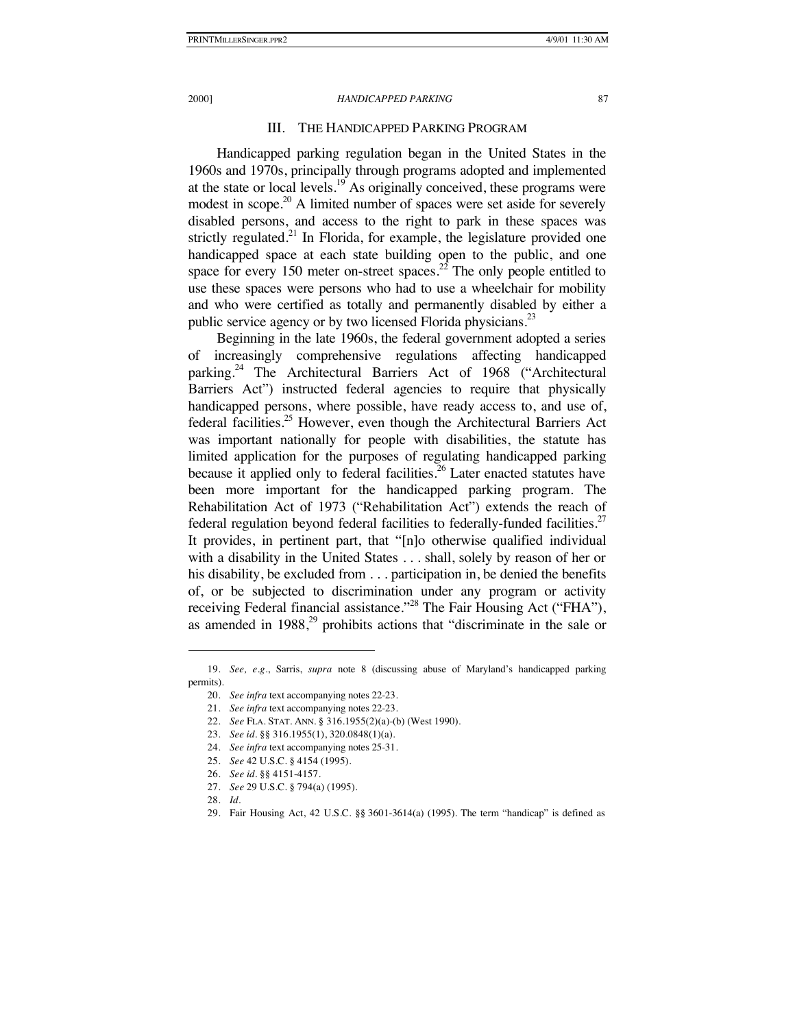# III. THE HANDICAPPED PARKING PROGRAM

Handicapped parking regulation began in the United States in the 1960s and 1970s, principally through programs adopted and implemented at the state or local levels.<sup>19</sup> As originally conceived, these programs were modest in scope.<sup>20</sup> A limited number of spaces were set aside for severely disabled persons, and access to the right to park in these spaces was strictly regulated.<sup>21</sup> In Florida, for example, the legislature provided one handicapped space at each state building open to the public, and one space for every 150 meter on-street spaces.<sup>22</sup> The only people entitled to use these spaces were persons who had to use a wheelchair for mobility and who were certified as totally and permanently disabled by either a public service agency or by two licensed Florida physicians.<sup>23</sup>

Beginning in the late 1960s, the federal government adopted a series of increasingly comprehensive regulations affecting handicapped parking.<sup>24</sup> The Architectural Barriers Act of 1968 ("Architectural Barriers Act") instructed federal agencies to require that physically handicapped persons, where possible, have ready access to, and use of, federal facilities.<sup>25</sup> However, even though the Architectural Barriers Act was important nationally for people with disabilities, the statute has limited application for the purposes of regulating handicapped parking because it applied only to federal facilities.<sup>26</sup> Later enacted statutes have been more important for the handicapped parking program. The Rehabilitation Act of 1973 ("Rehabilitation Act") extends the reach of federal regulation beyond federal facilities to federally-funded facilities.<sup>27</sup> It provides, in pertinent part, that "[n]o otherwise qualified individual with a disability in the United States . . . shall, solely by reason of her or his disability, be excluded from . . . participation in, be denied the benefits of, or be subjected to discrimination under any program or activity receiving Federal financial assistance."<sup>28</sup> The Fair Housing Act ("FHA"), as amended in  $1988<sup>29</sup>$  prohibits actions that "discriminate in the sale or

- 22. *See* FLA. STAT. ANN. § 316.1955(2)(a)-(b) (West 1990).
- 23. *See id.* §§ 316.1955(1), 320.0848(1)(a).
- 24. *See infra* text accompanying notes 25-31.
- 25. *See* 42 U.S.C. § 4154 (1995).
- 26. *See id.* §§ 4151-4157.
- 27. *See* 29 U.S.C. § 794(a) (1995).
- 28. *Id.*

-

29. Fair Housing Act, 42 U.S.C. §§ 3601-3614(a) (1995). The term "handicap" is defined as

<sup>19.</sup> *See, e.g*., Sarris, *supra* note 8 (discussing abuse of Maryland's handicapped parking permits).

<sup>20.</sup> *See infra* text accompanying notes 22-23.

<sup>21.</sup> *See infra* text accompanying notes 22-23.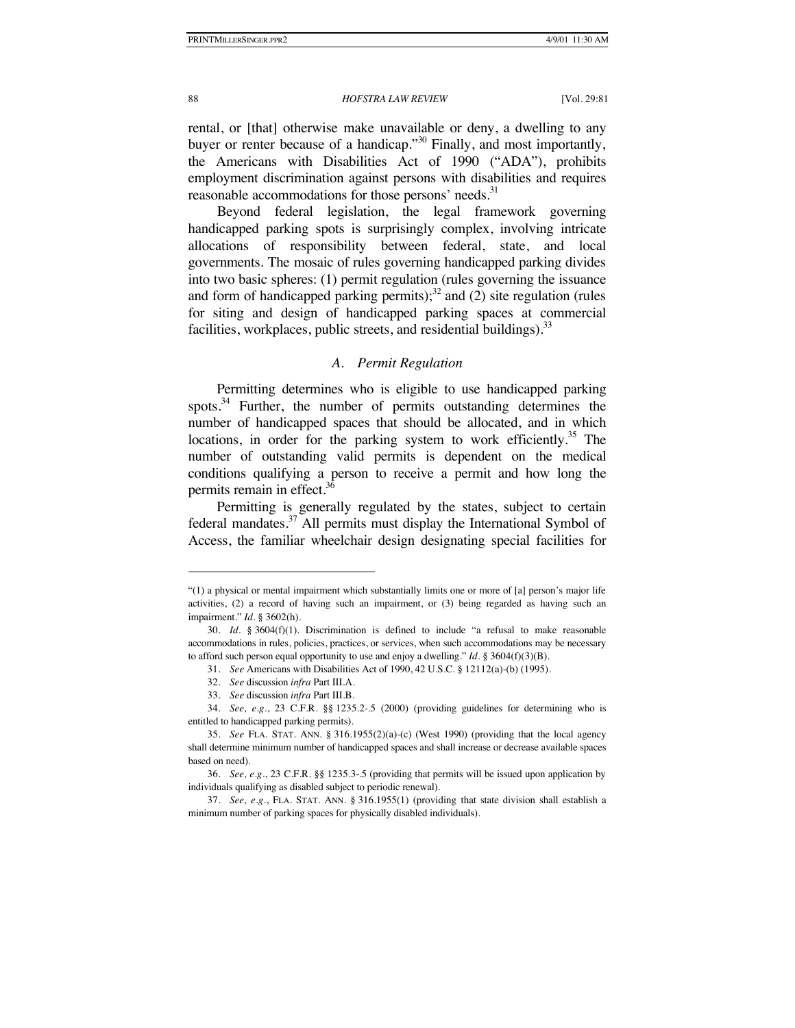rental, or [that] otherwise make unavailable or deny, a dwelling to any buyer or renter because of a handicap."<sup>30</sup> Finally, and most importantly, the Americans with Disabilities Act of 1990 ("ADA"), prohibits employment discrimination against persons with disabilities and requires reasonable accommodations for those persons' needs.<sup>31</sup>

Beyond federal legislation, the legal framework governing handicapped parking spots is surprisingly complex, involving intricate allocations of responsibility between federal, state, and local governments. The mosaic of rules governing handicapped parking divides into two basic spheres: (1) permit regulation (rules governing the issuance and form of handicapped parking permits); $3^2$  and (2) site regulation (rules for siting and design of handicapped parking spaces at commercial facilities, workplaces, public streets, and residential buildings).  $33$ 

# *A. Permit Regulation*

Permitting determines who is eligible to use handicapped parking spots.<sup>34</sup> Further, the number of permits outstanding determines the number of handicapped spaces that should be allocated, and in which locations, in order for the parking system to work efficiently.<sup>35</sup> The number of outstanding valid permits is dependent on the medical conditions qualifying a person to receive a permit and how long the permits remain in effect. $36$ 

Permitting is generally regulated by the states, subject to certain federal mandates. $37$  All permits must display the International Symbol of Access, the familiar wheelchair design designating special facilities for

<sup>&</sup>quot;(1) a physical or mental impairment which substantially limits one or more of [a] person's major life activities, (2) a record of having such an impairment, or (3) being regarded as having such an impairment." *Id.* § 3602(h).

<sup>30.</sup> *Id.* § 3604(f)(1). Discrimination is defined to include "a refusal to make reasonable accommodations in rules, policies, practices, or services, when such accommodations may be necessary to afford such person equal opportunity to use and enjoy a dwelling." *Id*. § 3604(f)(3)(B).

<sup>31.</sup> *See* Americans with Disabilities Act of 1990, 42 U.S.C. § 12112(a)-(b) (1995).

<sup>32.</sup> *See* discussion *infra* Part III.A.

<sup>33.</sup> *See* discussion *infra* Part III.B.

<sup>34.</sup> *See, e.g.*, 23 C.F.R. §§ 1235.2-.5 (2000) (providing guidelines for determining who is entitled to handicapped parking permits).

<sup>35.</sup> *See* FLA. STAT. ANN. § 316.1955(2)(a)-(c) (West 1990) (providing that the local agency shall determine minimum number of handicapped spaces and shall increase or decrease available spaces based on need).

<sup>36.</sup> *See, e.g.*, 23 C.F.R. §§ 1235.3-.5 (providing that permits will be issued upon application by individuals qualifying as disabled subject to periodic renewal).

<sup>37.</sup> *See, e.g.*, FLA. STAT. ANN. § 316.1955(1) (providing that state division shall establish a minimum number of parking spaces for physically disabled individuals).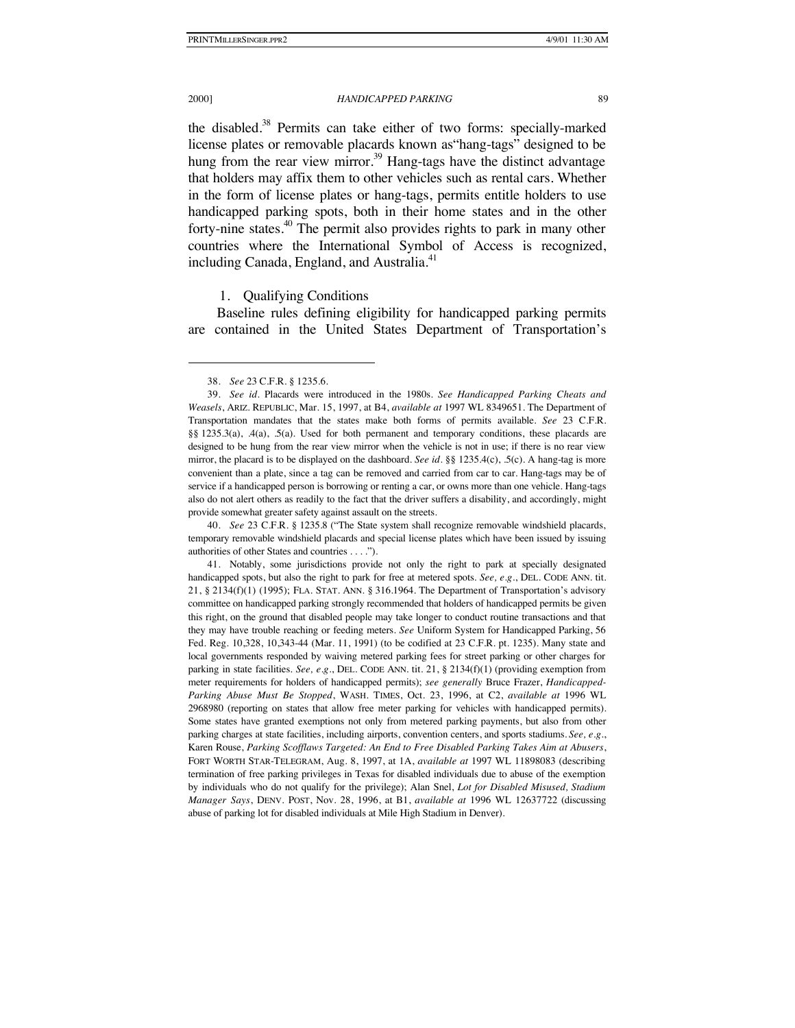#### 2000] *HANDICAPPED PARKING* 89

the disabled.<sup>38</sup> Permits can take either of two forms: specially-marked license plates or removable placards known as"hang-tags" designed to be hung from the rear view mirror.<sup>39</sup> Hang-tags have the distinct advantage that holders may affix them to other vehicles such as rental cars. Whether in the form of license plates or hang-tags, permits entitle holders to use handicapped parking spots, both in their home states and in the other forty-nine states.<sup>40</sup> The permit also provides rights to park in many other countries where the International Symbol of Access is recognized, including Canada, England, and Australia.<sup>41</sup>

### 1. Qualifying Conditions

Baseline rules defining eligibility for handicapped parking permits are contained in the United States Department of Transportation's

40. *See* 23 C.F.R*.* § 1235.8 ("The State system shall recognize removable windshield placards, temporary removable windshield placards and special license plates which have been issued by issuing authorities of other States and countries . . . .").

<sup>38.</sup> *See* 23 C.F.R. § 1235.6.

<sup>39.</sup> *See id.* Placards were introduced in the 1980s. *See Handicapped Parking Cheats and Weasels*, ARIZ. REPUBLIC, Mar. 15, 1997, at B4, *available at* 1997 WL 8349651. The Department of Transportation mandates that the states make both forms of permits available. *See* 23 C.F.R. §§ 1235.3(a), .4(a), .5(a). Used for both permanent and temporary conditions, these placards are designed to be hung from the rear view mirror when the vehicle is not in use; if there is no rear view mirror, the placard is to be displayed on the dashboard. *See id.* §§ 1235.4(c), .5(c). A hang-tag is more convenient than a plate, since a tag can be removed and carried from car to car. Hang-tags may be of service if a handicapped person is borrowing or renting a car, or owns more than one vehicle. Hang-tags also do not alert others as readily to the fact that the driver suffers a disability, and accordingly, might provide somewhat greater safety against assault on the streets.

<sup>41.</sup> Notably, some jurisdictions provide not only the right to park at specially designated handicapped spots, but also the right to park for free at metered spots. *See, e.g.*, DEL. CODE ANN. tit. 21, § 2134(f)(1) (1995); FLA. STAT. ANN. § 316.1964. The Department of Transportation's advisory committee on handicapped parking strongly recommended that holders of handicapped permits be given this right, on the ground that disabled people may take longer to conduct routine transactions and that they may have trouble reaching or feeding meters. *See* Uniform System for Handicapped Parking, 56 Fed. Reg. 10,328, 10,343-44 (Mar. 11, 1991) (to be codified at 23 C.F.R. pt. 1235). Many state and local governments responded by waiving metered parking fees for street parking or other charges for parking in state facilities. *See, e.g.*, DEL. CODE ANN. tit. 21, § 2134(f)(1) (providing exemption from meter requirements for holders of handicapped permits); *see generally* Bruce Frazer, *Handicapped-Parking Abuse Must Be Stopped*, WASH. TIMES, Oct. 23, 1996, at C2, *available at* 1996 WL 2968980 (reporting on states that allow free meter parking for vehicles with handicapped permits). Some states have granted exemptions not only from metered parking payments, but also from other parking charges at state facilities, including airports, convention centers, and sports stadiums. *See, e.g.*, Karen Rouse, *Parking Scofflaws Targeted: An End to Free Disabled Parking Takes Aim at Abusers*, FORT WORTH STAR-TELEGRAM, Aug. 8, 1997, at 1A, *available at* 1997 WL 11898083 (describing termination of free parking privileges in Texas for disabled individuals due to abuse of the exemption by individuals who do not qualify for the privilege); Alan Snel, *Lot for Disabled Misused, Stadium Manager Says*, DENV. POST, Nov. 28, 1996, at B1, *available at* 1996 WL 12637722 (discussing abuse of parking lot for disabled individuals at Mile High Stadium in Denver).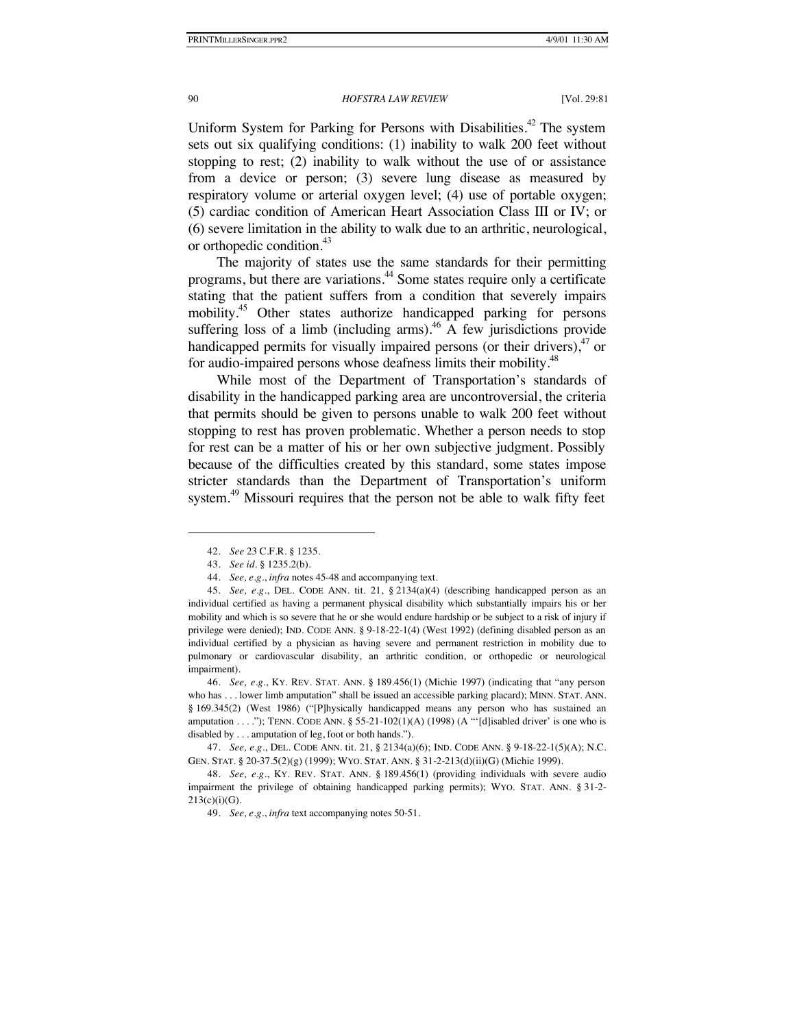Uniform System for Parking for Persons with Disabilities.<sup>42</sup> The system sets out six qualifying conditions: (1) inability to walk 200 feet without stopping to rest; (2) inability to walk without the use of or assistance from a device or person; (3) severe lung disease as measured by respiratory volume or arterial oxygen level; (4) use of portable oxygen; (5) cardiac condition of American Heart Association Class III or IV; or (6) severe limitation in the ability to walk due to an arthritic, neurological, or orthopedic condition.<sup>43</sup>

The majority of states use the same standards for their permitting programs, but there are variations.<sup>44</sup> Some states require only a certificate stating that the patient suffers from a condition that severely impairs mobility.<sup>45</sup> Other states authorize handicapped parking for persons suffering loss of a limb (including arms).<sup>46</sup> A few jurisdictions provide handicapped permits for visually impaired persons (or their drivers),  $47$  or for audio-impaired persons whose deafness limits their mobility.<sup>48</sup>

While most of the Department of Transportation's standards of disability in the handicapped parking area are uncontroversial, the criteria that permits should be given to persons unable to walk 200 feet without stopping to rest has proven problematic. Whether a person needs to stop for rest can be a matter of his or her own subjective judgment. Possibly because of the difficulties created by this standard, some states impose stricter standards than the Department of Transportation's uniform system.<sup>49</sup> Missouri requires that the person not be able to walk fifty feet

-

46. *See, e.g.*, KY. REV. STAT. ANN. § 189.456(1) (Michie 1997) (indicating that "any person who has . . . lower limb amputation" shall be issued an accessible parking placard); MINN. STAT. ANN. § 169.345(2) (West 1986) ("[P]hysically handicapped means any person who has sustained an amputation . . . ."); TENN. CODE ANN. § 55-21-102(1)(A) (1998) (A "'[d]isabled driver' is one who is disabled by . . . amputation of leg, foot or both hands.").

<sup>42.</sup> *See* 23 C.F.R. § 1235.

<sup>43.</sup> *See id.* § 1235.2(b).

<sup>44.</sup> *See, e.g.*, *infra* notes 45-48 and accompanying text.

<sup>45.</sup> *See, e.g.*, DEL. CODE ANN. tit. 21, § 2134(a)(4) (describing handicapped person as an individual certified as having a permanent physical disability which substantially impairs his or her mobility and which is so severe that he or she would endure hardship or be subject to a risk of injury if privilege were denied); IND. CODE ANN. § 9-18-22-1(4) (West 1992) (defining disabled person as an individual certified by a physician as having severe and permanent restriction in mobility due to pulmonary or cardiovascular disability, an arthritic condition, or orthopedic or neurological impairment).

<sup>47.</sup> *See, e.g.*, DEL. CODE ANN. tit. 21, § 2134(a)(6); IND. CODE ANN. § 9-18-22-1(5)(A); N.C. GEN. STAT. § 20-37.5(2)(g) (1999); WYO. STAT. ANN. § 31-2-213(d)(ii)(G) (Michie 1999).

<sup>48.</sup> *See, e.g.*, KY. REV. STAT. ANN. § 189.456(1) (providing individuals with severe audio impairment the privilege of obtaining handicapped parking permits); WYO. STAT. ANN. § 31-2-  $213(c)(i)(G)$ .

<sup>49.</sup> *See, e.g.*, *infra* text accompanying notes 50-51.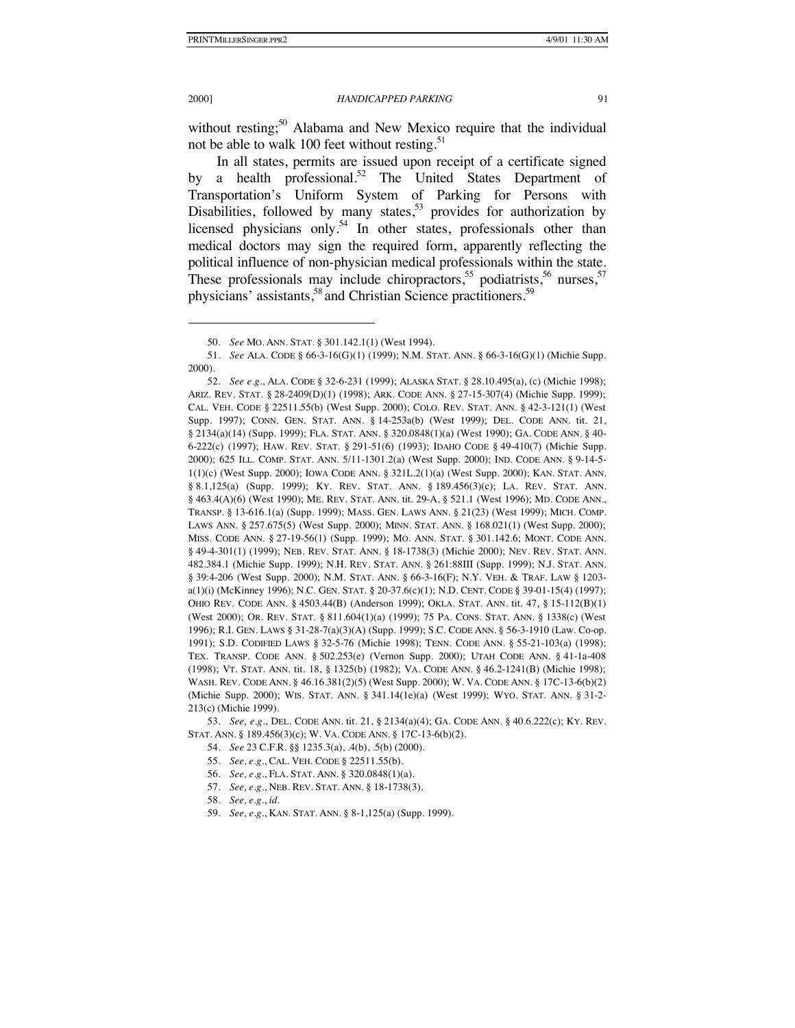#### 2000] *HANDICAPPED PARKING* 91

without resting;<sup>50</sup> Alabama and New Mexico require that the individual not be able to walk 100 feet without resting.<sup>51</sup>

In all states, permits are issued upon receipt of a certificate signed by a health professional.<sup>52</sup> The United States Department of Transportation's Uniform System of Parking for Persons with Disabilities, followed by many states,<sup>53</sup> provides for authorization by licensed physicians only.<sup>54</sup> In other states, professionals other than medical doctors may sign the required form, apparently reflecting the political influence of non-physician medical professionals within the state. These professionals may include chiropractors,<sup>55</sup> podiatrists,<sup>56</sup> nurses,<sup>57</sup> physicians' assistants,<sup>58</sup> and Christian Science practitioners.<sup>59</sup>

53. *See, e.g.*, DEL. CODE ANN. tit. 21, § 2134(a)(4); GA. CODE ANN. § 40.6.222(c); KY. REV. STAT. ANN. § 189.456(3)(c); W. VA. CODE ANN. § 17C-13-6(b)(2).

54. *See* 23 C.F.R. §§ 1235.3(a), .4(b), .5(b) (2000).

- 55. *See, e.g.*, CAL. VEH. CODE § 22511.55(b).
- 56. *See, e.g.*, FLA. STAT. ANN. § 320.0848(1)(a).
- 57. *See, e.g.*, NEB. REV. STAT. ANN. § 18-1738(3).
- 58. *See, e.g.*, *id.*
- 59. *See, e.g.*, KAN. STAT. ANN. § 8-1,125(a) (Supp. 1999).

<sup>50.</sup> *See* MO. ANN. STAT. § 301.142.1(1) (West 1994).

<sup>51.</sup> *See* ALA. CODE § 66-3-16(G)(1) (1999); N.M. STAT. ANN. § 66-3-16(G)(1) (Michie Supp. 2000).

<sup>52.</sup> *See e.g.*, ALA. CODE § 32-6-231 (1999); ALASKA STAT. § 28.10.495(a), (c) (Michie 1998); ARIZ. REV. STAT. § 28-2409(D)(1) (1998); ARK. CODE ANN. § 27-15-307(4) (Michie Supp. 1999); CAL. VEH. CODE § 22511.55(b) (West Supp. 2000); COLO. REV. STAT. ANN. § 42-3-121(1) (West Supp. 1997); CONN. GEN. STAT. ANN. § 14-253a(b) (West 1999); DEL. CODE ANN. tit. 21, § 2134(a)(14) (Supp. 1999); FLA. STAT. ANN. § 320.0848(1)(a) (West 1990); GA. CODE ANN. § 40- 6-222(c) (1997); HAW. REV. STAT. § 291-51(6) (1993); IDAHO CODE § 49-410(7) (Michie Supp. 2000); 625 ILL. COMP. STAT. ANN. 5/11-1301.2(a) (West Supp. 2000); IND. CODE ANN. § 9-14-5- 1(1)(c) (West Supp. 2000); IOWA CODE ANN. § 321L.2(1)(a) (West Supp. 2000); KAN. STAT. ANN. § 8.1,125(a) (Supp. 1999); KY. REV. STAT. ANN. § 189.456(3)(c); LA. REV. STAT. ANN. § 463.4(A)(6) (West 1990); ME. REV. STAT. ANN. tit. 29-A, § 521.1 (West 1996); MD. CODE ANN., TRANSP. § 13-616.1(a) (Supp. 1999); MASS. GEN. LAWS ANN. § 21(23) (West 1999); MICH. COMP. LAWS ANN. § 257.675(5) (West Supp. 2000); MINN. STAT. ANN. § 168.021(1) (West Supp. 2000); MISS. CODE ANN. § 27-19-56(1) (Supp. 1999); MO. ANN. STAT. § 301.142.6; MONT. CODE ANN. § 49-4-301(1) (1999); NEB. REV. STAT. ANN. § 18-1738(3) (Michie 2000); NEV. REV. STAT. ANN. 482.384.1 (Michie Supp. 1999); N.H. REV. STAT. ANN. § 261:88III (Supp. 1999); N.J. STAT. ANN. § 39:4-206 (West Supp. 2000); N.M. STAT. ANN. § 66-3-16(F); N.Y. VEH. & TRAF. LAW § 1203 a(1)(i) (McKinney 1996); N.C. GEN. STAT. § 20-37.6(c)(1); N.D. CENT. CODE § 39-01-15(4) (1997); OHIO REV. CODE ANN. § 4503.44(B) (Anderson 1999); OKLA. STAT. ANN. tit. 47, § 15-112(B)(1) (West 2000); OR. REV. STAT. § 811.604(1)(a) (1999); 75 PA. CONS. STAT. ANN. § 1338(c) (West 1996); R.I. GEN. LAWS § 31-28-7(a)(3)(A) (Supp. 1999); S.C. CODE ANN. § 56-3-1910 (Law. Co-op. 1991); S.D. CODIFIED LAWS § 32-5-76 (Michie 1998); TENN. CODE ANN. § 55-21-103(a) (1998); TEX. TRANSP. CODE ANN. § 502.253(e) (Vernon Supp. 2000); UTAH CODE ANN. § 41-1a-408 (1998); VT. STAT. ANN. tit. 18, § 1325(b) (1982); VA. CODE ANN. § 46.2-1241(B) (Michie 1998); WASH. REV. CODE ANN. § 46.16.381(2)(5) (West Supp. 2000); W. VA. CODE ANN. § 17C-13-6(b)(2) (Michie Supp. 2000); WIS. STAT. ANN. § 341.14(1e)(a) (West 1999); WYO. STAT. ANN. § 31-2- 213(c) (Michie 1999).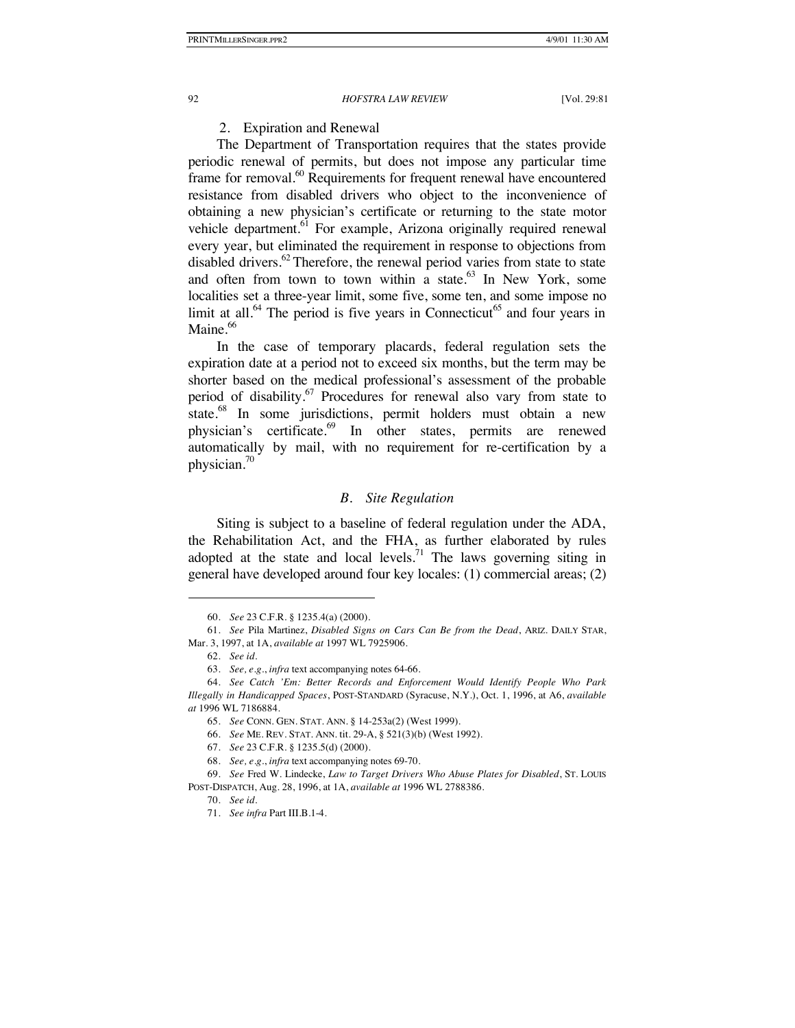# 2. Expiration and Renewal

The Department of Transportation requires that the states provide periodic renewal of permits, but does not impose any particular time frame for removal.<sup>60</sup> Requirements for frequent renewal have encountered resistance from disabled drivers who object to the inconvenience of obtaining a new physician's certificate or returning to the state motor vehicle department.<sup>61</sup> For example, Arizona originally required renewal every year, but eliminated the requirement in response to objections from disabled drivers.<sup>62</sup> Therefore, the renewal period varies from state to state and often from town to town within a state. $63$  In New York, some localities set a three-year limit, some five, some ten, and some impose no limit at all. $^{64}$  The period is five years in Connecticut<sup>65</sup> and four years in Maine.<sup>66</sup>

In the case of temporary placards, federal regulation sets the expiration date at a period not to exceed six months, but the term may be shorter based on the medical professional's assessment of the probable period of disability.<sup>67</sup> Procedures for renewal also vary from state to state.<sup>68</sup> In some jurisdictions, permit holders must obtain a new physician's certificate.<sup>69</sup> In other states, permits are renewed automatically by mail, with no requirement for re-certification by a physician.70

# *B. Site Regulation*

Siting is subject to a baseline of federal regulation under the ADA, the Rehabilitation Act, and the FHA, as further elaborated by rules adopted at the state and local levels.<sup>71</sup> The laws governing siting in general have developed around four key locales: (1) commercial areas; (2)

-

66. *See* ME. REV. STAT. ANN. tit. 29-A, § 521(3)(b) (West 1992).

<sup>60.</sup> *See* 23 C.F.R. § 1235.4(a) (2000).

<sup>61.</sup> *See* Pila Martinez, *Disabled Signs on Cars Can Be from the Dead*, ARIZ. DAILY STAR, Mar. 3, 1997, at 1A, *available at* 1997 WL 7925906.

<sup>62.</sup> *See id.*

<sup>63.</sup> *See, e.g.*, *infra* text accompanying notes 64-66.

<sup>64.</sup> *See Catch 'Em: Better Records and Enforcement Would Identify People Who Park Illegally in Handicapped Spaces*, POST-STANDARD (Syracuse, N.Y.), Oct. 1, 1996, at A6, *available at* 1996 WL 7186884.

<sup>65.</sup> *See* CONN. GEN. STAT. ANN. § 14-253a(2) (West 1999).

<sup>67.</sup> *See* 23 C.F.R. § 1235.5(d) (2000).

<sup>68.</sup> *See, e.g.*, *infra* text accompanying notes 69-70.

<sup>69.</sup> *See* Fred W. Lindecke, *Law to Target Drivers Who Abuse Plates for Disabled*, ST. LOUIS POST-DISPATCH, Aug. 28, 1996, at 1A, *available at* 1996 WL 2788386.

<sup>70.</sup> *See id.*

<sup>71.</sup> *See infra* Part III.B.1-4.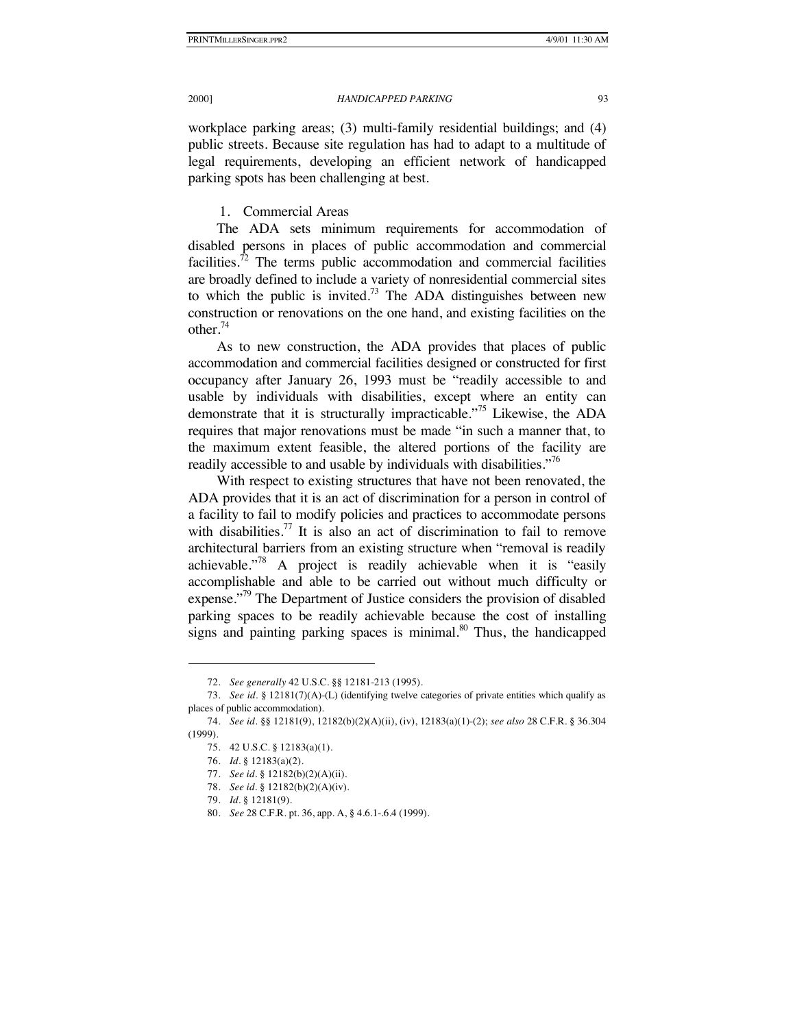workplace parking areas; (3) multi-family residential buildings; and (4) public streets. Because site regulation has had to adapt to a multitude of legal requirements, developing an efficient network of handicapped parking spots has been challenging at best.

1. Commercial Areas

The ADA sets minimum requirements for accommodation of disabled persons in places of public accommodation and commercial facilities.<sup>72</sup> The terms public accommodation and commercial facilities are broadly defined to include a variety of nonresidential commercial sites to which the public is invited.<sup>73</sup> The ADA distinguishes between new construction or renovations on the one hand, and existing facilities on the other. $74$ 

As to new construction, the ADA provides that places of public accommodation and commercial facilities designed or constructed for first occupancy after January 26, 1993 must be "readily accessible to and usable by individuals with disabilities, except where an entity can demonstrate that it is structurally impracticable.<sup>775</sup> Likewise, the ADA requires that major renovations must be made "in such a manner that, to the maximum extent feasible, the altered portions of the facility are readily accessible to and usable by individuals with disabilities."<sup>76</sup>

With respect to existing structures that have not been renovated, the ADA provides that it is an act of discrimination for a person in control of a facility to fail to modify policies and practices to accommodate persons with disabilities.<sup>77</sup> It is also an act of discrimination to fail to remove architectural barriers from an existing structure when "removal is readily achievable. $178$  A project is readily achievable when it is "easily accomplishable and able to be carried out without much difficulty or expense."<sup>79</sup> The Department of Justice considers the provision of disabled parking spaces to be readily achievable because the cost of installing signs and painting parking spaces is minimal. $80$  Thus, the handicapped

<sup>72.</sup> *See generally* 42 U.S.C. §§ 12181-213 (1995).

<sup>73.</sup> *See id.* § 12181(7)(A)-(L) (identifying twelve categories of private entities which qualify as places of public accommodation).

<sup>74.</sup> *See id.* §§ 12181(9), 12182(b)(2)(A)(ii), (iv), 12183(a)(1)-(2); *see also* 28 C.F.R. § 36.304 (1999).

<sup>75.</sup> 42 U.S.C. § 12183(a)(1).

<sup>76.</sup> *Id.* § 12183(a)(2).

<sup>77.</sup> *See id.* § 12182(b)(2)(A)(ii).

<sup>78.</sup> *See id.* § 12182(b)(2)(A)(iv).

<sup>79.</sup> *Id.* § 12181(9).

<sup>80.</sup> *See* 28 C.F.R. pt. 36, app. A, § 4.6.1-.6.4 (1999).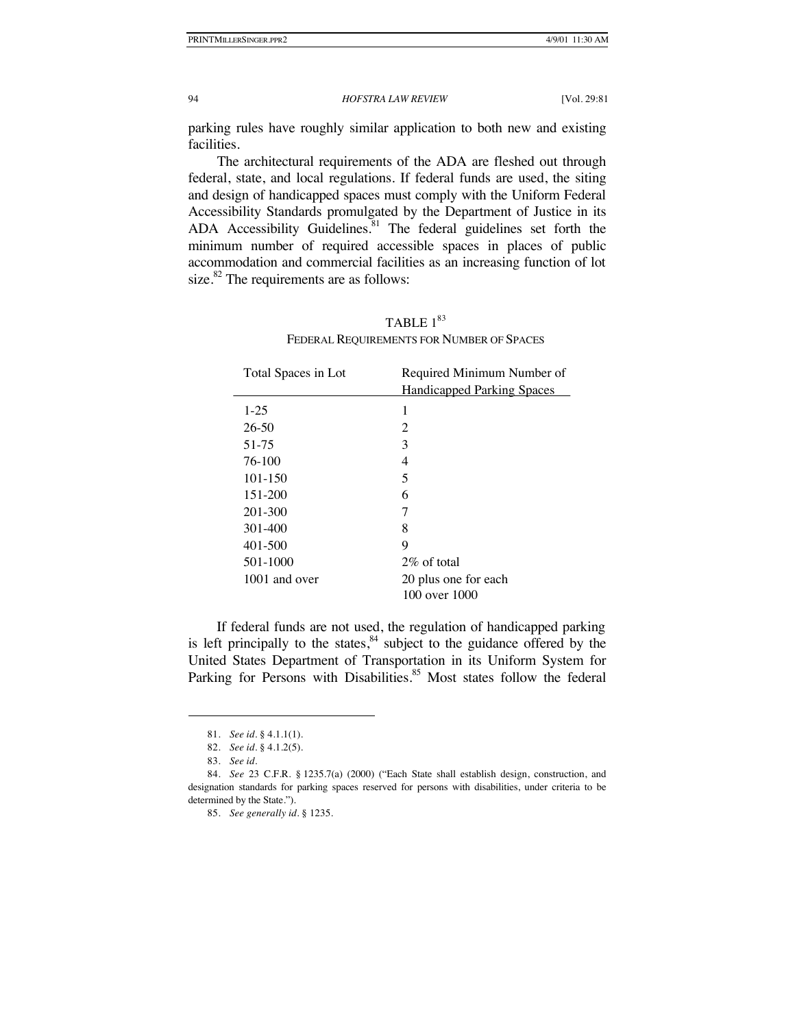parking rules have roughly similar application to both new and existing facilities.

The architectural requirements of the ADA are fleshed out through federal, state, and local regulations. If federal funds are used, the siting and design of handicapped spaces must comply with the Uniform Federal Accessibility Standards promulgated by the Department of Justice in its ADA Accessibility Guidelines.<sup>81</sup> The federal guidelines set forth the minimum number of required accessible spaces in places of public accommodation and commercial facilities as an increasing function of lot size. $82$  The requirements are as follows:

| Total Spaces in Lot | Required Minimum Number of        |
|---------------------|-----------------------------------|
|                     | <b>Handicapped Parking Spaces</b> |
| $1 - 25$            | 1                                 |
| $26 - 50$           | 2                                 |
| 51-75               | 3                                 |
| 76-100              | 4                                 |
| $101 - 150$         | 5                                 |
| 151-200             | 6                                 |
| 201-300             | 7                                 |
| 301-400             | 8                                 |
| $401 - 500$         | 9                                 |
| 501-1000            | $2\%$ of total                    |
| 1001 and over       | 20 plus one for each              |
|                     | 100 over 1000                     |

# TABLE  $1^{83}$ FEDERAL REQUIREMENTS FOR NUMBER OF SPACES

If federal funds are not used, the regulation of handicapped parking is left principally to the states, $84$  subject to the guidance offered by the United States Department of Transportation in its Uniform System for Parking for Persons with Disabilities.<sup>85</sup> Most states follow the federal

<sup>81.</sup> *See id.* § 4.1.1(1).

<sup>82.</sup> *See id.* § 4.1.2(5).

<sup>83.</sup> *See id.*

<sup>84.</sup> *See* 23 C.F.R. § 1235.7(a) (2000) ("Each State shall establish design, construction, and designation standards for parking spaces reserved for persons with disabilities, under criteria to be determined by the State.").

<sup>85.</sup> *See generally id.* § 1235.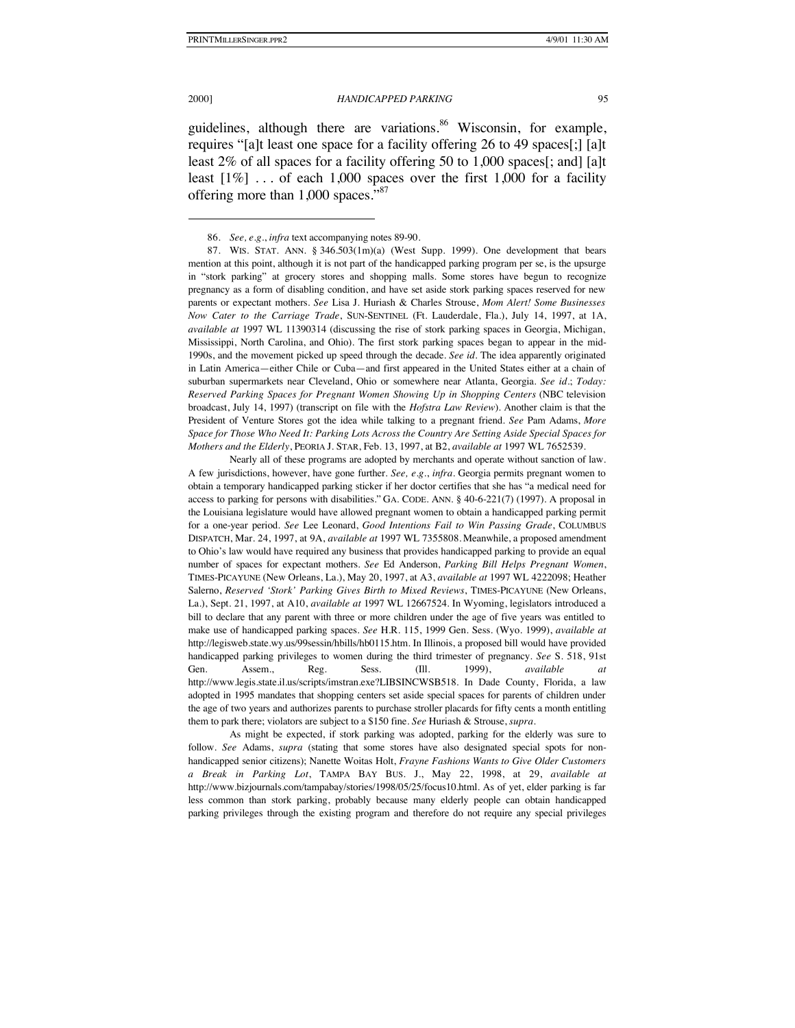2000] *HANDICAPPED PARKING* 95

guidelines, although there are variations.<sup>86</sup> Wisconsin, for example, requires "[a]t least one space for a facility offering 26 to 49 spaces[;] [a]t least 2% of all spaces for a facility offering 50 to 1,000 spaces[; and] [a]t least  $[1\%]$  ... of each 1,000 spaces over the first 1,000 for a facility offering more than 1,000 spaces."<sup>87</sup>

Nearly all of these programs are adopted by merchants and operate without sanction of law. A few jurisdictions, however, have gone further. *See, e.g.*, *infra*. Georgia permits pregnant women to obtain a temporary handicapped parking sticker if her doctor certifies that she has "a medical need for access to parking for persons with disabilities." GA. CODE. ANN. § 40-6-221(7) (1997). A proposal in the Louisiana legislature would have allowed pregnant women to obtain a handicapped parking permit for a one-year period. *See* Lee Leonard, *Good Intentions Fail to Win Passing Grade*, COLUMBUS DISPATCH, Mar. 24, 1997, at 9A, *available at* 1997 WL 7355808. Meanwhile, a proposed amendment to Ohio's law would have required any business that provides handicapped parking to provide an equal number of spaces for expectant mothers. *See* Ed Anderson, *Parking Bill Helps Pregnant Women*, TIMES-PICAYUNE (New Orleans, La.), May 20, 1997, at A3, *available at* 1997 WL 4222098; Heather Salerno, *Reserved 'Stork' Parking Gives Birth to Mixed Reviews*, TIMES-PICAYUNE (New Orleans, La.), Sept. 21, 1997, at A10, *available at* 1997 WL 12667524. In Wyoming, legislators introduced a bill to declare that any parent with three or more children under the age of five years was entitled to make use of handicapped parking spaces. *See* H.R. 115, 1999 Gen. Sess. (Wyo. 1999), *available at* http://legisweb.state.wy.us/99sessin/hbills/hb0115.htm. In Illinois, a proposed bill would have provided handicapped parking privileges to women during the third trimester of pregnancy. *See* S. 518, 91st Gen. Assem., Reg. Sess. (Ill. 1999), *available at* http://www.legis.state.il.us/scripts/imstran.exe?LIBSINCWSB518. In Dade County, Florida, a law adopted in 1995 mandates that shopping centers set aside special spaces for parents of children under the age of two years and authorizes parents to purchase stroller placards for fifty cents a month entitling them to park there; violators are subject to a \$150 fine. *See* Huriash & Strouse, *supra*.

As might be expected, if stork parking was adopted, parking for the elderly was sure to follow. *See* Adams, *supra* (stating that some stores have also designated special spots for nonhandicapped senior citizens); Nanette Woitas Holt, *Frayne Fashions Wants to Give Older Customers a Break in Parking Lot*, TAMPA BAY BUS. J., May 22, 1998, at 29, *available at* http://www.bizjournals.com/tampabay/stories/1998/05/25/focus10.html. As of yet, elder parking is far less common than stork parking, probably because many elderly people can obtain handicapped parking privileges through the existing program and therefore do not require any special privileges

<sup>86.</sup> *See, e.g.*, *infra* text accompanying notes 89-90.

<sup>87.</sup> WIS. STAT. ANN.  $\S$  346.503(1m)(a) (West Supp. 1999). One development that bears mention at this point, although it is not part of the handicapped parking program per se, is the upsurge in "stork parking" at grocery stores and shopping malls. Some stores have begun to recognize pregnancy as a form of disabling condition, and have set aside stork parking spaces reserved for new parents or expectant mothers. *See* Lisa J. Huriash & Charles Strouse, *Mom Alert! Some Businesses Now Cater to the Carriage Trade*, SUN-SENTINEL (Ft. Lauderdale, Fla.), July 14, 1997, at 1A, *available at* 1997 WL 11390314 (discussing the rise of stork parking spaces in Georgia, Michigan, Mississippi, North Carolina, and Ohio). The first stork parking spaces began to appear in the mid-1990s, and the movement picked up speed through the decade. *See id.* The idea apparently originated in Latin America—either Chile or Cuba—and first appeared in the United States either at a chain of suburban supermarkets near Cleveland, Ohio or somewhere near Atlanta, Georgia. *See id.*; *Today: Reserved Parking Spaces for Pregnant Women Showing Up in Shopping Centers* (NBC television broadcast, July 14, 1997) (transcript on file with the *Hofstra Law Review*). Another claim is that the President of Venture Stores got the idea while talking to a pregnant friend. *See* Pam Adams, *More Space for Those Who Need It: Parking Lots Across the Country Are Setting Aside Special Spaces for Mothers and the Elderly*, PEORIA J. STAR, Feb. 13, 1997, at B2, *available at* 1997 WL 7652539.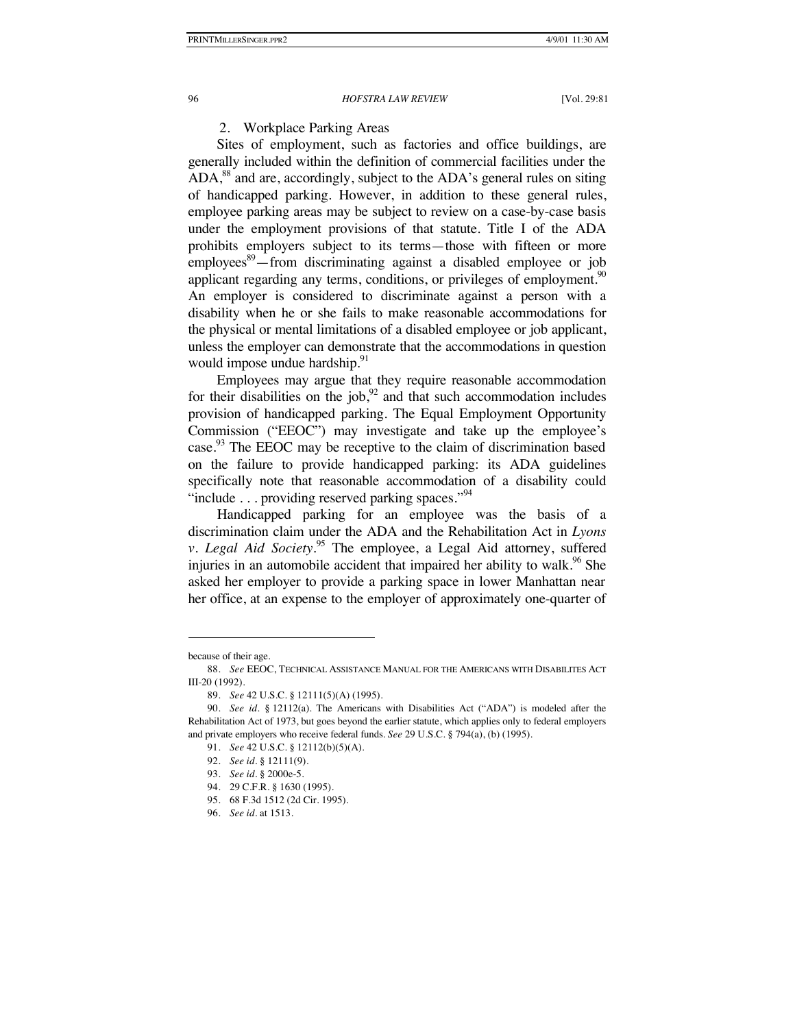# 2. Workplace Parking Areas

Sites of employment, such as factories and office buildings, are generally included within the definition of commercial facilities under the  $ADA$ ,<sup>88</sup> and are, accordingly, subject to the  $ADA$ 's general rules on siting of handicapped parking. However, in addition to these general rules, employee parking areas may be subject to review on a case-by-case basis under the employment provisions of that statute. Title I of the ADA prohibits employers subject to its terms—those with fifteen or more employees<sup>89</sup>—from discriminating against a disabled employee or job applicant regarding any terms, conditions, or privileges of employment.<sup>90</sup> An employer is considered to discriminate against a person with a disability when he or she fails to make reasonable accommodations for the physical or mental limitations of a disabled employee or job applicant, unless the employer can demonstrate that the accommodations in question would impose undue hardship.<sup>91</sup>

Employees may argue that they require reasonable accommodation for their disabilities on the job, $92$  and that such accommodation includes provision of handicapped parking. The Equal Employment Opportunity Commission ("EEOC") may investigate and take up the employee's case.<sup>93</sup> The EEOC may be receptive to the claim of discrimination based on the failure to provide handicapped parking: its ADA guidelines specifically note that reasonable accommodation of a disability could "include  $\ldots$  providing reserved parking spaces."<sup>94</sup>

Handicapped parking for an employee was the basis of a discrimination claim under the ADA and the Rehabilitation Act in *Lyons v. Legal Aid Society*. 95 The employee, a Legal Aid attorney, suffered injuries in an automobile accident that impaired her ability to walk.<sup>96</sup> She asked her employer to provide a parking space in lower Manhattan near her office, at an expense to the employer of approximately one-quarter of

-

96. *See id.* at 1513.

because of their age.

<sup>88.</sup> *See* EEOC, TECHNICAL ASSISTANCE MANUAL FOR THE AMERICANS WITH DISABILITES ACT III-20 (1992).

<sup>89.</sup> *See* 42 U.S.C. § 12111(5)(A) (1995).

<sup>90.</sup> *See id.* § 12112(a). The Americans with Disabilities Act ("ADA") is modeled after the Rehabilitation Act of 1973, but goes beyond the earlier statute, which applies only to federal employers and private employers who receive federal funds. *See* 29 U.S.C. § 794(a), (b) (1995).

<sup>91.</sup> *See* 42 U.S.C. § 12112(b)(5)(A).

<sup>92.</sup> *See id.* § 12111(9).

<sup>93.</sup> *See id.* § 2000e-5.

<sup>94.</sup> 29 C.F.R. § 1630 (1995).

<sup>95.</sup> 68 F.3d 1512 (2d Cir. 1995).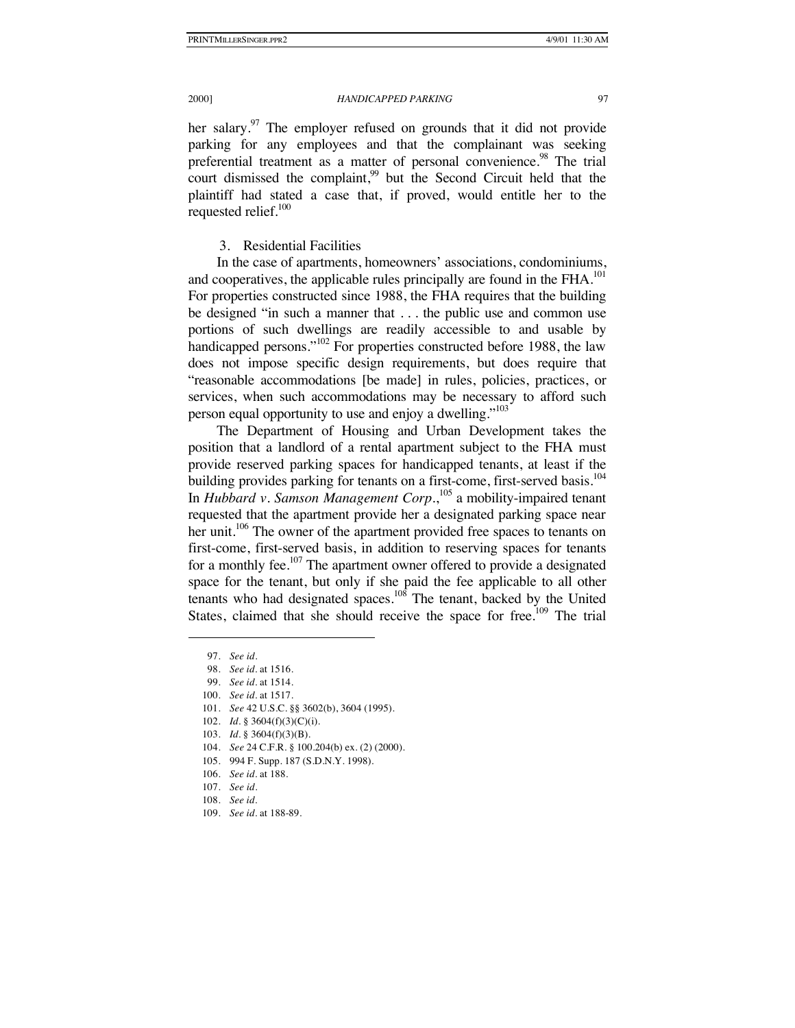her salary. $97$  The employer refused on grounds that it did not provide parking for any employees and that the complainant was seeking preferential treatment as a matter of personal convenience.<sup>98</sup> The trial court dismissed the complaint,<sup>99</sup> but the Second Circuit held that the plaintiff had stated a case that, if proved, would entitle her to the requested relief.<sup>100</sup>

3. Residential Facilities

In the case of apartments, homeowners' associations, condominiums, and cooperatives, the applicable rules principally are found in the FHA.<sup>101</sup> For properties constructed since 1988, the FHA requires that the building be designed "in such a manner that . . . the public use and common use portions of such dwellings are readily accessible to and usable by handicapped persons."<sup>102</sup> For properties constructed before 1988, the law does not impose specific design requirements, but does require that "reasonable accommodations [be made] in rules, policies, practices, or services, when such accommodations may be necessary to afford such person equal opportunity to use and enjoy a dwelling."<sup>103</sup>

The Department of Housing and Urban Development takes the position that a landlord of a rental apartment subject to the FHA must provide reserved parking spaces for handicapped tenants, at least if the building provides parking for tenants on a first-come, first-served basis.<sup>104</sup> In *Hubbard v. Samson Management Corp*.,<sup>105</sup> a mobility-impaired tenant requested that the apartment provide her a designated parking space near her unit.<sup>106</sup> The owner of the apartment provided free spaces to tenants on first-come, first-served basis, in addition to reserving spaces for tenants for a monthly fee.<sup>107</sup> The apartment owner offered to provide a designated space for the tenant, but only if she paid the fee applicable to all other tenants who had designated spaces.<sup>108</sup> The tenant, backed by the United States, claimed that she should receive the space for free.<sup>109</sup> The trial

<sup>97.</sup> *See id*.

<sup>98.</sup> *See id.* at 1516.

<sup>99.</sup> *See id.* at 1514.

<sup>100.</sup> *See id.* at 1517.

<sup>101.</sup> *See* 42 U.S.C. §§ 3602(b), 3604 (1995).

<sup>102.</sup> *Id.* § 3604(f)(3)(C)(i).

<sup>103.</sup> *Id.* § 3604(f)(3)(B).

<sup>104.</sup> *See* 24 C.F.R. § 100.204(b) ex. (2) (2000).

<sup>105.</sup> 994 F. Supp. 187 (S.D.N.Y. 1998).

<sup>106.</sup> *See id.* at 188.

<sup>107.</sup> *See id*.

<sup>108.</sup> *See id.*

<sup>109.</sup> *See id.* at 188-89.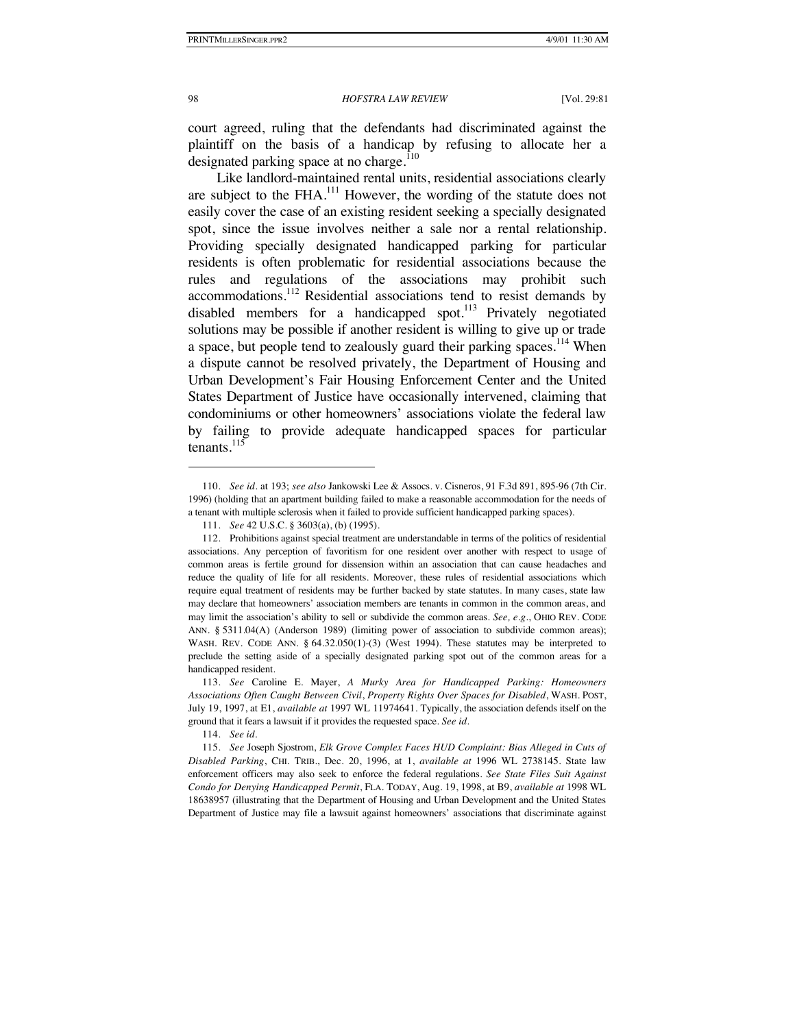court agreed, ruling that the defendants had discriminated against the plaintiff on the basis of a handicap by refusing to allocate her a designated parking space at no charge.<sup>110</sup>

Like landlord-maintained rental units, residential associations clearly are subject to the FHA.<sup>111</sup> However, the wording of the statute does not easily cover the case of an existing resident seeking a specially designated spot, since the issue involves neither a sale nor a rental relationship. Providing specially designated handicapped parking for particular residents is often problematic for residential associations because the rules and regulations of the associations may prohibit such accommodations.112 Residential associations tend to resist demands by disabled members for a handicapped spot.<sup>113</sup> Privately negotiated solutions may be possible if another resident is willing to give up or trade a space, but people tend to zealously guard their parking spaces.<sup>114</sup> When a dispute cannot be resolved privately, the Department of Housing and Urban Development's Fair Housing Enforcement Center and the United States Department of Justice have occasionally intervened, claiming that condominiums or other homeowners' associations violate the federal law by failing to provide adequate handicapped spaces for particular tenants. $^{115}$ 

<sup>110.</sup> *See id.* at 193; *see also* Jankowski Lee & Assocs. v. Cisneros, 91 F.3d 891, 895-96 (7th Cir. 1996) (holding that an apartment building failed to make a reasonable accommodation for the needs of a tenant with multiple sclerosis when it failed to provide sufficient handicapped parking spaces).

<sup>111.</sup> *See* 42 U.S.C. § 3603(a), (b) (1995).

<sup>112.</sup> Prohibitions against special treatment are understandable in terms of the politics of residential associations. Any perception of favoritism for one resident over another with respect to usage of common areas is fertile ground for dissension within an association that can cause headaches and reduce the quality of life for all residents. Moreover, these rules of residential associations which require equal treatment of residents may be further backed by state statutes. In many cases, state law may declare that homeowners' association members are tenants in common in the common areas, and may limit the association's ability to sell or subdivide the common areas. *See, e.g.*, OHIO REV. CODE ANN. § 5311.04(A) (Anderson 1989) (limiting power of association to subdivide common areas); WASH. REV. CODE ANN. § 64.32.050(1)-(3) (West 1994). These statutes may be interpreted to preclude the setting aside of a specially designated parking spot out of the common areas for a handicapped resident.

<sup>113.</sup> *See* Caroline E. Mayer, *A Murky Area for Handicapped Parking: Homeowners Associations Often Caught Between Civil*, *Property Rights Over Spaces for Disabled*, WASH. POST, July 19, 1997, at E1, *available at* 1997 WL 11974641. Typically, the association defends itself on the ground that it fears a lawsuit if it provides the requested space. *See id.*

<sup>114.</sup> *See id.*

<sup>115.</sup> *See* Joseph Sjostrom, *Elk Grove Complex Faces HUD Complaint: Bias Alleged in Cuts of Disabled Parking*, CHI. TRIB., Dec. 20, 1996, at 1, *available at* 1996 WL 2738145. State law enforcement officers may also seek to enforce the federal regulations. *See State Files Suit Against Condo for Denying Handicapped Permit*, FLA. TODAY, Aug. 19, 1998, at B9, *available at* 1998 WL 18638957 (illustrating that the Department of Housing and Urban Development and the United States Department of Justice may file a lawsuit against homeowners' associations that discriminate against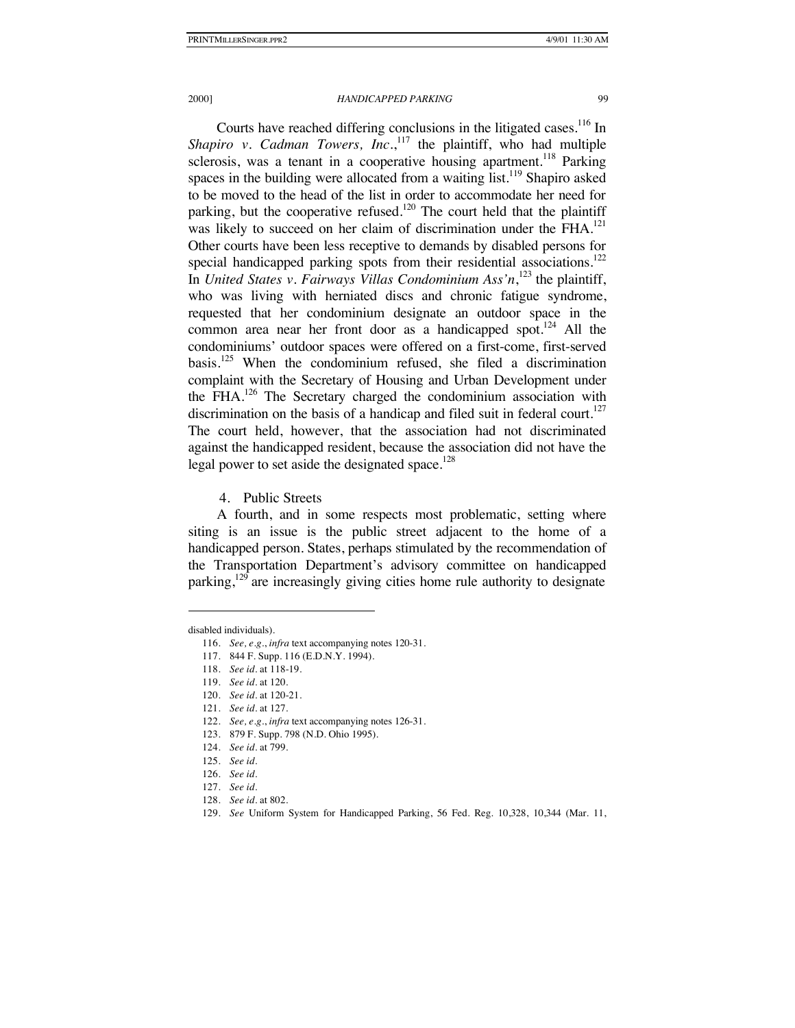Courts have reached differing conclusions in the litigated cases.<sup>116</sup> In Shapiro v. Cadman Towers, Inc.,<sup>117</sup> the plaintiff, who had multiple sclerosis, was a tenant in a cooperative housing apartment.<sup>118</sup> Parking spaces in the building were allocated from a waiting  $list.<sup>119</sup>$  Shapiro asked to be moved to the head of the list in order to accommodate her need for parking, but the cooperative refused.<sup>120</sup> The court held that the plaintiff was likely to succeed on her claim of discrimination under the FHA.<sup>121</sup> Other courts have been less receptive to demands by disabled persons for special handicapped parking spots from their residential associations.<sup>122</sup> In *United States v. Fairways Villas Condominium Ass'n*, 123 the plaintiff, who was living with herniated discs and chronic fatigue syndrome, requested that her condominium designate an outdoor space in the common area near her front door as a handicapped spot. $124$  All the condominiums' outdoor spaces were offered on a first-come, first-served basis.<sup>125</sup> When the condominium refused, she filed a discrimination complaint with the Secretary of Housing and Urban Development under the FHA.<sup>126</sup> The Secretary charged the condominium association with discrimination on the basis of a handicap and filed suit in federal court.<sup>127</sup> The court held, however, that the association had not discriminated against the handicapped resident, because the association did not have the legal power to set aside the designated space.<sup>128</sup>

4. Public Streets

A fourth, and in some respects most problematic, setting where siting is an issue is the public street adjacent to the home of a handicapped person. States, perhaps stimulated by the recommendation of the Transportation Department's advisory committee on handicapped parking, $129$  are increasingly giving cities home rule authority to designate

-

121. *See id.* at 127.

disabled individuals).

<sup>116.</sup> *See, e.g.*, *infra* text accompanying notes 120-31.

<sup>117.</sup> 844 F. Supp. 116 (E.D.N.Y. 1994).

<sup>118.</sup> *See id.* at 118-19.

<sup>119.</sup> *See id.* at 120.

<sup>120.</sup> *See id.* at 120-21.

<sup>122.</sup> *See, e.g.*, *infra* text accompanying notes 126-31.

<sup>123.</sup> 879 F. Supp. 798 (N.D. Ohio 1995).

<sup>124.</sup> *See id.* at 799.

<sup>125.</sup> *See id.*

<sup>126.</sup> *See id.*

<sup>127.</sup> *See id.*

<sup>128.</sup> *See id.* at 802.

<sup>129.</sup> *See* Uniform System for Handicapped Parking, 56 Fed. Reg. 10,328, 10,344 (Mar. 11,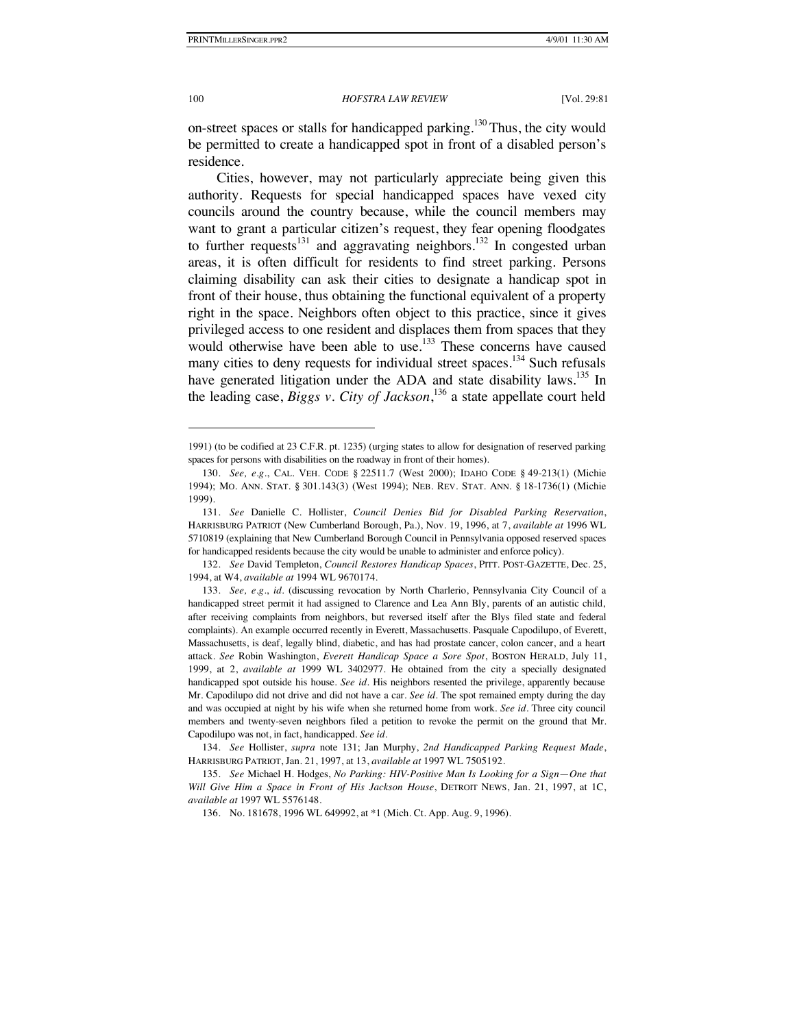100 *HOFSTRA LAW REVIEW* [Vol. 29:81

on-street spaces or stalls for handicapped parking.<sup>130</sup> Thus, the city would be permitted to create a handicapped spot in front of a disabled person's residence.

Cities, however, may not particularly appreciate being given this authority. Requests for special handicapped spaces have vexed city councils around the country because, while the council members may want to grant a particular citizen's request, they fear opening floodgates to further requests<sup>131</sup> and aggravating neighbors.<sup>132</sup> In congested urban areas, it is often difficult for residents to find street parking. Persons claiming disability can ask their cities to designate a handicap spot in front of their house, thus obtaining the functional equivalent of a property right in the space. Neighbors often object to this practice, since it gives privileged access to one resident and displaces them from spaces that they would otherwise have been able to use.<sup>133</sup> These concerns have caused many cities to deny requests for individual street spaces.<sup>134</sup> Such refusals have generated litigation under the ADA and state disability laws.<sup>135</sup> In the leading case, *Biggs v. City of Jackson*, 136 a state appellate court held

<sup>1991) (</sup>to be codified at 23 C.F.R. pt. 1235) (urging states to allow for designation of reserved parking spaces for persons with disabilities on the roadway in front of their homes).

<sup>130.</sup> *See, e.g.*, CAL. VEH. CODE § 22511.7 (West 2000); IDAHO CODE § 49-213(1) (Michie 1994); MO. ANN. STAT. § 301.143(3) (West 1994); NEB. REV. STAT. ANN. § 18-1736(1) (Michie 1999).

<sup>131.</sup> *See* Danielle C. Hollister, *Council Denies Bid for Disabled Parking Reservation*, HARRISBURG PATRIOT (New Cumberland Borough, Pa.), Nov. 19, 1996, at 7, *available at* 1996 WL 5710819 (explaining that New Cumberland Borough Council in Pennsylvania opposed reserved spaces for handicapped residents because the city would be unable to administer and enforce policy).

<sup>132.</sup> *See* David Templeton, *Council Restores Handicap Spaces*, PITT. POST-GAZETTE, Dec. 25, 1994, at W4, *available at* 1994 WL 9670174.

<sup>133.</sup> *See, e.g*., *id.* (discussing revocation by North Charlerio, Pennsylvania City Council of a handicapped street permit it had assigned to Clarence and Lea Ann Bly, parents of an autistic child, after receiving complaints from neighbors, but reversed itself after the Blys filed state and federal complaints). An example occurred recently in Everett, Massachusetts. Pasquale Capodilupo, of Everett, Massachusetts, is deaf, legally blind, diabetic, and has had prostate cancer, colon cancer, and a heart attack. *See* Robin Washington, *Everett Handicap Space a Sore Spot*, BOSTON HERALD, July 11, 1999, at 2, *available at* 1999 WL 3402977. He obtained from the city a specially designated handicapped spot outside his house. *See id.* His neighbors resented the privilege, apparently because Mr. Capodilupo did not drive and did not have a car. *See id*. The spot remained empty during the day and was occupied at night by his wife when she returned home from work. *See id.* Three city council members and twenty-seven neighbors filed a petition to revoke the permit on the ground that Mr. Capodilupo was not, in fact, handicapped. *See id.*

<sup>134.</sup> *See* Hollister, *supra* note 131; Jan Murphy, *2nd Handicapped Parking Request Made*, HARRISBURG PATRIOT, Jan. 21, 1997, at 13, *available at* 1997 WL 7505192.

<sup>135.</sup> *See* Michael H. Hodges, *No Parking: HIV-Positive Man Is Looking for a Sign*—*One that Will Give Him a Space in Front of His Jackson House*, DETROIT NEWS, Jan. 21, 1997, at 1C, *available at* 1997 WL 5576148.

<sup>136.</sup> No. 181678, 1996 WL 649992, at \*1 (Mich. Ct. App. Aug. 9, 1996).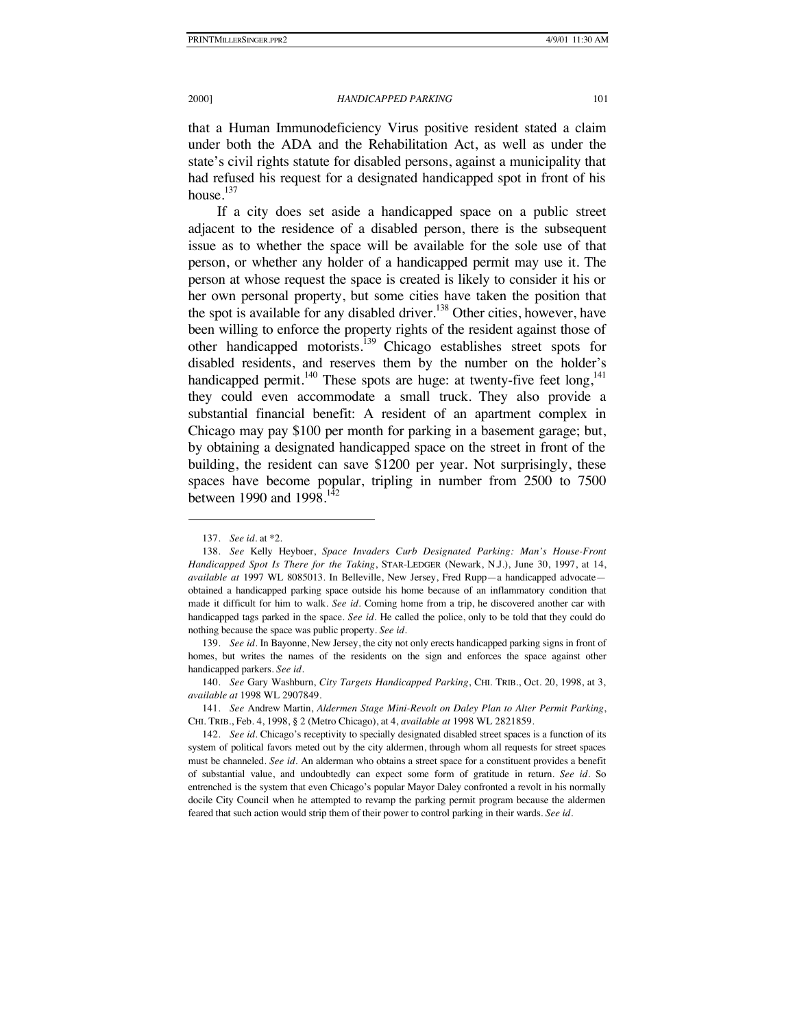that a Human Immunodeficiency Virus positive resident stated a claim under both the ADA and the Rehabilitation Act, as well as under the state's civil rights statute for disabled persons, against a municipality that had refused his request for a designated handicapped spot in front of his house.<sup>137</sup>

If a city does set aside a handicapped space on a public street adjacent to the residence of a disabled person, there is the subsequent issue as to whether the space will be available for the sole use of that person, or whether any holder of a handicapped permit may use it. The person at whose request the space is created is likely to consider it his or her own personal property, but some cities have taken the position that the spot is available for any disabled driver.<sup>138</sup> Other cities, however, have been willing to enforce the property rights of the resident against those of other handicapped motorists.<sup>139</sup> Chicago establishes street spots for disabled residents, and reserves them by the number on the holder's handicapped permit.<sup>140</sup> These spots are huge: at twenty-five feet long, <sup>141</sup> they could even accommodate a small truck. They also provide a substantial financial benefit: A resident of an apartment complex in Chicago may pay \$100 per month for parking in a basement garage; but, by obtaining a designated handicapped space on the street in front of the building, the resident can save \$1200 per year. Not surprisingly, these spaces have become popular, tripling in number from 2500 to 7500 between 1990 and  $1998$ <sup>142</sup>

<sup>137.</sup> *See id.* at \*2.

<sup>138.</sup> *See* Kelly Heyboer, *Space Invaders Curb Designated Parking: Man's House-Front Handicapped Spot Is There for the Taking*, STAR-LEDGER (Newark, N.J.), June 30, 1997, at 14, *available at* 1997 WL 8085013. In Belleville, New Jersey, Fred Rupp—a handicapped advocate obtained a handicapped parking space outside his home because of an inflammatory condition that made it difficult for him to walk. *See id.* Coming home from a trip, he discovered another car with handicapped tags parked in the space. *See id.* He called the police, only to be told that they could do nothing because the space was public property. *See id.*

<sup>139.</sup> *See id.* In Bayonne, New Jersey, the city not only erects handicapped parking signs in front of homes, but writes the names of the residents on the sign and enforces the space against other handicapped parkers. *See id*.

<sup>140.</sup> *See* Gary Washburn, *City Targets Handicapped Parking*, CHI. TRIB., Oct. 20, 1998, at 3, *available at* 1998 WL 2907849.

<sup>141.</sup> *See* Andrew Martin, *Aldermen Stage Mini-Revolt on Daley Plan to Alter Permit Parking*, CHI. TRIB., Feb. 4, 1998, § 2 (Metro Chicago), at 4, *available at* 1998 WL 2821859.

<sup>142.</sup> *See id.* Chicago's receptivity to specially designated disabled street spaces is a function of its system of political favors meted out by the city aldermen, through whom all requests for street spaces must be channeled. *See id.* An alderman who obtains a street space for a constituent provides a benefit of substantial value, and undoubtedly can expect some form of gratitude in return. *See id.* So entrenched is the system that even Chicago's popular Mayor Daley confronted a revolt in his normally docile City Council when he attempted to revamp the parking permit program because the aldermen feared that such action would strip them of their power to control parking in their wards. *See id.*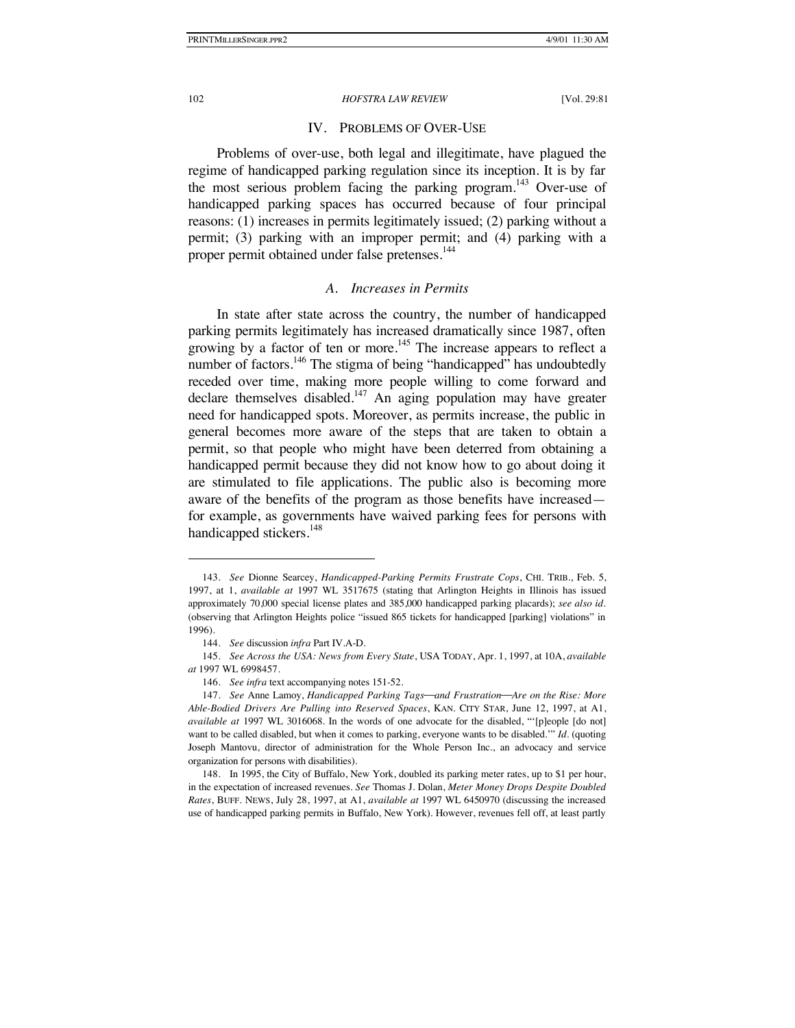# IV. PROBLEMS OF OVER-USE

Problems of over-use, both legal and illegitimate, have plagued the regime of handicapped parking regulation since its inception. It is by far the most serious problem facing the parking program.<sup>143</sup> Over-use of handicapped parking spaces has occurred because of four principal reasons: (1) increases in permits legitimately issued; (2) parking without a permit; (3) parking with an improper permit; and (4) parking with a proper permit obtained under false pretenses.<sup>144</sup>

### *A. Increases in Permits*

In state after state across the country, the number of handicapped parking permits legitimately has increased dramatically since 1987, often growing by a factor of ten or more.<sup>145</sup> The increase appears to reflect a number of factors.<sup>146</sup> The stigma of being "handicapped" has undoubtedly receded over time, making more people willing to come forward and declare themselves disabled. $147$  An aging population may have greater need for handicapped spots. Moreover, as permits increase, the public in general becomes more aware of the steps that are taken to obtain a permit, so that people who might have been deterred from obtaining a handicapped permit because they did not know how to go about doing it are stimulated to file applications. The public also is becoming more aware of the benefits of the program as those benefits have increased for example, as governments have waived parking fees for persons with handicapped stickers.<sup>148</sup>

<sup>143.</sup> *See* Dionne Searcey, *Handicapped-Parking Permits Frustrate Cops*, CHI. TRIB., Feb. 5, 1997, at 1, *available at* 1997 WL 3517675 (stating that Arlington Heights in Illinois has issued approximately 70,000 special license plates and 385,000 handicapped parking placards); *see also id.*  (observing that Arlington Heights police "issued 865 tickets for handicapped [parking] violations" in 1996).

<sup>144.</sup> *See* discussion *infra* Part IV.A-D.

<sup>145.</sup> *See Across the USA: News from Every State*, USA TODAY, Apr. 1, 1997, at 10A, *available at* 1997 WL 6998457.

<sup>146.</sup> *See infra* text accompanying notes 151-52.

<sup>147.</sup> *See* Anne Lamoy, *Handicapped Parking Tagsand FrustrationAre on the Rise: More Able-Bodied Drivers Are Pulling into Reserved Spaces*, KAN. CITY STAR, June 12, 1997, at A1, *available at* 1997 WL 3016068. In the words of one advocate for the disabled, "'[p]eople [do not] want to be called disabled, but when it comes to parking, everyone wants to be disabled.'" *Id.* (quoting Joseph Mantovu, director of administration for the Whole Person Inc., an advocacy and service organization for persons with disabilities).

<sup>148.</sup> In 1995, the City of Buffalo, New York, doubled its parking meter rates, up to \$1 per hour, in the expectation of increased revenues. *See* Thomas J. Dolan, *Meter Money Drops Despite Doubled Rates*, BUFF. NEWS, July 28, 1997, at A1, *available at* 1997 WL 6450970 (discussing the increased use of handicapped parking permits in Buffalo, New York). However, revenues fell off, at least partly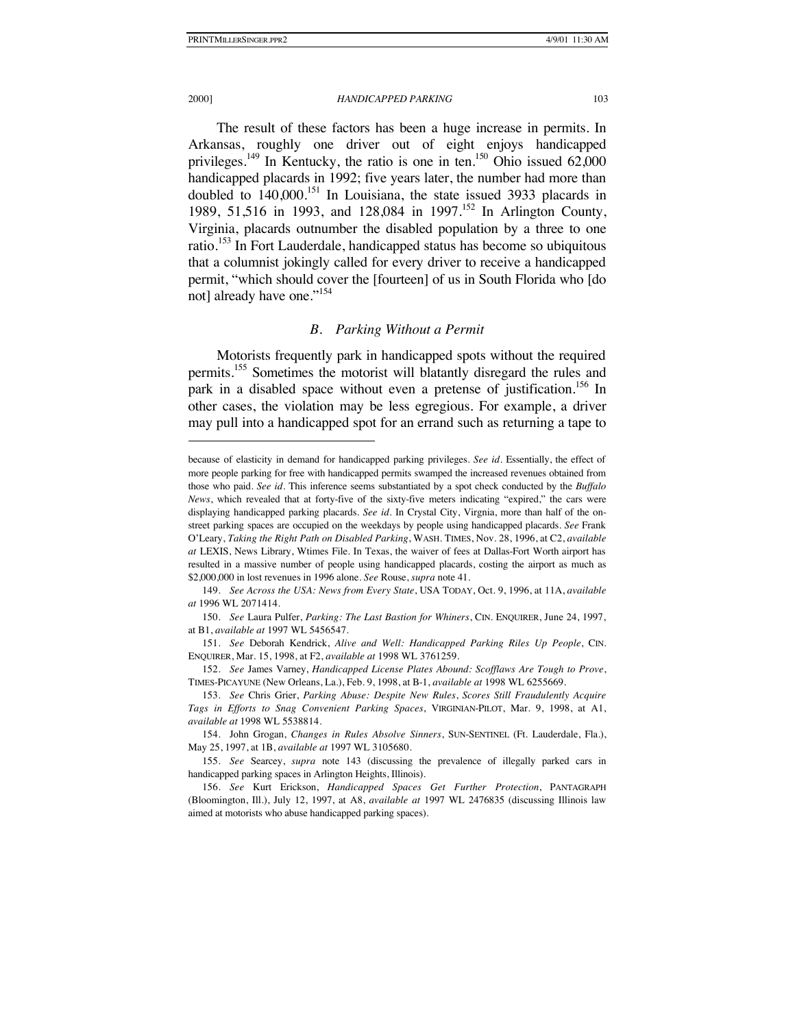#### 2000] *HANDICAPPED PARKING* 103

The result of these factors has been a huge increase in permits. In Arkansas, roughly one driver out of eight enjoys handicapped privileges.<sup>149</sup> In Kentucky, the ratio is one in ten.<sup>150</sup> Ohio issued  $62,000$ handicapped placards in 1992; five years later, the number had more than doubled to 140,000.<sup>151</sup> In Louisiana, the state issued 3933 placards in 1989, 51,516 in 1993, and 128,084 in 1997.<sup>152</sup> In Arlington County, Virginia, placards outnumber the disabled population by a three to one ratio.<sup>153</sup> In Fort Lauderdale, handicapped status has become so ubiquitous that a columnist jokingly called for every driver to receive a handicapped permit, "which should cover the [fourteen] of us in South Florida who [do not] already have one."<sup>154</sup>

# *B. Parking Without a Permit*

Motorists frequently park in handicapped spots without the required permits.<sup>155</sup> Sometimes the motorist will blatantly disregard the rules and park in a disabled space without even a pretense of justification.<sup>156</sup> In other cases, the violation may be less egregious. For example, a driver may pull into a handicapped spot for an errand such as returning a tape to

because of elasticity in demand for handicapped parking privileges. *See id.* Essentially, the effect of more people parking for free with handicapped permits swamped the increased revenues obtained from those who paid. *See id.* This inference seems substantiated by a spot check conducted by the *Buffalo News*, which revealed that at forty-five of the sixty-five meters indicating "expired," the cars were displaying handicapped parking placards. *See id.* In Crystal City, Virgnia, more than half of the onstreet parking spaces are occupied on the weekdays by people using handicapped placards. *See* Frank O'Leary, *Taking the Right Path on Disabled Parking*, WASH. TIMES, Nov. 28, 1996, at C2, *available at* LEXIS, News Library, Wtimes File. In Texas, the waiver of fees at Dallas-Fort Worth airport has resulted in a massive number of people using handicapped placards, costing the airport as much as \$2,000,000 in lost revenues in 1996 alone. *See* Rouse, *supra* note 41.

<sup>149.</sup> *See Across the USA: News from Every State*, USA TODAY, Oct. 9, 1996, at 11A, *available at* 1996 WL 2071414.

<sup>150.</sup> *See* Laura Pulfer, *Parking: The Last Bastion for Whiners*, CIN. ENQUIRER, June 24, 1997, at B1, *available at* 1997 WL 5456547.

<sup>151.</sup> *See* Deborah Kendrick, *Alive and Well: Handicapped Parking Riles Up People*, CIN. ENQUIRER, Mar. 15, 1998, at F2, *available at* 1998 WL 3761259.

<sup>152.</sup> *See* James Varney, *Handicapped License Plates Abound: Scofflaws Are Tough to Prove*, TIMES-PICAYUNE (New Orleans, La.), Feb. 9, 1998, at B-1, *available at* 1998 WL 6255669.

<sup>153.</sup> *See* Chris Grier, *Parking Abuse: Despite New Rules*, *Scores Still Fraudulently Acquire Tags in Efforts to Snag Convenient Parking Spaces*, VIRGINIAN-PILOT, Mar. 9, 1998, at A1, *available at* 1998 WL 5538814.

<sup>154.</sup> John Grogan, *Changes in Rules Absolve Sinners*, SUN-SENTINEL (Ft. Lauderdale, Fla.), May 25, 1997, at 1B, *available at* 1997 WL 3105680.

<sup>155.</sup> *See* Searcey, *supra* note 143 (discussing the prevalence of illegally parked cars in handicapped parking spaces in Arlington Heights, Illinois).

<sup>156.</sup> *See* Kurt Erickson, *Handicapped Spaces Get Further Protection*, PANTAGRAPH (Bloomington, Ill.), July 12, 1997, at A8, *available at* 1997 WL 2476835 (discussing Illinois law aimed at motorists who abuse handicapped parking spaces).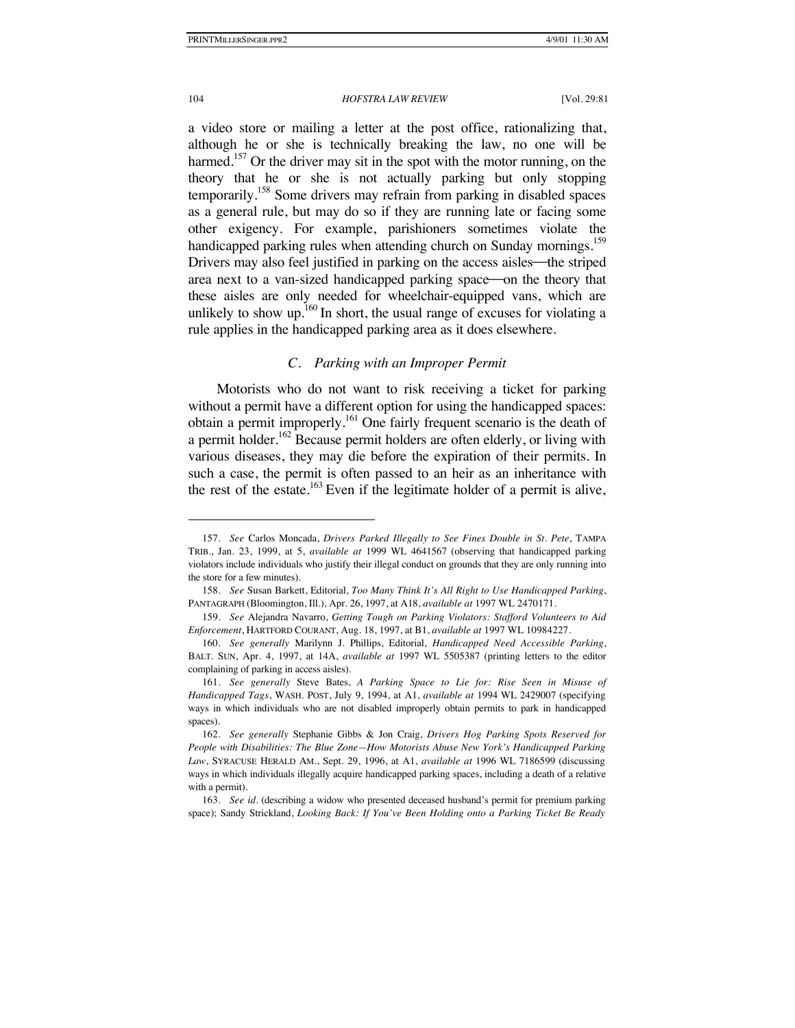a video store or mailing a letter at the post office, rationalizing that, although he or she is technically breaking the law, no one will be harmed.<sup>157</sup> Or the driver may sit in the spot with the motor running, on the theory that he or she is not actually parking but only stopping temporarily.<sup>158</sup> Some drivers may refrain from parking in disabled spaces as a general rule, but may do so if they are running late or facing some other exigency. For example, parishioners sometimes violate the handicapped parking rules when attending church on Sunday mornings.<sup>159</sup> Drivers may also feel justified in parking on the access aisles—the striped area next to a van-sized handicapped parking space—on the theory that these aisles are only needed for wheelchair-equipped vans, which are unlikely to show up.<sup>160</sup> In short, the usual range of excuses for violating a rule applies in the handicapped parking area as it does elsewhere.

## *C. Parking with an Improper Permit*

Motorists who do not want to risk receiving a ticket for parking without a permit have a different option for using the handicapped spaces: obtain a permit improperly.<sup>161</sup> One fairly frequent scenario is the death of a permit holder.<sup>162</sup> Because permit holders are often elderly, or living with various diseases, they may die before the expiration of their permits. In such a case, the permit is often passed to an heir as an inheritance with the rest of the estate.<sup>163</sup> Even if the legitimate holder of a permit is alive,

<sup>157.</sup> *See* Carlos Moncada, *Drivers Parked Illegally to See Fines Double in St. Pete*, TAMPA TRIB., Jan. 23, 1999, at 5, *available at* 1999 WL 4641567 (observing that handicapped parking violators include individuals who justify their illegal conduct on grounds that they are only running into the store for a few minutes).

<sup>158.</sup> *See* Susan Barkett, Editorial, *Too Many Think It's All Right to Use Handicapped Parking*, PANTAGRAPH (Bloomington, Ill.), Apr. 26, 1997, at A18, *available at* 1997 WL 2470171.

<sup>159.</sup> *See* Alejandra Navarro, *Getting Tough on Parking Violators: Stafford Volunteers to Aid Enforcement*, HARTFORD COURANT, Aug. 18, 1997, at B1, *available at* 1997 WL 10984227.

<sup>160.</sup> *See generally* Marilynn J. Phillips, Editorial, *Handicapped Need Accessible Parking*, BALT. SUN, Apr. 4, 1997, at 14A, *available at* 1997 WL 5505387 (printing letters to the editor complaining of parking in access aisles).

<sup>161.</sup> *See generally* Steve Bates, *A Parking Space to Lie for: Rise Seen in Misuse of Handicapped Tags*, WASH. POST, July 9, 1994, at A1, *available at* 1994 WL 2429007 (specifying ways in which individuals who are not disabled improperly obtain permits to park in handicapped spaces).

<sup>162.</sup> *See generally* Stephanie Gibbs & Jon Craig, *Drivers Hog Parking Spots Reserved for People with Disabilities: The Blue Zone—How Motorists Abuse New York's Handicapped Parking Law*, SYRACUSE HERALD AM., Sept. 29, 1996, at A1, *available at* 1996 WL 7186599 (discussing ways in which individuals illegally acquire handicapped parking spaces, including a death of a relative with a permit).

<sup>163.</sup> *See id.* (describing a widow who presented deceased husband's permit for premium parking space); Sandy Strickland, *Looking Back: If You've Been Holding onto a Parking Ticket Be Ready*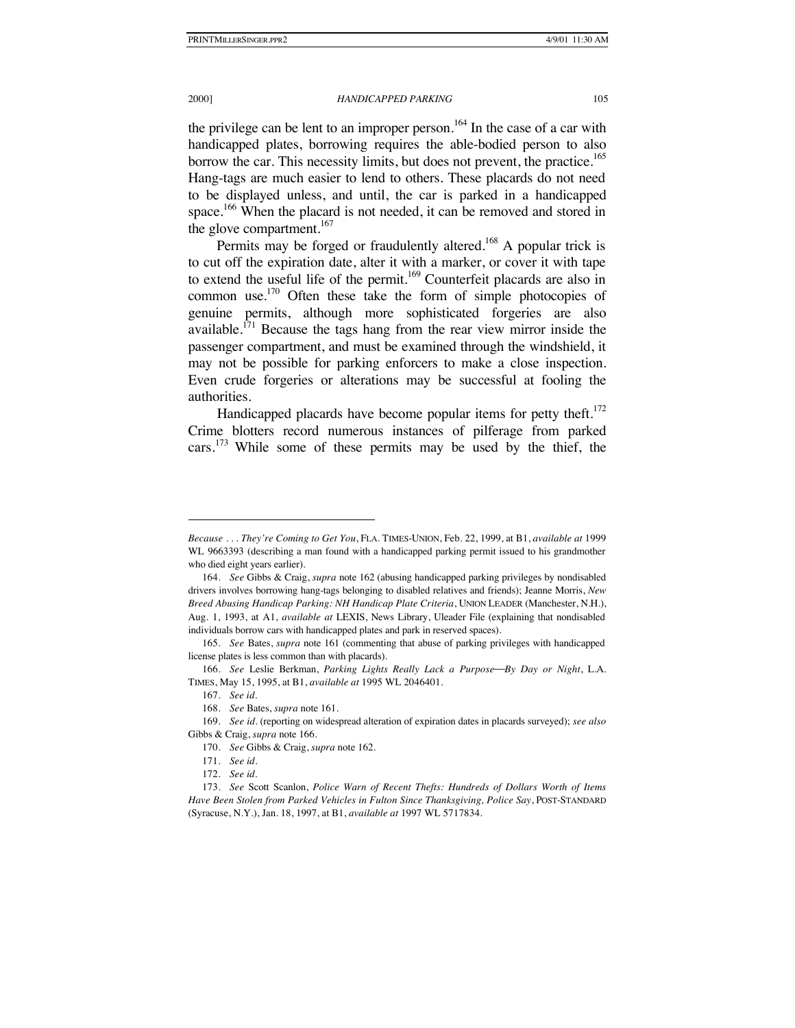the privilege can be lent to an improper person.<sup>164</sup> In the case of a car with handicapped plates, borrowing requires the able-bodied person to also borrow the car. This necessity limits, but does not prevent, the practice.<sup>165</sup> Hang-tags are much easier to lend to others. These placards do not need to be displayed unless, and until, the car is parked in a handicapped space.<sup>166</sup> When the placard is not needed, it can be removed and stored in the glove compartment. $167$ 

Permits may be forged or fraudulently altered.<sup>168</sup> A popular trick is to cut off the expiration date, alter it with a marker, or cover it with tape to extend the useful life of the permit.<sup>169</sup> Counterfeit placards are also in common use.<sup>170</sup> Often these take the form of simple photocopies of genuine permits, although more sophisticated forgeries are also available.<sup>171</sup> Because the tags hang from the rear view mirror inside the passenger compartment, and must be examined through the windshield, it may not be possible for parking enforcers to make a close inspection. Even crude forgeries or alterations may be successful at fooling the authorities.

Handicapped placards have become popular items for petty theft.<sup>172</sup> Crime blotters record numerous instances of pilferage from parked cars.<sup>173</sup> While some of these permits may be used by the thief, the

*Because* . . . *They're Coming to Get You*, FLA. TIMES-UNION, Feb. 22, 1999, at B1, *available at* 1999 WL 9663393 (describing a man found with a handicapped parking permit issued to his grandmother who died eight years earlier).

<sup>164.</sup> *See* Gibbs & Craig, *supra* note 162 (abusing handicapped parking privileges by nondisabled drivers involves borrowing hang-tags belonging to disabled relatives and friends); Jeanne Morris, *New Breed Abusing Handicap Parking: NH Handicap Plate Criteria*, UNION LEADER (Manchester, N.H.), Aug. 1, 1993, at A1, *available at* LEXIS, News Library, Uleader File (explaining that nondisabled individuals borrow cars with handicapped plates and park in reserved spaces).

<sup>165.</sup> *See* Bates, *supra* note 161 (commenting that abuse of parking privileges with handicapped license plates is less common than with placards).

<sup>166.</sup> *See* Leslie Berkman, *Parking Lights Really Lack a PurposeBy Day or Night*, L.A. TIMES, May 15, 1995, at B1, *available at* 1995 WL 2046401.

<sup>167.</sup> *See id.*

<sup>168.</sup> *See* Bates, *supra* note 161.

<sup>169.</sup> *See id.* (reporting on widespread alteration of expiration dates in placards surveyed); *see also*  Gibbs & Craig, *supra* note 166.

<sup>170.</sup> *See* Gibbs & Craig, *supra* note 162.

<sup>171.</sup> *See id*.

<sup>172.</sup> *See id.*

<sup>173.</sup> *See* Scott Scanlon, *Police Warn of Recent Thefts: Hundreds of Dollars Worth of Items Have Been Stolen from Parked Vehicles in Fulton Since Thanksgiving, Police Say*, POST-STANDARD (Syracuse, N.Y.), Jan. 18, 1997, at B1, *available at* 1997 WL 5717834.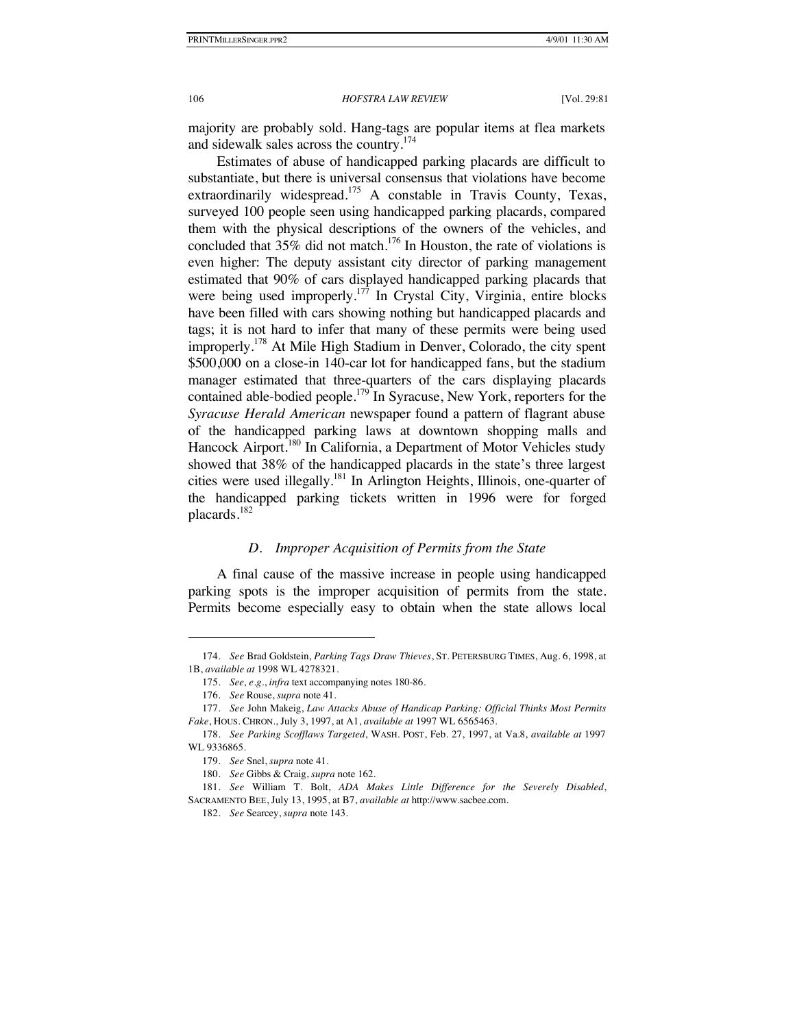majority are probably sold. Hang-tags are popular items at flea markets and sidewalk sales across the country.174

Estimates of abuse of handicapped parking placards are difficult to substantiate, but there is universal consensus that violations have become extraordinarily widespread.<sup>175</sup> A constable in Travis County, Texas, surveyed 100 people seen using handicapped parking placards, compared them with the physical descriptions of the owners of the vehicles, and concluded that  $35\%$  did not match.<sup>176</sup> In Houston, the rate of violations is even higher: The deputy assistant city director of parking management estimated that 90% of cars displayed handicapped parking placards that were being used improperly.<sup>177</sup> In Crystal City, Virginia, entire blocks have been filled with cars showing nothing but handicapped placards and tags; it is not hard to infer that many of these permits were being used improperly.<sup>178</sup> At Mile High Stadium in Denver, Colorado, the city spent \$500,000 on a close-in 140-car lot for handicapped fans, but the stadium manager estimated that three-quarters of the cars displaying placards contained able-bodied people.<sup>179</sup> In Syracuse, New York, reporters for the *Syracuse Herald American* newspaper found a pattern of flagrant abuse of the handicapped parking laws at downtown shopping malls and Hancock Airport.<sup>180</sup> In California, a Department of Motor Vehicles study showed that 38% of the handicapped placards in the state's three largest cities were used illegally.<sup>181</sup> In Arlington Heights, Illinois, one-quarter of the handicapped parking tickets written in 1996 were for forged placards.<sup>182</sup>

# *D. Improper Acquisition of Permits from the State*

A final cause of the massive increase in people using handicapped parking spots is the improper acquisition of permits from the state. Permits become especially easy to obtain when the state allows local

<sup>174.</sup> *See* Brad Goldstein, *Parking Tags Draw Thieves*, ST. PETERSBURG TIMES, Aug. 6, 1998, at 1B, *available at* 1998 WL 4278321.

<sup>175.</sup> *See, e.g.*, *infra* text accompanying notes 180-86.

<sup>176.</sup> *See* Rouse, *supra* note 41.

<sup>177.</sup> *See* John Makeig, *Law Attacks Abuse of Handicap Parking: Official Thinks Most Permits Fake*, HOUS. CHRON., July 3, 1997, at A1, *available at* 1997 WL 6565463.

<sup>178.</sup> *See Parking Scofflaws Targeted*, WASH. POST, Feb. 27, 1997, at Va.8, *available at* 1997 WL 9336865.

<sup>179.</sup> *See* Snel, *supra* note 41.

<sup>180.</sup> *See* Gibbs & Craig, *supra* note 162.

<sup>181.</sup> *See* William T. Bolt, *ADA Makes Little Difference for the Severely Disabled*, SACRAMENTO BEE, July 13, 1995, at B7, *available at* http://www.sacbee.com.

<sup>182.</sup> *See* Searcey, *supra* note 143.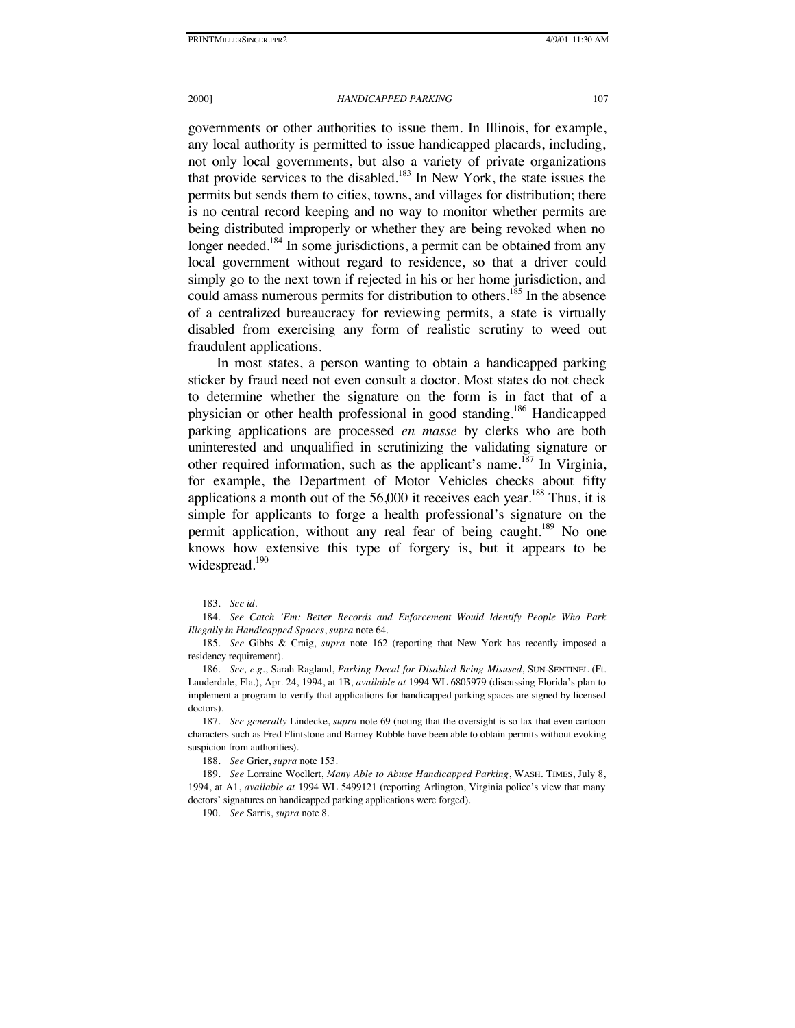governments or other authorities to issue them. In Illinois, for example, any local authority is permitted to issue handicapped placards, including, not only local governments, but also a variety of private organizations that provide services to the disabled.<sup>183</sup> In New York, the state issues the permits but sends them to cities, towns, and villages for distribution; there is no central record keeping and no way to monitor whether permits are being distributed improperly or whether they are being revoked when no longer needed.<sup>184</sup> In some jurisdictions, a permit can be obtained from any local government without regard to residence, so that a driver could simply go to the next town if rejected in his or her home jurisdiction, and could amass numerous permits for distribution to others.<sup>185</sup> In the absence of a centralized bureaucracy for reviewing permits, a state is virtually disabled from exercising any form of realistic scrutiny to weed out fraudulent applications.

In most states, a person wanting to obtain a handicapped parking sticker by fraud need not even consult a doctor. Most states do not check to determine whether the signature on the form is in fact that of a physician or other health professional in good standing.<sup>186</sup> Handicapped parking applications are processed *en masse* by clerks who are both uninterested and unqualified in scrutinizing the validating signature or other required information, such as the applicant's name.<sup>187</sup> In Virginia, for example, the Department of Motor Vehicles checks about fifty applications a month out of the  $56,000$  it receives each year.<sup>188</sup> Thus, it is simple for applicants to forge a health professional's signature on the permit application, without any real fear of being caught.<sup>189</sup> No one knows how extensive this type of forgery is, but it appears to be widespread.<sup>190</sup>

<sup>183.</sup> *See id.*

<sup>184.</sup> *See Catch 'Em: Better Records and Enforcement Would Identify People Who Park Illegally in Handicapped Spaces*, *supra* note 64.

<sup>185.</sup> *See* Gibbs & Craig, *supra* note 162 (reporting that New York has recently imposed a residency requirement).

<sup>186.</sup> *See, e.g.*, Sarah Ragland, *Parking Decal for Disabled Being Misused*, SUN-SENTINEL (Ft. Lauderdale, Fla.), Apr. 24, 1994, at 1B, *available at* 1994 WL 6805979 (discussing Florida's plan to implement a program to verify that applications for handicapped parking spaces are signed by licensed doctors).

<sup>187.</sup> *See generally* Lindecke, *supra* note 69 (noting that the oversight is so lax that even cartoon characters such as Fred Flintstone and Barney Rubble have been able to obtain permits without evoking suspicion from authorities).

<sup>188.</sup> *See* Grier, *supra* note 153.

<sup>189.</sup> *See* Lorraine Woellert, *Many Able to Abuse Handicapped Parking*, WASH. TIMES, July 8, 1994, at A1, *available at* 1994 WL 5499121 (reporting Arlington, Virginia police's view that many doctors' signatures on handicapped parking applications were forged).

<sup>190.</sup> *See* Sarris, *supra* note 8.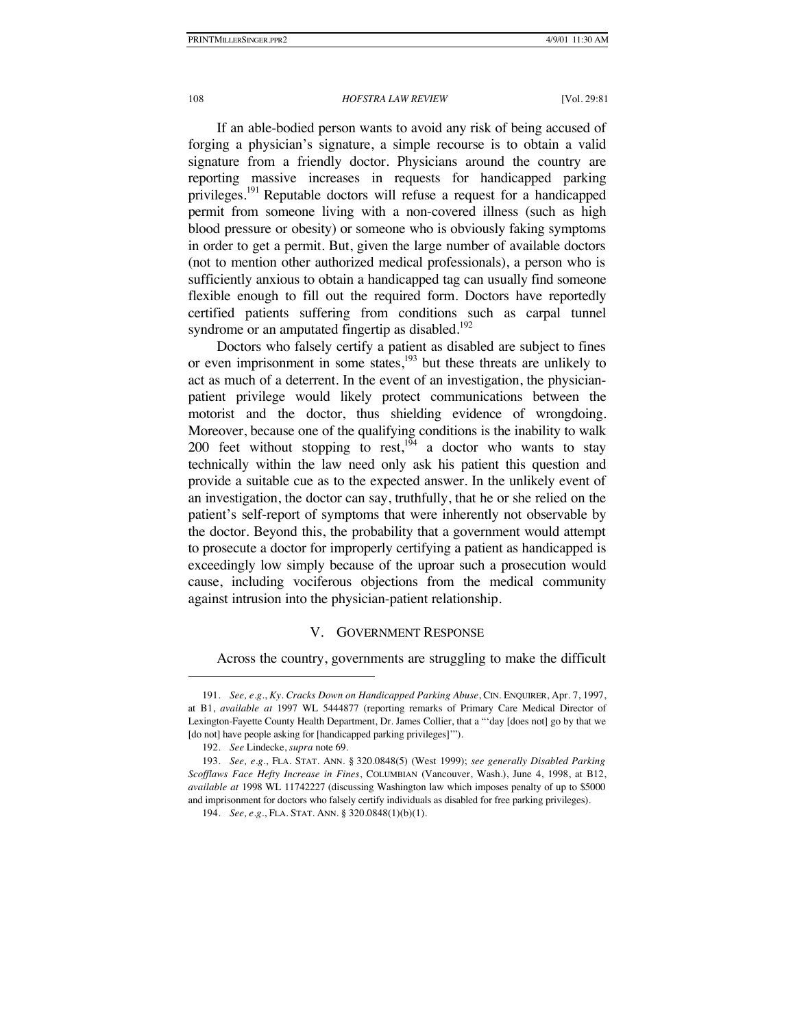If an able-bodied person wants to avoid any risk of being accused of forging a physician's signature, a simple recourse is to obtain a valid signature from a friendly doctor. Physicians around the country are reporting massive increases in requests for handicapped parking privileges.<sup>191</sup> Reputable doctors will refuse a request for a handicapped permit from someone living with a non-covered illness (such as high blood pressure or obesity) or someone who is obviously faking symptoms in order to get a permit. But, given the large number of available doctors (not to mention other authorized medical professionals), a person who is sufficiently anxious to obtain a handicapped tag can usually find someone flexible enough to fill out the required form. Doctors have reportedly certified patients suffering from conditions such as carpal tunnel syndrome or an amputated fingertip as disabled.<sup>192</sup>

Doctors who falsely certify a patient as disabled are subject to fines or even imprisonment in some states,<sup>193</sup> but these threats are unlikely to act as much of a deterrent. In the event of an investigation, the physicianpatient privilege would likely protect communications between the motorist and the doctor, thus shielding evidence of wrongdoing. Moreover, because one of the qualifying conditions is the inability to walk 200 feet without stopping to rest,<sup>194</sup> a doctor who wants to stay technically within the law need only ask his patient this question and provide a suitable cue as to the expected answer. In the unlikely event of an investigation, the doctor can say, truthfully, that he or she relied on the patient's self-report of symptoms that were inherently not observable by the doctor. Beyond this, the probability that a government would attempt to prosecute a doctor for improperly certifying a patient as handicapped is exceedingly low simply because of the uproar such a prosecution would cause, including vociferous objections from the medical community against intrusion into the physician-patient relationship.

### V. GOVERNMENT RESPONSE

Across the country, governments are struggling to make the difficult

<sup>191.</sup> *See, e.g.*, *Ky. Cracks Down on Handicapped Parking Abuse*, CIN. ENQUIRER, Apr. 7, 1997, at B1, *available at* 1997 WL 5444877 (reporting remarks of Primary Care Medical Director of Lexington-Fayette County Health Department, Dr. James Collier, that a "'day [does not] go by that we [do not] have people asking for [handicapped parking privileges]'").

<sup>192.</sup> *See* Lindecke, *supra* note 69.

<sup>193.</sup> *See, e.g.*, FLA. STAT. ANN. § 320.0848(5) (West 1999); *see generally Disabled Parking Scofflaws Face Hefty Increase in Fines*, COLUMBIAN (Vancouver, Wash.), June 4, 1998, at B12, *available at* 1998 WL 11742227 (discussing Washington law which imposes penalty of up to \$5000 and imprisonment for doctors who falsely certify individuals as disabled for free parking privileges).

<sup>194.</sup> *See, e.g.*, FLA. STAT. ANN. § 320.0848(1)(b)(1).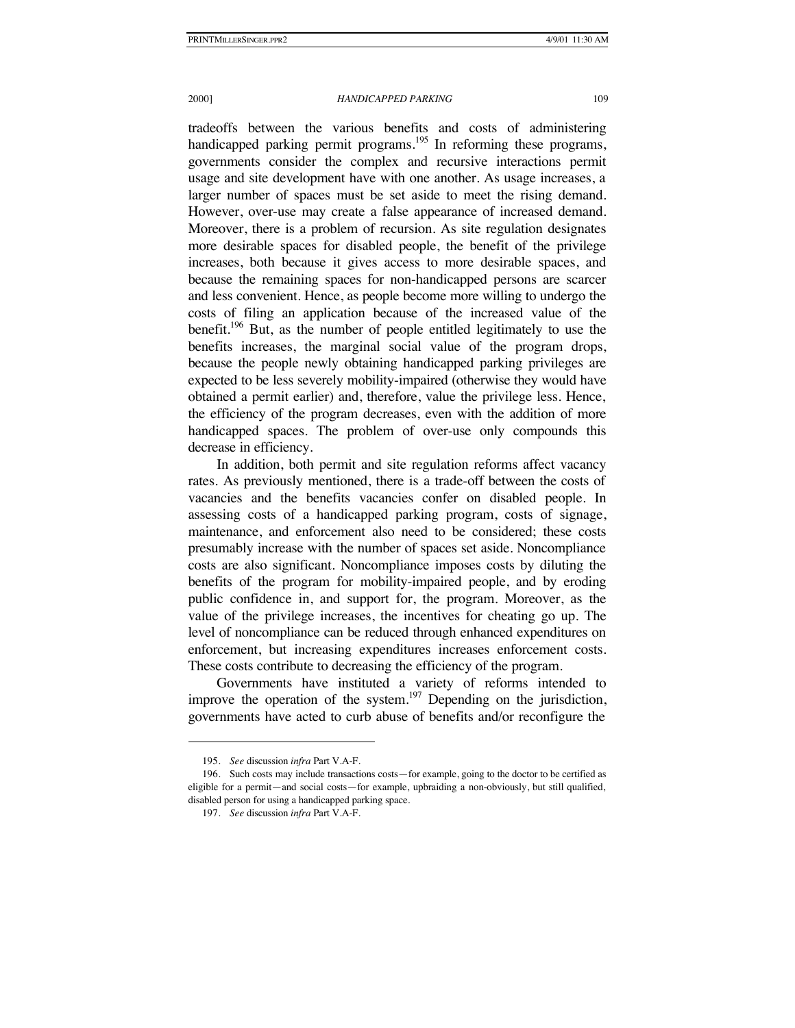tradeoffs between the various benefits and costs of administering handicapped parking permit programs.<sup>195</sup> In reforming these programs, governments consider the complex and recursive interactions permit usage and site development have with one another. As usage increases, a larger number of spaces must be set aside to meet the rising demand. However, over-use may create a false appearance of increased demand. Moreover, there is a problem of recursion. As site regulation designates more desirable spaces for disabled people, the benefit of the privilege increases, both because it gives access to more desirable spaces, and because the remaining spaces for non-handicapped persons are scarcer and less convenient. Hence, as people become more willing to undergo the costs of filing an application because of the increased value of the benefit.<sup>196</sup> But, as the number of people entitled legitimately to use the benefits increases, the marginal social value of the program drops, because the people newly obtaining handicapped parking privileges are expected to be less severely mobility-impaired (otherwise they would have obtained a permit earlier) and, therefore, value the privilege less. Hence, the efficiency of the program decreases, even with the addition of more handicapped spaces. The problem of over-use only compounds this decrease in efficiency.

In addition, both permit and site regulation reforms affect vacancy rates. As previously mentioned, there is a trade-off between the costs of vacancies and the benefits vacancies confer on disabled people. In assessing costs of a handicapped parking program, costs of signage, maintenance, and enforcement also need to be considered; these costs presumably increase with the number of spaces set aside. Noncompliance costs are also significant. Noncompliance imposes costs by diluting the benefits of the program for mobility-impaired people, and by eroding public confidence in, and support for, the program. Moreover, as the value of the privilege increases, the incentives for cheating go up. The level of noncompliance can be reduced through enhanced expenditures on enforcement, but increasing expenditures increases enforcement costs. These costs contribute to decreasing the efficiency of the program.

Governments have instituted a variety of reforms intended to improve the operation of the system.<sup>197</sup> Depending on the jurisdiction, governments have acted to curb abuse of benefits and/or reconfigure the

<sup>195.</sup> *See* discussion *infra* Part V.A-F.

<sup>196.</sup> Such costs may include transactions costs—for example, going to the doctor to be certified as eligible for a permit—and social costs—for example, upbraiding a non-obviously, but still qualified, disabled person for using a handicapped parking space.

<sup>197.</sup> *See* discussion *infra* Part V.A-F.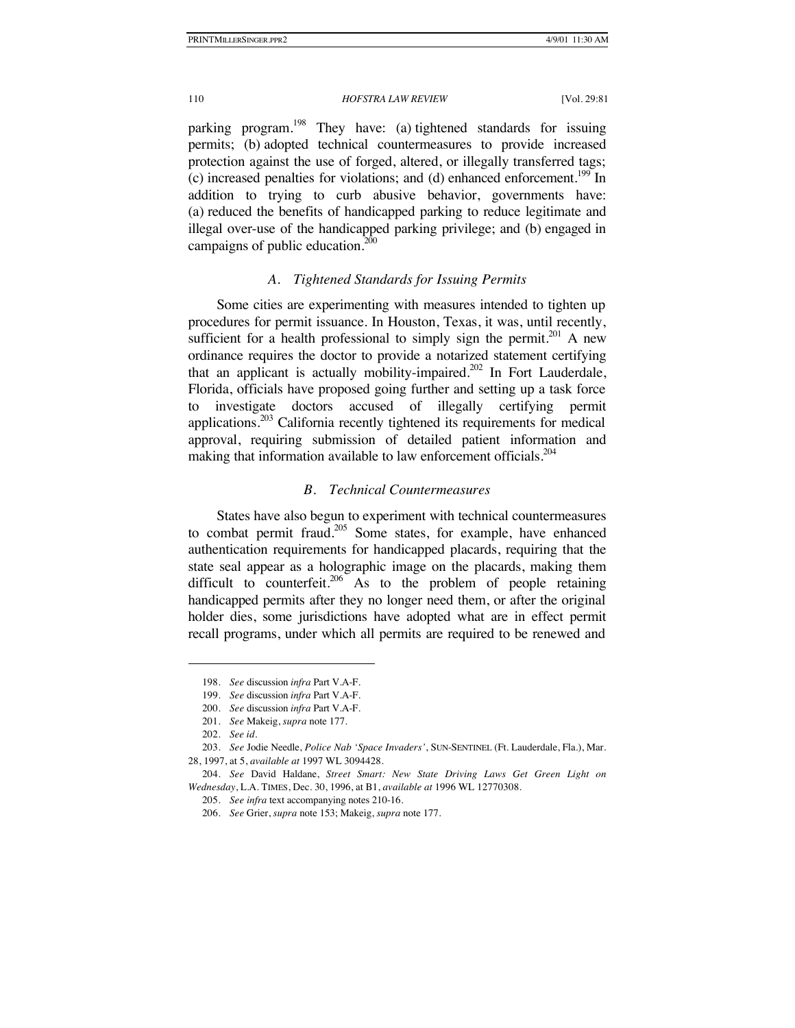parking program.<sup>198</sup> They have: (a) tightened standards for issuing permits; (b) adopted technical countermeasures to provide increased protection against the use of forged, altered, or illegally transferred tags; (c) increased penalties for violations; and (d) enhanced enforcement.<sup>199</sup> In addition to trying to curb abusive behavior, governments have: (a) reduced the benefits of handicapped parking to reduce legitimate and illegal over-use of the handicapped parking privilege; and (b) engaged in campaigns of public education. $<sup>2</sup>$ </sup>

### *A. Tightened Standards for Issuing Permits*

Some cities are experimenting with measures intended to tighten up procedures for permit issuance. In Houston, Texas, it was, until recently, sufficient for a health professional to simply sign the permit.<sup>201</sup> A new ordinance requires the doctor to provide a notarized statement certifying that an applicant is actually mobility-impaired.<sup>202</sup> In Fort Lauderdale, Florida, officials have proposed going further and setting up a task force to investigate doctors accused of illegally certifying permit applications.203 California recently tightened its requirements for medical approval, requiring submission of detailed patient information and making that information available to law enforcement officials.<sup>204</sup>

### *B. Technical Countermeasures*

States have also begun to experiment with technical countermeasures to combat permit fraud.205 Some states, for example, have enhanced authentication requirements for handicapped placards, requiring that the state seal appear as a holographic image on the placards, making them difficult to counterfeit.<sup>206</sup> As to the problem of people retaining handicapped permits after they no longer need them, or after the original holder dies, some jurisdictions have adopted what are in effect permit recall programs, under which all permits are required to be renewed and

<sup>198.</sup> *See* discussion *infra* Part V.A-F.

<sup>199.</sup> *See* discussion *infra* Part V.A-F.

<sup>200.</sup> *See* discussion *infra* Part V.A-F.

<sup>201.</sup> *See* Makeig, *supra* note 177.

<sup>202.</sup> *See id.* 

<sup>203.</sup> *See* Jodie Needle, *Police Nab 'Space Invaders'*, SUN-SENTINEL (Ft. Lauderdale, Fla.), Mar. 28, 1997, at 5, *available at* 1997 WL 3094428.

<sup>204.</sup> *See* David Haldane, *Street Smart: New State Driving Laws Get Green Light on Wednesday*, L.A. TIMES, Dec. 30, 1996, at B1, *available at* 1996 WL 12770308.

<sup>205.</sup> *See infra* text accompanying notes 210-16.

<sup>206.</sup> *See* Grier, *supra* note 153; Makeig, *supra* note 177.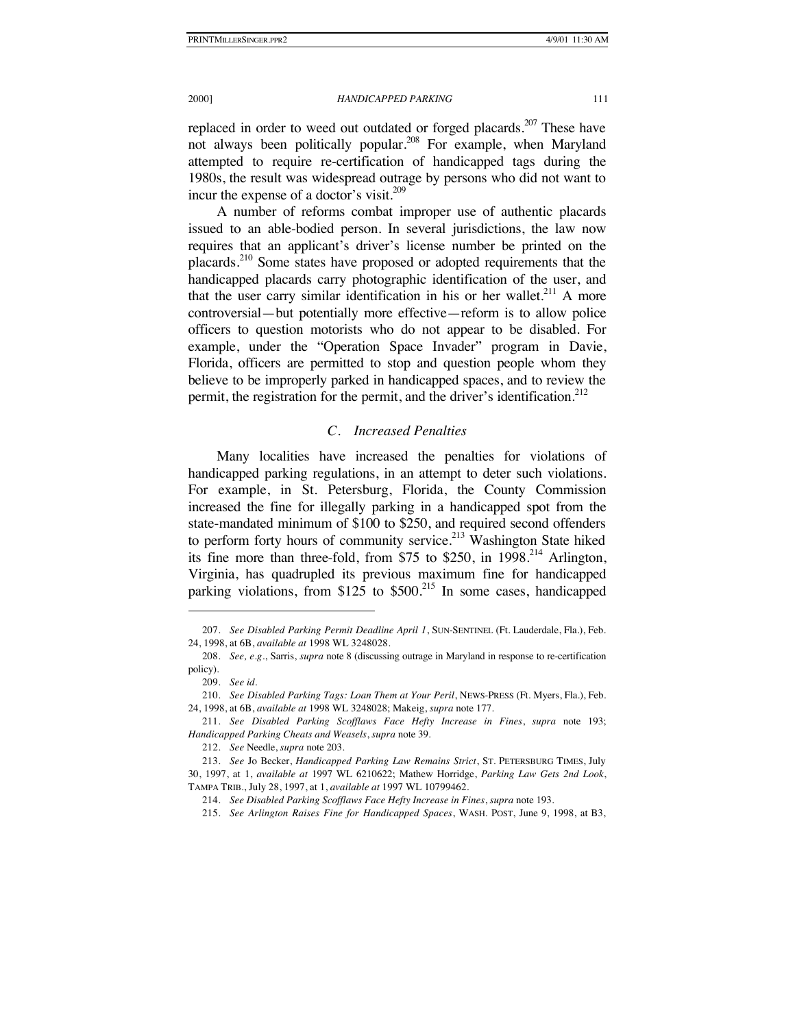replaced in order to weed out outdated or forged placards.<sup>207</sup> These have not always been politically popular.<sup>208</sup> For example, when Maryland attempted to require re-certification of handicapped tags during the 1980s, the result was widespread outrage by persons who did not want to incur the expense of a doctor's visit.<sup>209</sup>

A number of reforms combat improper use of authentic placards issued to an able-bodied person. In several jurisdictions, the law now requires that an applicant's driver's license number be printed on the placards.<sup>210</sup> Some states have proposed or adopted requirements that the handicapped placards carry photographic identification of the user, and that the user carry similar identification in his or her wallet.<sup>211</sup> A more controversial—but potentially more effective—reform is to allow police officers to question motorists who do not appear to be disabled. For example, under the "Operation Space Invader" program in Davie, Florida, officers are permitted to stop and question people whom they believe to be improperly parked in handicapped spaces, and to review the permit, the registration for the permit, and the driver's identification.<sup>212</sup>

# *C. Increased Penalties*

Many localities have increased the penalties for violations of handicapped parking regulations, in an attempt to deter such violations. For example, in St. Petersburg, Florida, the County Commission increased the fine for illegally parking in a handicapped spot from the state-mandated minimum of \$100 to \$250, and required second offenders to perform forty hours of community service.<sup>213</sup> Washington State hiked its fine more than three-fold, from \$75 to \$250, in  $1998<sup>214</sup>$  Arlington, Virginia, has quadrupled its previous maximum fine for handicapped parking violations, from \$125 to  $$500<sup>215</sup>$  In some cases, handicapped

<sup>207.</sup> *See Disabled Parking Permit Deadline April 1*, SUN-SENTINEL (Ft. Lauderdale, Fla.), Feb. 24, 1998, at 6B, *available at* 1998 WL 3248028.

<sup>208.</sup> *See, e.g.*, Sarris, *supra* note 8 (discussing outrage in Maryland in response to re-certification policy).

<sup>209.</sup> *See id.* 

<sup>210.</sup> *See Disabled Parking Tags: Loan Them at Your Peril*, NEWS-PRESS (Ft. Myers, Fla.), Feb. 24, 1998, at 6B, *available at* 1998 WL 3248028; Makeig, *supra* note 177.

<sup>211.</sup> *See Disabled Parking Scofflaws Face Hefty Increase in Fines*, *supra* note 193; *Handicapped Parking Cheats and Weasels*, *supra* note 39.

<sup>212.</sup> *See* Needle, *supra* note 203.

<sup>213.</sup> *See* Jo Becker, *Handicapped Parking Law Remains Strict*, ST. PETERSBURG TIMES, July 30, 1997, at 1, *available at* 1997 WL 6210622; Mathew Horridge, *Parking Law Gets 2nd Look*, TAMPA TRIB., July 28, 1997, at 1, *available at* 1997 WL 10799462.

<sup>214.</sup> *See Disabled Parking Scofflaws Face Hefty Increase in Fines*, *supra* note 193.

<sup>215.</sup> *See Arlington Raises Fine for Handicapped Spaces*, WASH. POST, June 9, 1998, at B3,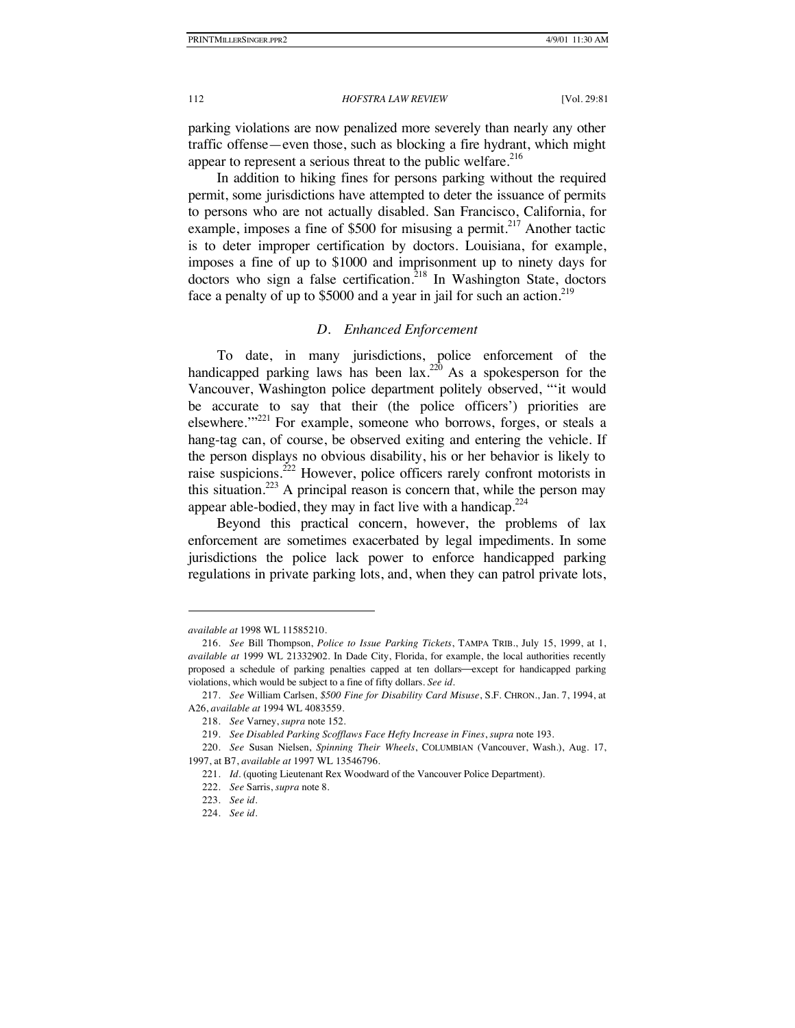parking violations are now penalized more severely than nearly any other traffic offense—even those, such as blocking a fire hydrant, which might appear to represent a serious threat to the public welfare.<sup>216</sup>

In addition to hiking fines for persons parking without the required permit, some jurisdictions have attempted to deter the issuance of permits to persons who are not actually disabled. San Francisco, California, for example, imposes a fine of \$500 for misusing a permit.<sup>217</sup> Another tactic is to deter improper certification by doctors. Louisiana, for example, imposes a fine of up to \$1000 and imprisonment up to ninety days for doctors who sign a false certification.<sup>218</sup> In Washington State, doctors face a penalty of up to  $$5000$  and a year in jail for such an action.<sup>219</sup>

# *D. Enhanced Enforcement*

To date, in many jurisdictions, police enforcement of the handicapped parking laws has been lax.<sup>220</sup> As a spokesperson for the Vancouver, Washington police department politely observed, "'it would be accurate to say that their (the police officers') priorities are elsewhere."<sup>221</sup> For example, someone who borrows, forges, or steals a hang-tag can, of course, be observed exiting and entering the vehicle. If the person displays no obvious disability, his or her behavior is likely to raise suspicions.<sup>222</sup> However, police officers rarely confront motorists in this situation.<sup>223</sup> A principal reason is concern that, while the person may appear able-bodied, they may in fact live with a handicap. $2^{24}$ 

Beyond this practical concern, however, the problems of lax enforcement are sometimes exacerbated by legal impediments. In some jurisdictions the police lack power to enforce handicapped parking regulations in private parking lots, and, when they can patrol private lots,

*available at* 1998 WL 11585210.

<sup>216.</sup> *See* Bill Thompson, *Police to Issue Parking Tickets*, TAMPA TRIB., July 15, 1999, at 1, *available at* 1999 WL 21332902. In Dade City, Florida, for example, the local authorities recently proposed a schedule of parking penalties capped at ten dollars-except for handicapped parking violations, which would be subject to a fine of fifty dollars. *See id.*

<sup>217.</sup> *See* William Carlsen, *\$500 Fine for Disability Card Misuse*, S.F. CHRON., Jan. 7, 1994, at A26, *available at* 1994 WL 4083559.

<sup>218.</sup> *See* Varney, *supra* note 152.

<sup>219.</sup> *See Disabled Parking Scofflaws Face Hefty Increase in Fines*, *supra* note 193.

<sup>220.</sup> *See* Susan Nielsen, *Spinning Their Wheels*, COLUMBIAN (Vancouver, Wash.), Aug. 17, 1997, at B7, *available at* 1997 WL 13546796.

<sup>221.</sup> *Id.* (quoting Lieutenant Rex Woodward of the Vancouver Police Department).

<sup>222.</sup> *See* Sarris, *supra* note 8.

<sup>223.</sup> *See id*.

<sup>224.</sup> *See id*.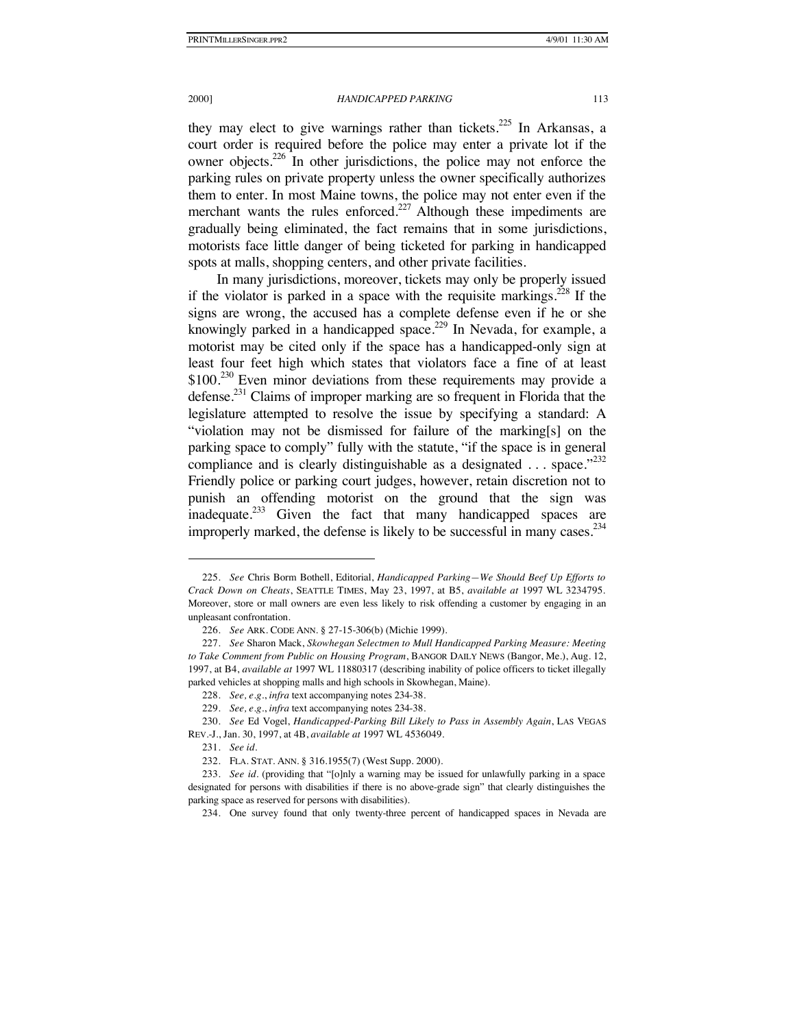they may elect to give warnings rather than tickets.<sup>225</sup> In Arkansas, a court order is required before the police may enter a private lot if the owner objects.<sup>226</sup> In other jurisdictions, the police may not enforce the parking rules on private property unless the owner specifically authorizes them to enter. In most Maine towns, the police may not enter even if the merchant wants the rules enforced.<sup>227</sup> Although these impediments are gradually being eliminated, the fact remains that in some jurisdictions, motorists face little danger of being ticketed for parking in handicapped spots at malls, shopping centers, and other private facilities.

In many jurisdictions, moreover, tickets may only be properly issued if the violator is parked in a space with the requisite markings.<sup>228</sup> If the signs are wrong, the accused has a complete defense even if he or she knowingly parked in a handicapped space.<sup>229</sup> In Nevada, for example, a motorist may be cited only if the space has a handicapped-only sign at least four feet high which states that violators face a fine of at least  $$100<sup>230</sup>$  Even minor deviations from these requirements may provide a defense.<sup>231</sup> Claims of improper marking are so frequent in Florida that the legislature attempted to resolve the issue by specifying a standard: A "violation may not be dismissed for failure of the marking[s] on the parking space to comply" fully with the statute, "if the space is in general compliance and is clearly distinguishable as a designated  $\dots$  space."<sup>232</sup> Friendly police or parking court judges, however, retain discretion not to punish an offending motorist on the ground that the sign was inadequate.<sup>233</sup> Given the fact that many handicapped spaces are improperly marked, the defense is likely to be successful in many cases. $^{234}$ 

<sup>225.</sup> *See* Chris Borm Bothell, Editorial, *Handicapped Parking—We Should Beef Up Efforts to Crack Down on Cheats*, SEATTLE TIMES, May 23, 1997, at B5, *available at* 1997 WL 3234795. Moreover, store or mall owners are even less likely to risk offending a customer by engaging in an unpleasant confrontation.

<sup>226.</sup> *See* ARK. CODE ANN. § 27-15-306(b) (Michie 1999).

<sup>227.</sup> *See* Sharon Mack, *Skowhegan Selectmen to Mull Handicapped Parking Measure: Meeting to Take Comment from Public on Housing Program*, BANGOR DAILY NEWS (Bangor, Me.), Aug. 12, 1997, at B4, *available at* 1997 WL 11880317 (describing inability of police officers to ticket illegally parked vehicles at shopping malls and high schools in Skowhegan, Maine).

<sup>228.</sup> *See, e.g.*, *infra* text accompanying notes 234-38.

<sup>229.</sup> *See, e.g.*, *infra* text accompanying notes 234-38.

<sup>230.</sup> *See* Ed Vogel, *Handicapped-Parking Bill Likely to Pass in Assembly Again*, LAS VEGAS REV.-J., Jan. 30, 1997, at 4B, *available at* 1997 WL 4536049.

<sup>231.</sup> *See id.*

<sup>232.</sup> FLA. STAT. ANN. § 316.1955(7) (West Supp. 2000).

<sup>233.</sup> *See id*. (providing that "[o]nly a warning may be issued for unlawfully parking in a space designated for persons with disabilities if there is no above-grade sign" that clearly distinguishes the parking space as reserved for persons with disabilities).

<sup>234.</sup> One survey found that only twenty-three percent of handicapped spaces in Nevada are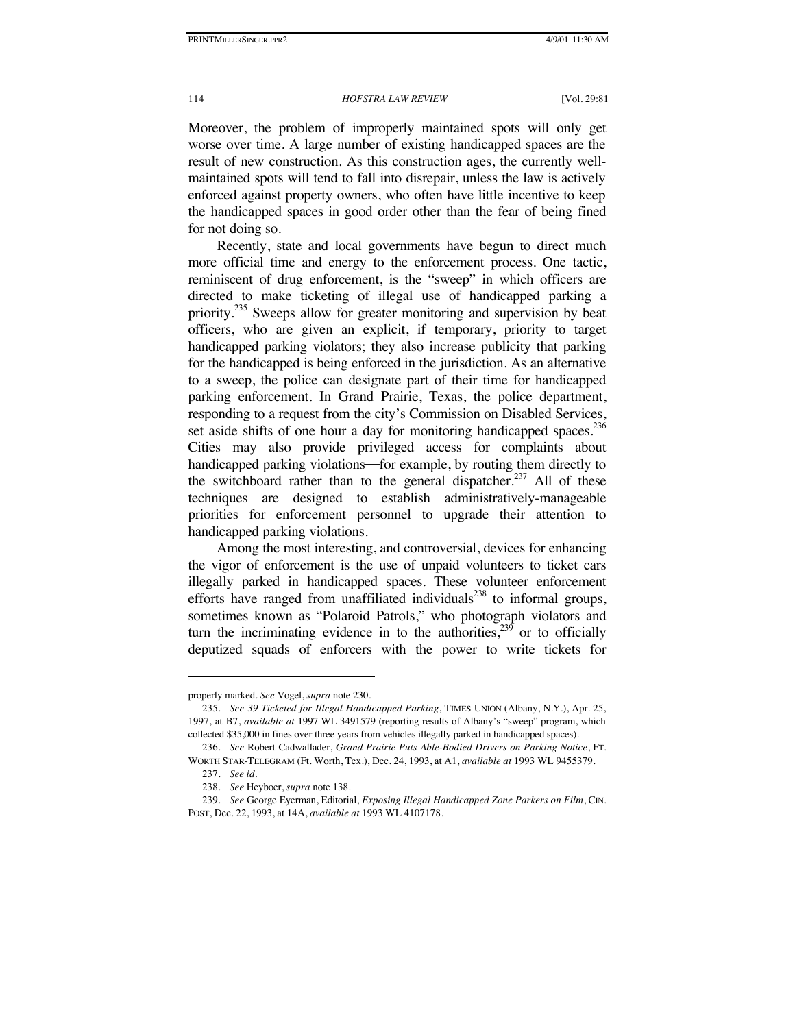Moreover, the problem of improperly maintained spots will only get worse over time. A large number of existing handicapped spaces are the result of new construction. As this construction ages, the currently wellmaintained spots will tend to fall into disrepair, unless the law is actively enforced against property owners, who often have little incentive to keep the handicapped spaces in good order other than the fear of being fined for not doing so.

Recently, state and local governments have begun to direct much more official time and energy to the enforcement process. One tactic, reminiscent of drug enforcement, is the "sweep" in which officers are directed to make ticketing of illegal use of handicapped parking a priority.<sup>235</sup> Sweeps allow for greater monitoring and supervision by beat officers, who are given an explicit, if temporary, priority to target handicapped parking violators; they also increase publicity that parking for the handicapped is being enforced in the jurisdiction. As an alternative to a sweep, the police can designate part of their time for handicapped parking enforcement. In Grand Prairie, Texas, the police department, responding to a request from the city's Commission on Disabled Services, set aside shifts of one hour a day for monitoring handicapped spaces. $236$ Cities may also provide privileged access for complaints about handicapped parking violations-for example, by routing them directly to the switchboard rather than to the general dispatcher.<sup>237</sup> All of these techniques are designed to establish administratively-manageable

priorities for enforcement personnel to upgrade their attention to handicapped parking violations. Among the most interesting, and controversial, devices for enhancing

the vigor of enforcement is the use of unpaid volunteers to ticket cars illegally parked in handicapped spaces. These volunteer enforcement efforts have ranged from unaffiliated individuals<sup>238</sup> to informal groups, sometimes known as "Polaroid Patrols," who photograph violators and turn the incriminating evidence in to the authorities,<sup>239</sup> or to officially deputized squads of enforcers with the power to write tickets for

properly marked. *See* Vogel, *supra* note 230.

<sup>235.</sup> *See 39 Ticketed for Illegal Handicapped Parking*, TIMES UNION (Albany, N.Y.), Apr. 25, 1997, at B7, *available at* 1997 WL 3491579 (reporting results of Albany's "sweep" program, which collected \$35,000 in fines over three years from vehicles illegally parked in handicapped spaces).

<sup>236.</sup> *See* Robert Cadwallader, *Grand Prairie Puts Able-Bodied Drivers on Parking Notice*, FT. WORTH STAR-TELEGRAM (Ft. Worth, Tex.), Dec. 24, 1993, at A1, *available at* 1993 WL 9455379.

<sup>237.</sup> *See id.*

<sup>238.</sup> *See* Heyboer, *supra* note 138.

<sup>239.</sup> *See* George Eyerman, Editorial, *Exposing Illegal Handicapped Zone Parkers on Film*, CIN. POST, Dec. 22, 1993, at 14A, *available at* 1993 WL 4107178.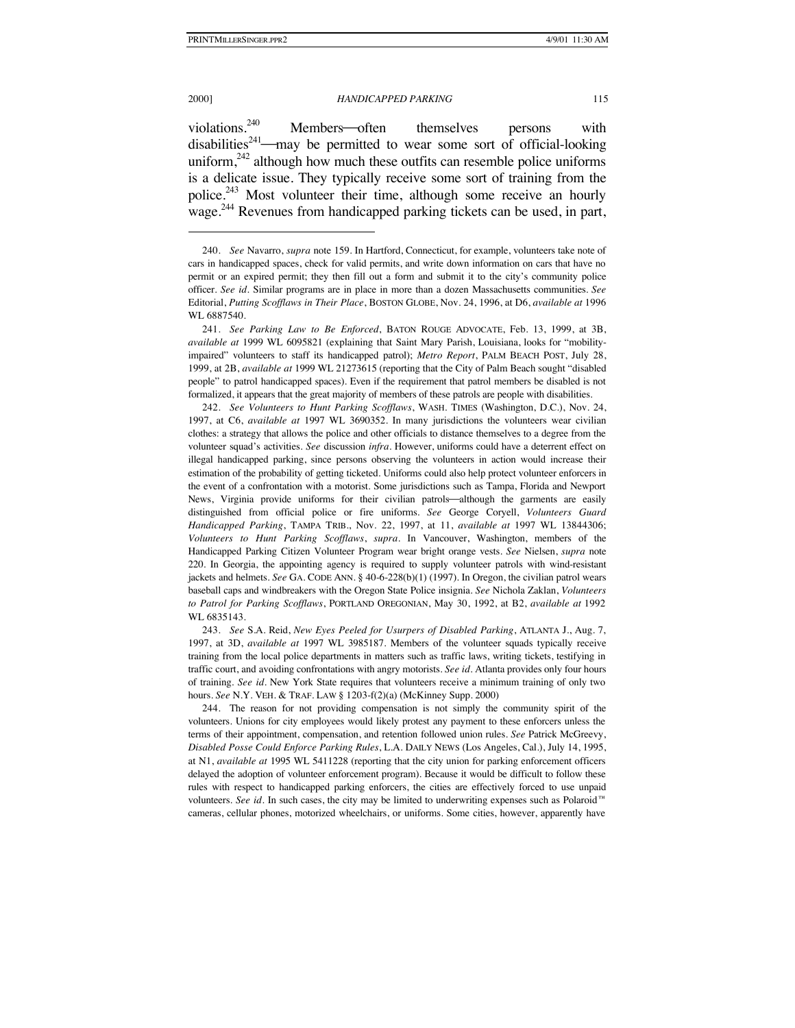2000] *HANDICAPPED PARKING* 115

violations.<sup>240</sup> Members often themselves persons with disabilities<sup>241</sup>—may be permitted to wear some sort of official-looking uniform, $242$  although how much these outfits can resemble police uniforms is a delicate issue. They typically receive some sort of training from the police.<sup>243</sup> Most volunteer their time, although some receive an hourly wage.<sup>244</sup> Revenues from handicapped parking tickets can be used, in part,

242. *See Volunteers to Hunt Parking Scofflaws*, WASH. TIMES (Washington, D.C.), Nov. 24, 1997, at C6, *available at* 1997 WL 3690352. In many jurisdictions the volunteers wear civilian clothes: a strategy that allows the police and other officials to distance themselves to a degree from the volunteer squad's activities. *See* discussion *infra*. However, uniforms could have a deterrent effect on illegal handicapped parking, since persons observing the volunteers in action would increase their estimation of the probability of getting ticketed. Uniforms could also help protect volunteer enforcers in the event of a confrontation with a motorist. Some jurisdictions such as Tampa, Florida and Newport News, Virginia provide uniforms for their civilian patrols—although the garments are easily distinguished from official police or fire uniforms. *See* George Coryell, *Volunteers Guard Handicapped Parking*, TAMPA TRIB., Nov. 22, 1997, at 11, *available at* 1997 WL 13844306; *Volunteers to Hunt Parking Scofflaws*, *supra*. In Vancouver, Washington, members of the Handicapped Parking Citizen Volunteer Program wear bright orange vests. *See* Nielsen, *supra* note 220. In Georgia, the appointing agency is required to supply volunteer patrols with wind-resistant jackets and helmets. *See* GA. CODE ANN. § 40-6-228(b)(1) (1997). In Oregon, the civilian patrol wears baseball caps and windbreakers with the Oregon State Police insignia. *See* Nichola Zaklan, *Volunteers to Patrol for Parking Scofflaws*, PORTLAND OREGONIAN, May 30, 1992, at B2, *available at* 1992 WL 6835143.

243. *See* S.A. Reid, *New Eyes Peeled for Usurpers of Disabled Parking*, ATLANTA J., Aug. 7, 1997, at 3D, *available at* 1997 WL 3985187. Members of the volunteer squads typically receive training from the local police departments in matters such as traffic laws, writing tickets, testifying in traffic court, and avoiding confrontations with angry motorists. *See id*. Atlanta provides only four hours of training. *See id*. New York State requires that volunteers receive a minimum training of only two hours. *See* N.Y. VEH. & TRAF. LAW § 1203-f(2)(a) (McKinney Supp. 2000)

244. The reason for not providing compensation is not simply the community spirit of the volunteers. Unions for city employees would likely protest any payment to these enforcers unless the terms of their appointment, compensation, and retention followed union rules. *See* Patrick McGreevy, *Disabled Posse Could Enforce Parking Rules*, L.A. DAILY NEWS (Los Angeles, Cal.), July 14, 1995, at N1, *available at* 1995 WL 5411228 (reporting that the city union for parking enforcement officers delayed the adoption of volunteer enforcement program). Because it would be difficult to follow these rules with respect to handicapped parking enforcers, the cities are effectively forced to use unpaid volunteers. *See id.* In such cases, the city may be limited to underwriting expenses such as Polaroid<sup>™</sup> cameras, cellular phones, motorized wheelchairs, or uniforms. Some cities, however, apparently have

<sup>240.</sup> *See* Navarro, *supra* note 159. In Hartford, Connecticut, for example, volunteers take note of cars in handicapped spaces, check for valid permits, and write down information on cars that have no permit or an expired permit; they then fill out a form and submit it to the city's community police officer. *See id.* Similar programs are in place in more than a dozen Massachusetts communities. *See* Editorial, *Putting Scofflaws in Their Place*, BOSTON GLOBE, Nov. 24, 1996, at D6, *available at* 1996 WL 6887540.

<sup>241.</sup> *See Parking Law to Be Enforced*, BATON ROUGE ADVOCATE, Feb. 13, 1999, at 3B, *available at* 1999 WL 6095821 (explaining that Saint Mary Parish, Louisiana, looks for "mobilityimpaired" volunteers to staff its handicapped patrol); *Metro Report*, PALM BEACH POST, July 28, 1999, at 2B, *available at* 1999 WL 21273615 (reporting that the City of Palm Beach sought "disabled people" to patrol handicapped spaces). Even if the requirement that patrol members be disabled is not formalized, it appears that the great majority of members of these patrols are people with disabilities.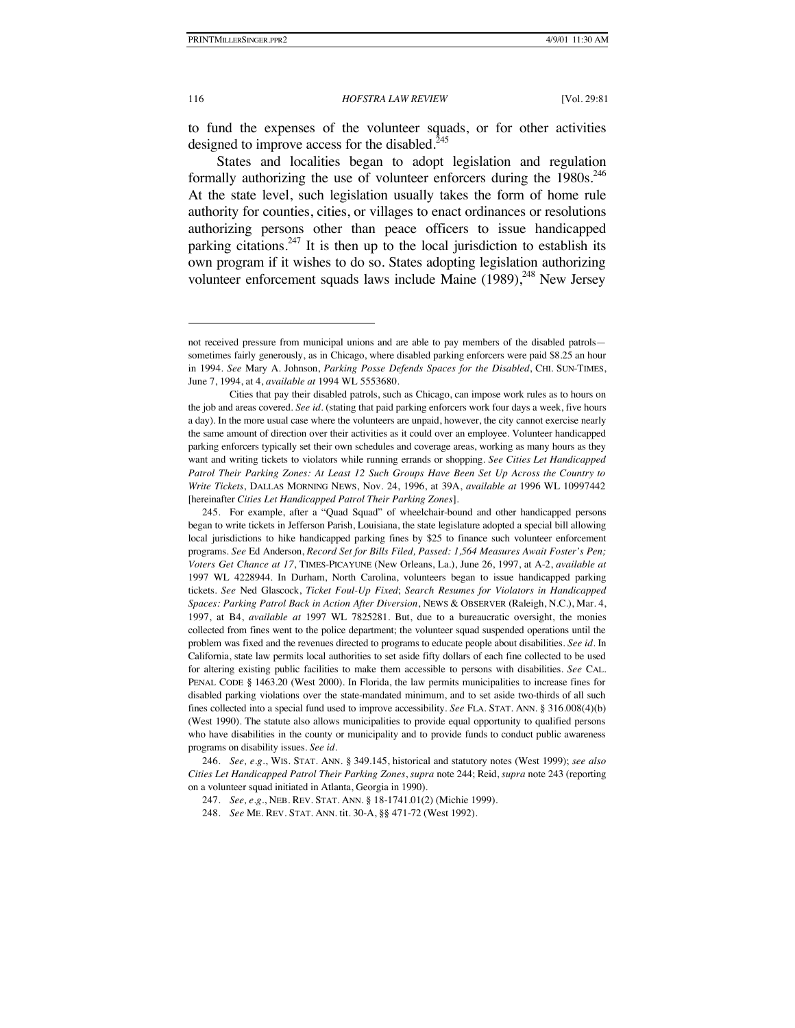#### 116 *HOFSTRA LAW REVIEW* [Vol. 29:81

to fund the expenses of the volunteer squads, or for other activities designed to improve access for the disabled. $245$ 

States and localities began to adopt legislation and regulation formally authorizing the use of volunteer enforcers during the  $1980s$ <sup>246</sup> At the state level, such legislation usually takes the form of home rule authority for counties, cities, or villages to enact ordinances or resolutions authorizing persons other than peace officers to issue handicapped parking citations.<sup>247</sup> It is then up to the local jurisdiction to establish its own program if it wishes to do so. States adopting legislation authorizing volunteer enforcement squads laws include Maine  $(1989)$ ,<sup>248</sup> New Jersey

246. *See, e.g.*, WIS. STAT. ANN. § 349.145, historical and statutory notes (West 1999); *see also Cities Let Handicapped Patrol Their Parking Zones*, *supra* note 244; Reid, *supra* note 243 (reporting on a volunteer squad initiated in Atlanta, Georgia in 1990).

247. *See, e.g.*, NEB. REV. STAT. ANN. § 18-1741.01(2) (Michie 1999).

248. *See* ME. REV. STAT. ANN. tit. 30-A, §§ 471-72 (West 1992).

not received pressure from municipal unions and are able to pay members of the disabled patrols sometimes fairly generously, as in Chicago, where disabled parking enforcers were paid \$8.25 an hour in 1994. *See* Mary A. Johnson, *Parking Posse Defends Spaces for the Disabled*, CHI. SUN-TIMES, June 7, 1994, at 4, *available at* 1994 WL 5553680.

Cities that pay their disabled patrols, such as Chicago, can impose work rules as to hours on the job and areas covered. *See id.* (stating that paid parking enforcers work four days a week, five hours a day). In the more usual case where the volunteers are unpaid, however, the city cannot exercise nearly the same amount of direction over their activities as it could over an employee. Volunteer handicapped parking enforcers typically set their own schedules and coverage areas, working as many hours as they want and writing tickets to violators while running errands or shopping. *See Cities Let Handicapped Patrol Their Parking Zones: At Least 12 Such Groups Have Been Set Up Across the Country to Write Tickets*, DALLAS MORNING NEWS, Nov. 24, 1996, at 39A, *available at* 1996 WL 10997442 [hereinafter *Cities Let Handicapped Patrol Their Parking Zones*].

<sup>245.</sup> For example, after a "Quad Squad" of wheelchair-bound and other handicapped persons began to write tickets in Jefferson Parish, Louisiana, the state legislature adopted a special bill allowing local jurisdictions to hike handicapped parking fines by \$25 to finance such volunteer enforcement programs. *See* Ed Anderson, *Record Set for Bills Filed, Passed: 1,564 Measures Await Foster's Pen; Voters Get Chance at 17*, TIMES-PICAYUNE (New Orleans, La.), June 26, 1997, at A-2, *available at* 1997 WL 4228944. In Durham, North Carolina, volunteers began to issue handicapped parking tickets. *See* Ned Glascock, *Ticket Foul-Up Fixed*; *Search Resumes for Violators in Handicapped Spaces: Parking Patrol Back in Action After Diversion*, NEWS & OBSERVER (Raleigh, N.C.), Mar. 4, 1997, at B4, *available at* 1997 WL 7825281. But, due to a bureaucratic oversight, the monies collected from fines went to the police department; the volunteer squad suspended operations until the problem was fixed and the revenues directed to programs to educate people about disabilities. *See id*. In California, state law permits local authorities to set aside fifty dollars of each fine collected to be used for altering existing public facilities to make them accessible to persons with disabilities. *See* CAL. PENAL CODE § 1463.20 (West 2000). In Florida, the law permits municipalities to increase fines for disabled parking violations over the state-mandated minimum, and to set aside two-thirds of all such fines collected into a special fund used to improve accessibility. *See* FLA. STAT. ANN. § 316.008(4)(b) (West 1990). The statute also allows municipalities to provide equal opportunity to qualified persons who have disabilities in the county or municipality and to provide funds to conduct public awareness programs on disability issues. *See id.*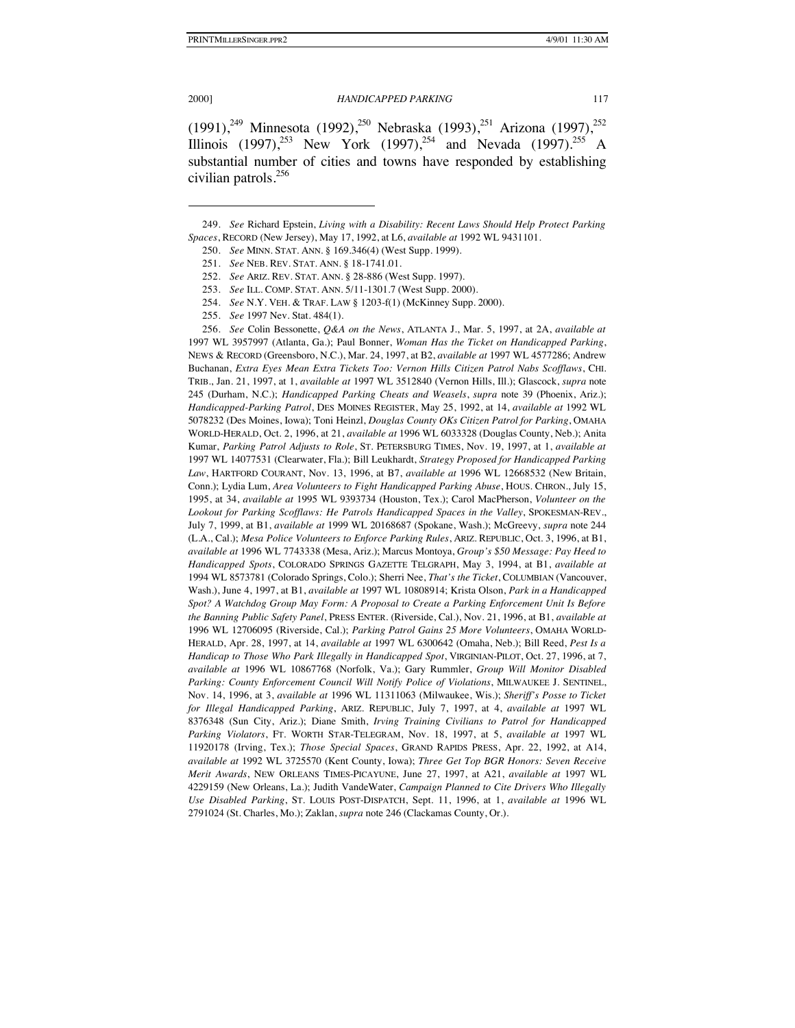#### 2000] *HANDICAPPED PARKING* 117

 $(1991)$ ,<sup>249</sup> Minnesota  $(1992)$ ,<sup>250</sup> Nebraska  $(1993)$ ,<sup>251</sup> Arizona  $(1997)$ ,<sup>252</sup> Illinois (1997),<sup>253</sup> New York (1997),<sup>254</sup> and Nevada (1997).<sup>255</sup> A substantial number of cities and towns have responded by establishing civilian patrols.<sup>256</sup>

256. *See* Colin Bessonette, *Q&A on the News*, ATLANTA J., Mar. 5, 1997, at 2A, *available at*  1997 WL 3957997 (Atlanta, Ga.); Paul Bonner, *Woman Has the Ticket on Handicapped Parking*, NEWS & RECORD (Greensboro, N.C.), Mar. 24, 1997, at B2, *available at* 1997 WL 4577286; Andrew Buchanan, *Extra Eyes Mean Extra Tickets Too: Vernon Hills Citizen Patrol Nabs Scofflaws*, CHI. TRIB., Jan. 21, 1997, at 1, *available at* 1997 WL 3512840 (Vernon Hills, Ill.); Glascock, *supra* note 245 (Durham, N.C.); *Handicapped Parking Cheats and Weasels*, *supra* note 39 (Phoenix, Ariz.); *Handicapped-Parking Patrol*, DES MOINES REGISTER, May 25, 1992, at 14, *available at* 1992 WL 5078232 (Des Moines, Iowa); Toni Heinzl, *Douglas County OKs Citizen Patrol for Parking*, OMAHA WORLD-HERALD, Oct. 2, 1996, at 21, *available at* 1996 WL 6033328 (Douglas County, Neb.); Anita Kumar, *Parking Patrol Adjusts to Role*, ST. PETERSBURG TIMES, Nov. 19, 1997, at 1, *available at*  1997 WL 14077531 (Clearwater, Fla.); Bill Leukhardt, *Strategy Proposed for Handicapped Parking Law*, HARTFORD COURANT, Nov. 13, 1996, at B7, *available at* 1996 WL 12668532 (New Britain, Conn.); Lydia Lum, *Area Volunteers to Fight Handicapped Parking Abuse*, HOUS. CHRON., July 15, 1995, at 34, *available at* 1995 WL 9393734 (Houston, Tex.); Carol MacPherson, *Volunteer on the Lookout for Parking Scofflaws: He Patrols Handicapped Spaces in the Valley*, SPOKESMAN-REV., July 7, 1999, at B1, *available at* 1999 WL 20168687 (Spokane, Wash.); McGreevy, *supra* note 244 (L.A., Cal.); *Mesa Police Volunteers to Enforce Parking Rules*, ARIZ. REPUBLIC, Oct. 3, 1996, at B1, *available at* 1996 WL 7743338 (Mesa, Ariz.); Marcus Montoya, *Group's \$50 Message: Pay Heed to Handicapped Spots*, COLORADO SPRINGS GAZETTE TELGRAPH, May 3, 1994, at B1, *available at* 1994 WL 8573781 (Colorado Springs, Colo.); Sherri Nee, *That's the Ticket*, COLUMBIAN (Vancouver, Wash.), June 4, 1997, at B1, *available at* 1997 WL 10808914; Krista Olson, *Park in a Handicapped Spot? A Watchdog Group May Form: A Proposal to Create a Parking Enforcement Unit Is Before the Banning Public Safety Panel*, PRESS ENTER. (Riverside, Cal.), Nov. 21, 1996, at B1, *available at*  1996 WL 12706095 (Riverside, Cal.); *Parking Patrol Gains 25 More Volunteers*, OMAHA WORLD-HERALD, Apr. 28, 1997, at 14, *available at* 1997 WL 6300642 (Omaha, Neb.); Bill Reed, *Pest Is a Handicap to Those Who Park Illegally in Handicapped Spot*, VIRGINIAN-PILOT, Oct. 27, 1996, at 7, *available at* 1996 WL 10867768 (Norfolk, Va.); Gary Rummler, *Group Will Monitor Disabled Parking: County Enforcement Council Will Notify Police of Violations*, MILWAUKEE J. SENTINEL, Nov. 14, 1996, at 3, *available at* 1996 WL 11311063 (Milwaukee, Wis.); *Sheriff's Posse to Ticket for Illegal Handicapped Parking*, ARIZ. REPUBLIC, July 7, 1997, at 4, *available at* 1997 WL 8376348 (Sun City, Ariz.); Diane Smith, *Irving Training Civilians to Patrol for Handicapped Parking Violators*, FT. WORTH STAR-TELEGRAM, Nov. 18, 1997, at 5, *available at* 1997 WL 11920178 (Irving, Tex.); *Those Special Spaces*, GRAND RAPIDS PRESS, Apr. 22, 1992, at A14, *available at* 1992 WL 3725570 (Kent County, Iowa); *Three Get Top BGR Honors: Seven Receive Merit Awards*, NEW ORLEANS TIMES-PICAYUNE, June 27, 1997, at A21, *available at* 1997 WL 4229159 (New Orleans, La.); Judith VandeWater, *Campaign Planned to Cite Drivers Who Illegally Use Disabled Parking*, ST. LOUIS POST-DISPATCH, Sept. 11, 1996, at 1, *available at* 1996 WL 2791024 (St. Charles, Mo.); Zaklan, *supra* note 246 (Clackamas County, Or.).

<sup>249.</sup> *See* Richard Epstein, *Living with a Disability: Recent Laws Should Help Protect Parking Spaces*, RECORD (New Jersey), May 17, 1992, at L6, *available at* 1992 WL 9431101.

<sup>250.</sup> *See* MINN. STAT. ANN. § 169.346(4) (West Supp. 1999).

<sup>251.</sup> *See* NEB. REV. STAT. ANN. § 18-1741.01.

<sup>252.</sup> *See* ARIZ. REV. STAT. ANN. § 28-886 (West Supp. 1997).

<sup>253.</sup> *See* ILL. COMP. STAT. ANN. 5/11-1301.7 (West Supp. 2000).

<sup>254.</sup> *See* N.Y. VEH. & TRAF. LAW § 1203-f(1) (McKinney Supp. 2000).

<sup>255.</sup> *See* 1997 Nev. Stat. 484(1).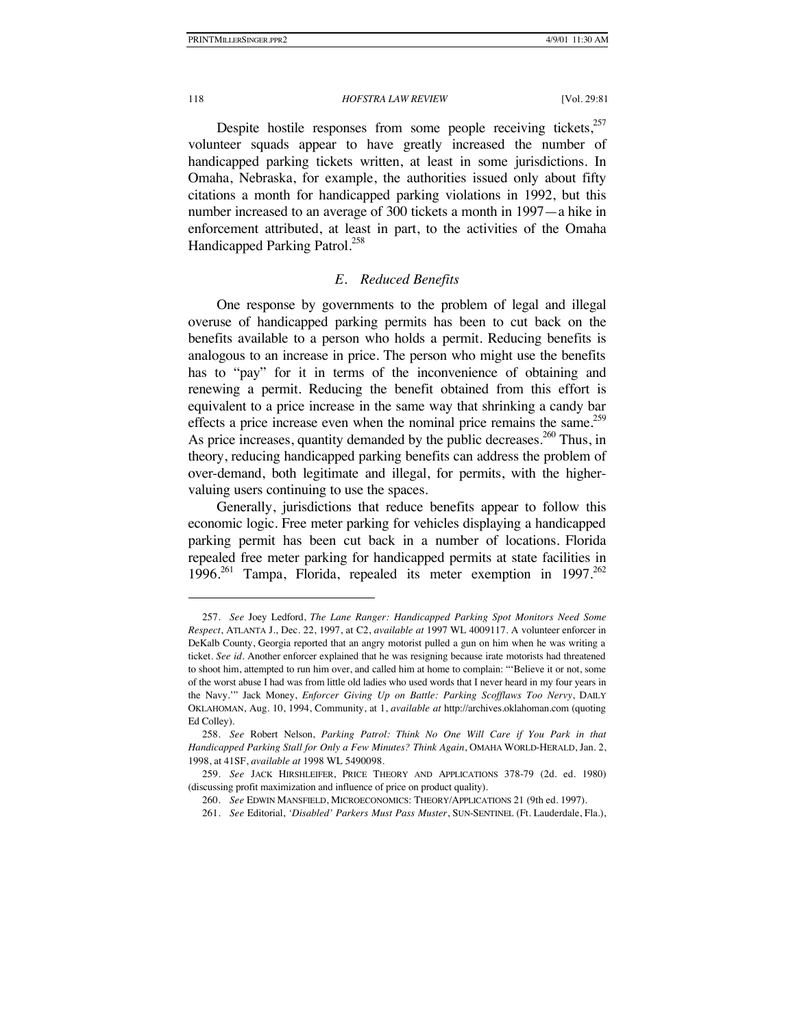Despite hostile responses from some people receiving tickets.<sup>257</sup> volunteer squads appear to have greatly increased the number of handicapped parking tickets written, at least in some jurisdictions. In Omaha, Nebraska, for example, the authorities issued only about fifty citations a month for handicapped parking violations in 1992, but this number increased to an average of 300 tickets a month in 1997—a hike in enforcement attributed, at least in part, to the activities of the Omaha Handicapped Parking Patrol.<sup>258</sup>

## *E. Reduced Benefits*

One response by governments to the problem of legal and illegal overuse of handicapped parking permits has been to cut back on the benefits available to a person who holds a permit. Reducing benefits is analogous to an increase in price. The person who might use the benefits has to "pay" for it in terms of the inconvenience of obtaining and renewing a permit. Reducing the benefit obtained from this effort is equivalent to a price increase in the same way that shrinking a candy bar effects a price increase even when the nominal price remains the same.<sup>259</sup> As price increases, quantity demanded by the public decreases.<sup>260</sup> Thus, in theory, reducing handicapped parking benefits can address the problem of over-demand, both legitimate and illegal, for permits, with the highervaluing users continuing to use the spaces.

Generally, jurisdictions that reduce benefits appear to follow this economic logic. Free meter parking for vehicles displaying a handicapped parking permit has been cut back in a number of locations. Florida repealed free meter parking for handicapped permits at state facilities in 1996.<sup>261</sup> Tampa, Florida, repealed its meter exemption in 1997.<sup>262</sup>

<sup>257.</sup> *See* Joey Ledford, *The Lane Ranger: Handicapped Parking Spot Monitors Need Some Respect*, ATLANTA J., Dec. 22, 1997, at C2, *available at* 1997 WL 4009117. A volunteer enforcer in DeKalb County, Georgia reported that an angry motorist pulled a gun on him when he was writing a ticket. *See id.* Another enforcer explained that he was resigning because irate motorists had threatened to shoot him, attempted to run him over, and called him at home to complain: "'Believe it or not, some of the worst abuse I had was from little old ladies who used words that I never heard in my four years in the Navy.'" Jack Money, *Enforcer Giving Up on Battle: Parking Scofflaws Too Nervy*, DAILY OKLAHOMAN, Aug. 10, 1994, Community, at 1, *available at* http://archives.oklahoman.com (quoting Ed Colley).

<sup>258.</sup> *See* Robert Nelson, *Parking Patrol: Think No One Will Care if You Park in that Handicapped Parking Stall for Only a Few Minutes? Think Again*, OMAHA WORLD-HERALD, Jan. 2, 1998, at 41SF, *available at* 1998 WL 5490098.

<sup>259.</sup> *See* JACK HIRSHLEIFER, PRICE THEORY AND APPLICATIONS 378-79 (2d. ed. 1980) (discussing profit maximization and influence of price on product quality).

<sup>260.</sup> *See* EDWIN MANSFIELD, MICROECONOMICS: THEORY/APPLICATIONS 21 (9th ed. 1997).

<sup>261.</sup> *See* Editorial, *'Disabled' Parkers Must Pass Muster*, SUN-SENTINEL (Ft. Lauderdale, Fla.),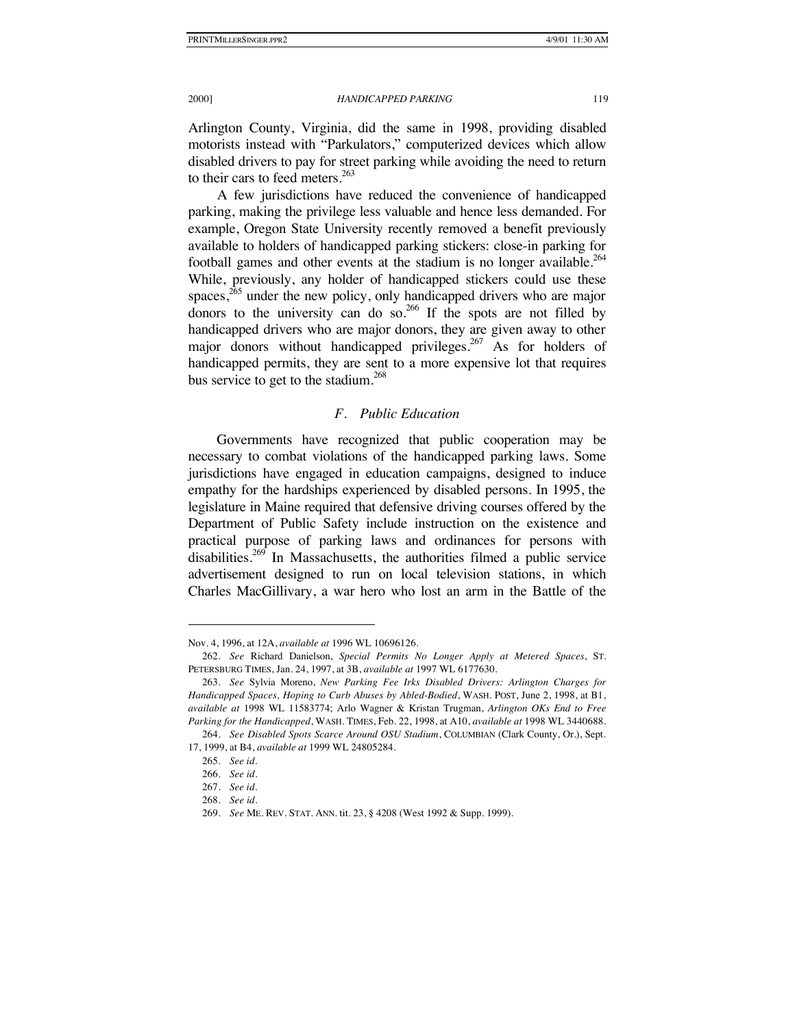Arlington County, Virginia, did the same in 1998, providing disabled motorists instead with "Parkulators," computerized devices which allow disabled drivers to pay for street parking while avoiding the need to return to their cars to feed meters. $263$ 

A few jurisdictions have reduced the convenience of handicapped parking, making the privilege less valuable and hence less demanded. For example, Oregon State University recently removed a benefit previously available to holders of handicapped parking stickers: close-in parking for football games and other events at the stadium is no longer available.<sup>264</sup> While, previously, any holder of handicapped stickers could use these spaces, $265$  under the new policy, only handicapped drivers who are major donors to the university can do so.<sup>266</sup> If the spots are not filled by handicapped drivers who are major donors, they are given away to other major donors without handicapped privileges.<sup>267</sup> As for holders of handicapped permits, they are sent to a more expensive lot that requires bus service to get to the stadium.<sup>268</sup>

### *F. Public Education*

Governments have recognized that public cooperation may be necessary to combat violations of the handicapped parking laws. Some jurisdictions have engaged in education campaigns, designed to induce empathy for the hardships experienced by disabled persons. In 1995, the legislature in Maine required that defensive driving courses offered by the Department of Public Safety include instruction on the existence and practical purpose of parking laws and ordinances for persons with disabilities.<sup>269</sup> In Massachusetts, the authorities filmed a public service advertisement designed to run on local television stations, in which Charles MacGillivary, a war hero who lost an arm in the Battle of the

Nov. 4, 1996, at 12A, *available at* 1996 WL 10696126.

<sup>262.</sup> *See* Richard Danielson, *Special Permits No Longer Apply at Metered Spaces*, ST. PETERSBURG TIMES, Jan. 24, 1997, at 3B, *available at* 1997 WL 6177630.

<sup>263.</sup> *See* Sylvia Moreno, *New Parking Fee Irks Disabled Drivers: Arlington Charges for Handicapped Spaces, Hoping to Curb Abuses by Abled-Bodied*, WASH. POST, June 2, 1998, at B1, *available at* 1998 WL 11583774; Arlo Wagner & Kristan Trugman, *Arlington OKs End to Free Parking for the Handicapped*, WASH. TIMES, Feb. 22, 1998, at A10, *available at* 1998 WL 3440688.

<sup>264.</sup> *See Disabled Spots Scarce Around OSU Stadium*, COLUMBIAN (Clark County, Or.), Sept. 17, 1999, at B4, *available at* 1999 WL 24805284.

<sup>265.</sup> *See id.*

<sup>266.</sup> *See id*.

<sup>267.</sup> *See id.*

<sup>268.</sup> *See id*.

<sup>269.</sup> *See* ME. REV. STAT. ANN. tit. 23, § 4208 (West 1992 & Supp. 1999).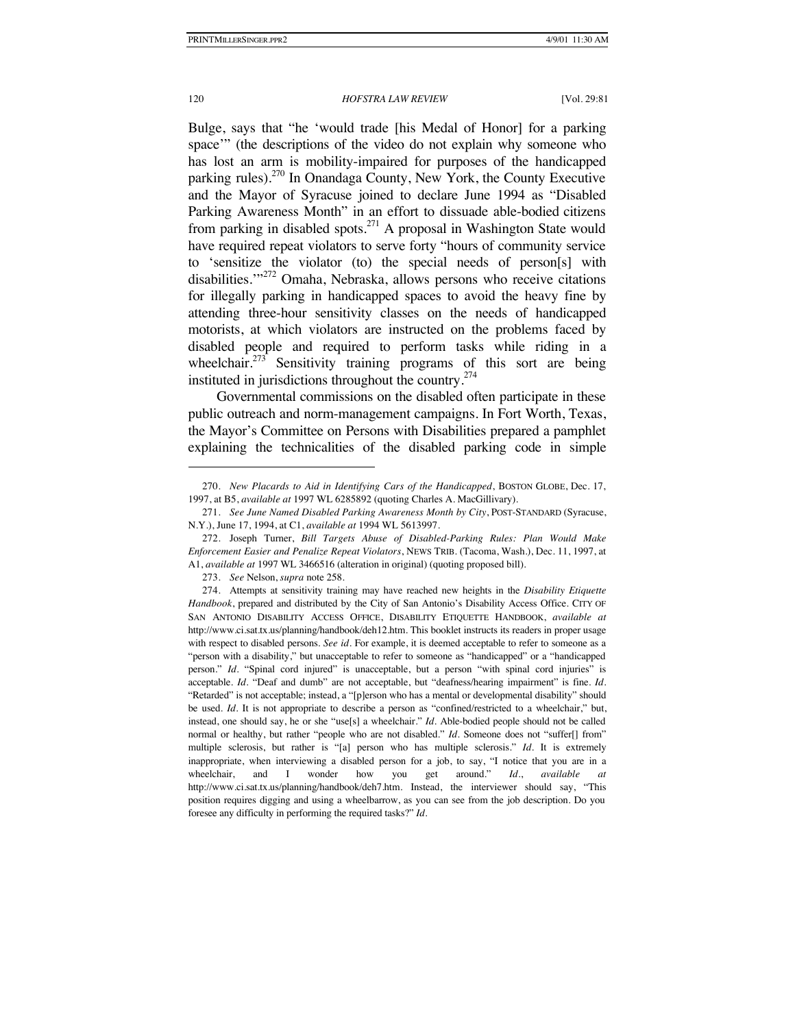Bulge, says that "he 'would trade [his Medal of Honor] for a parking space'" (the descriptions of the video do not explain why someone who has lost an arm is mobility-impaired for purposes of the handicapped parking rules).<sup>270</sup> In Onandaga County, New York, the County Executive and the Mayor of Syracuse joined to declare June 1994 as "Disabled Parking Awareness Month" in an effort to dissuade able-bodied citizens from parking in disabled spots. $271$  A proposal in Washington State would have required repeat violators to serve forty "hours of community service to 'sensitize the violator (to) the special needs of person[s] with disabilities."<sup>272</sup> Omaha, Nebraska, allows persons who receive citations for illegally parking in handicapped spaces to avoid the heavy fine by attending three-hour sensitivity classes on the needs of handicapped motorists, at which violators are instructed on the problems faced by disabled people and required to perform tasks while riding in a wheelchair. $273$  Sensitivity training programs of this sort are being instituted in jurisdictions throughout the country.<sup>274</sup>

Governmental commissions on the disabled often participate in these public outreach and norm-management campaigns. In Fort Worth, Texas, the Mayor's Committee on Persons with Disabilities prepared a pamphlet explaining the technicalities of the disabled parking code in simple

<sup>270.</sup> *New Placards to Aid in Identifying Cars of the Handicapped*, BOSTON GLOBE, Dec. 17, 1997, at B5, *available at* 1997 WL 6285892 (quoting Charles A. MacGillivary).

<sup>271.</sup> *See June Named Disabled Parking Awareness Month by City*, POST-STANDARD (Syracuse, N.Y.), June 17, 1994, at C1, *available at* 1994 WL 5613997.

<sup>272.</sup> Joseph Turner, *Bill Targets Abuse of Disabled-Parking Rules: Plan Would Make Enforcement Easier and Penalize Repeat Violators*, NEWS TRIB. (Tacoma, Wash.), Dec. 11, 1997, at A1, *available at* 1997 WL 3466516 (alteration in original) (quoting proposed bill).

<sup>273.</sup> *See* Nelson, *supra* note 258.

<sup>274.</sup> Attempts at sensitivity training may have reached new heights in the *Disability Etiquette Handbook*, prepared and distributed by the City of San Antonio's Disability Access Office. CITY OF SAN ANTONIO DISABILITY ACCESS OFFICE, DISABILITY ETIQUETTE HANDBOOK, *available at* http://www.ci.sat.tx.us/planning/handbook/deh12.htm. This booklet instructs its readers in proper usage with respect to disabled persons. *See id*. For example, it is deemed acceptable to refer to someone as a "person with a disability," but unacceptable to refer to someone as "handicapped" or a "handicapped person." *Id.* "Spinal cord injured" is unacceptable, but a person "with spinal cord injuries" is acceptable. *Id.* "Deaf and dumb" are not acceptable, but "deafness/hearing impairment" is fine. *Id.* "Retarded" is not acceptable; instead, a "[p]erson who has a mental or developmental disability" should be used. *Id.* It is not appropriate to describe a person as "confined/restricted to a wheelchair," but, instead, one should say, he or she "use[s] a wheelchair." *Id.* Able-bodied people should not be called normal or healthy, but rather "people who are not disabled." *Id*. Someone does not "suffer[] from" multiple sclerosis, but rather is "[a] person who has multiple sclerosis." *Id.* It is extremely inappropriate, when interviewing a disabled person for a job, to say, "I notice that you are in a wheelchair, and I wonder how you get around." *Id.*, *available at* http://www.ci.sat.tx.us/planning/handbook/deh7.htm. Instead, the interviewer should say, "This position requires digging and using a wheelbarrow, as you can see from the job description. Do you foresee any difficulty in performing the required tasks?" *Id.*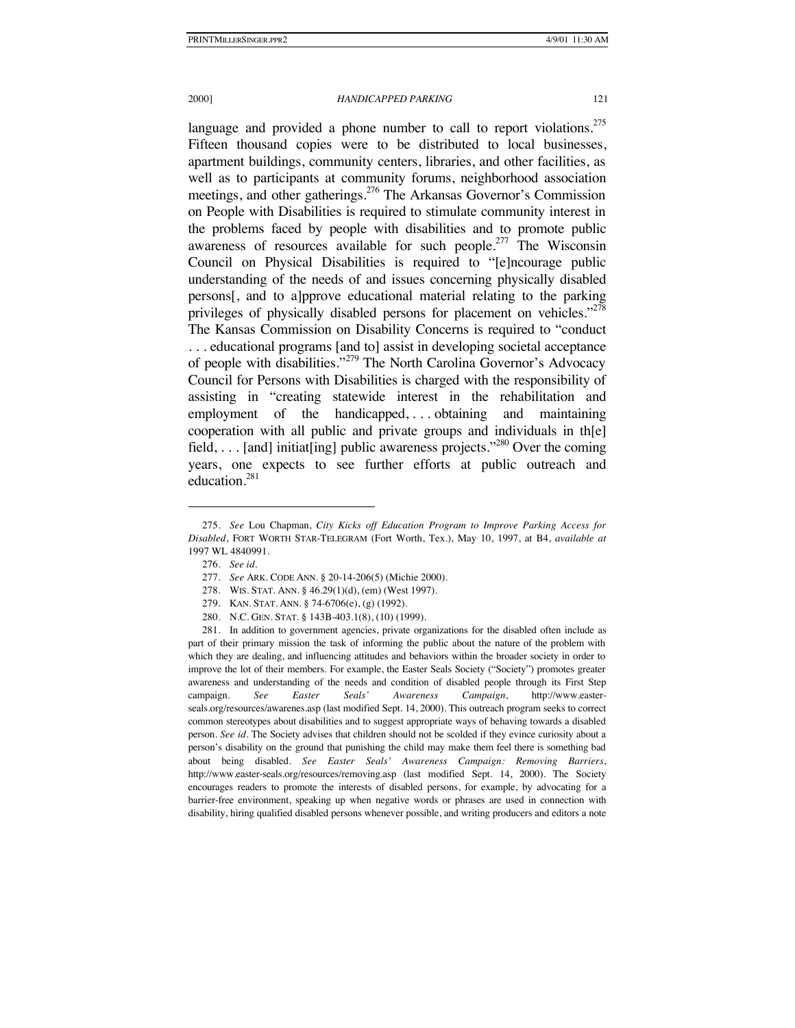language and provided a phone number to call to report violations.<sup>275</sup> Fifteen thousand copies were to be distributed to local businesses, apartment buildings, community centers, libraries, and other facilities, as well as to participants at community forums, neighborhood association meetings, and other gatherings.276 The Arkansas Governor's Commission on People with Disabilities is required to stimulate community interest in the problems faced by people with disabilities and to promote public awareness of resources available for such people.<sup>277</sup> The Wisconsin Council on Physical Disabilities is required to "[e]ncourage public understanding of the needs of and issues concerning physically disabled persons[, and to a]pprove educational material relating to the parking privileges of physically disabled persons for placement on vehicles."<sup>278</sup> The Kansas Commission on Disability Concerns is required to "conduct . . . educational programs [and to] assist in developing societal acceptance of people with disabilities."<sup>279</sup> The North Carolina Governor's Advocacy Council for Persons with Disabilities is charged with the responsibility of assisting in "creating statewide interest in the rehabilitation and employment of the handicapped, . . . obtaining and maintaining cooperation with all public and private groups and individuals in th[e] field, . . . [and] initiat[ing] public awareness projects."<sup>280</sup> Over the coming years, one expects to see further efforts at public outreach and education.<sup>281</sup>

<sup>275.</sup> *See* Lou Chapman, *City Kicks off Education Program to Improve Parking Access for Disabled*, FORT WORTH STAR-TELEGRAM (Fort Worth, Tex.), May 10, 1997, at B4, *available at* 1997 WL 4840991.

<sup>276.</sup> *See id.*

<sup>277.</sup> *See* ARK. CODE ANN. § 20-14-206(5) (Michie 2000).

<sup>278.</sup> WIS. STAT. ANN. § 46.29(1)(d), (em) (West 1997).

<sup>279.</sup> KAN. STAT. ANN. § 74-6706(e), (g) (1992).

<sup>280.</sup> N.C. GEN. STAT. § 143B-403.1(8), (10) (1999).

<sup>281.</sup> In addition to government agencies, private organizations for the disabled often include as part of their primary mission the task of informing the public about the nature of the problem with which they are dealing, and influencing attitudes and behaviors within the broader society in order to improve the lot of their members. For example, the Easter Seals Society ("Society") promotes greater awareness and understanding of the needs and condition of disabled people through its First Step campaign. *See Easter Seals' Awareness Campaign*, http://www.easterseals.org/resources/awarenes.asp (last modified Sept. 14, 2000). This outreach program seeks to correct common stereotypes about disabilities and to suggest appropriate ways of behaving towards a disabled person. *See id.* The Society advises that children should not be scolded if they evince curiosity about a person's disability on the ground that punishing the child may make them feel there is something bad about being disabled. *See Easter Seals' Awareness Campaign: Removing Barriers*, http://www.easter-seals.org/resources/removing.asp (last modified Sept. 14, 2000). The Society encourages readers to promote the interests of disabled persons, for example, by advocating for a barrier-free environment, speaking up when negative words or phrases are used in connection with disability, hiring qualified disabled persons whenever possible, and writing producers and editors a note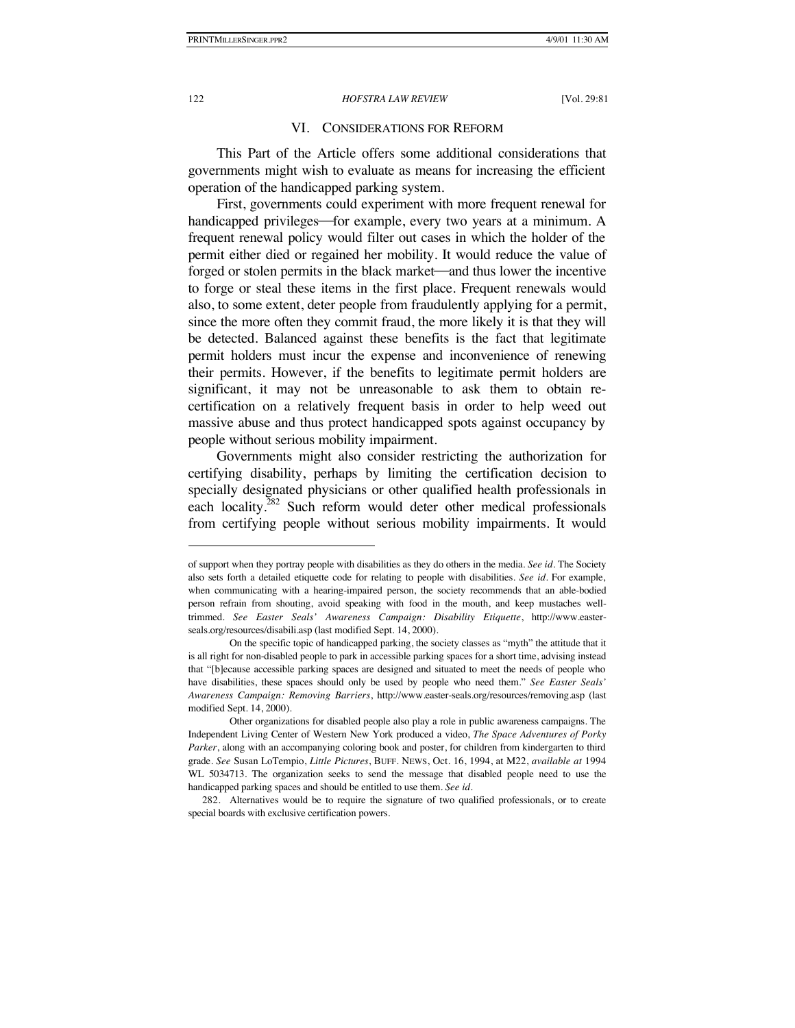### VI. CONSIDERATIONS FOR REFORM

This Part of the Article offers some additional considerations that governments might wish to evaluate as means for increasing the efficient operation of the handicapped parking system.

First, governments could experiment with more frequent renewal for handicapped privileges—for example, every two years at a minimum. A frequent renewal policy would filter out cases in which the holder of the permit either died or regained her mobility. It would reduce the value of forged or stolen permits in the black market—and thus lower the incentive to forge or steal these items in the first place. Frequent renewals would also, to some extent, deter people from fraudulently applying for a permit, since the more often they commit fraud, the more likely it is that they will be detected. Balanced against these benefits is the fact that legitimate permit holders must incur the expense and inconvenience of renewing their permits. However, if the benefits to legitimate permit holders are significant, it may not be unreasonable to ask them to obtain recertification on a relatively frequent basis in order to help weed out massive abuse and thus protect handicapped spots against occupancy by people without serious mobility impairment.

Governments might also consider restricting the authorization for certifying disability, perhaps by limiting the certification decision to specially designated physicians or other qualified health professionals in each locality.<sup>282</sup> Such reform would deter other medical professionals from certifying people without serious mobility impairments. It would

of support when they portray people with disabilities as they do others in the media. *See id.* The Society also sets forth a detailed etiquette code for relating to people with disabilities. *See id.* For example, when communicating with a hearing-impaired person, the society recommends that an able-bodied person refrain from shouting, avoid speaking with food in the mouth, and keep mustaches welltrimmed. *See Easter Seals' Awareness Campaign: Disability Etiquette*, http://www.easterseals.org/resources/disabili.asp (last modified Sept. 14, 2000).

On the specific topic of handicapped parking, the society classes as "myth" the attitude that it is all right for non-disabled people to park in accessible parking spaces for a short time, advising instead that "[b]ecause accessible parking spaces are designed and situated to meet the needs of people who have disabilities, these spaces should only be used by people who need them." *See Easter Seals' Awareness Campaign: Removing Barriers*, http://www.easter-seals.org/resources/removing.asp (last modified Sept. 14, 2000).

Other organizations for disabled people also play a role in public awareness campaigns. The Independent Living Center of Western New York produced a video, *The Space Adventures of Porky Parker*, along with an accompanying coloring book and poster, for children from kindergarten to third grade. *See* Susan LoTempio, *Little Pictures*, BUFF. NEWS, Oct. 16, 1994, at M22, *available at* 1994 WL 5034713. The organization seeks to send the message that disabled people need to use the handicapped parking spaces and should be entitled to use them. *See id.*

<sup>282.</sup> Alternatives would be to require the signature of two qualified professionals, or to create special boards with exclusive certification powers.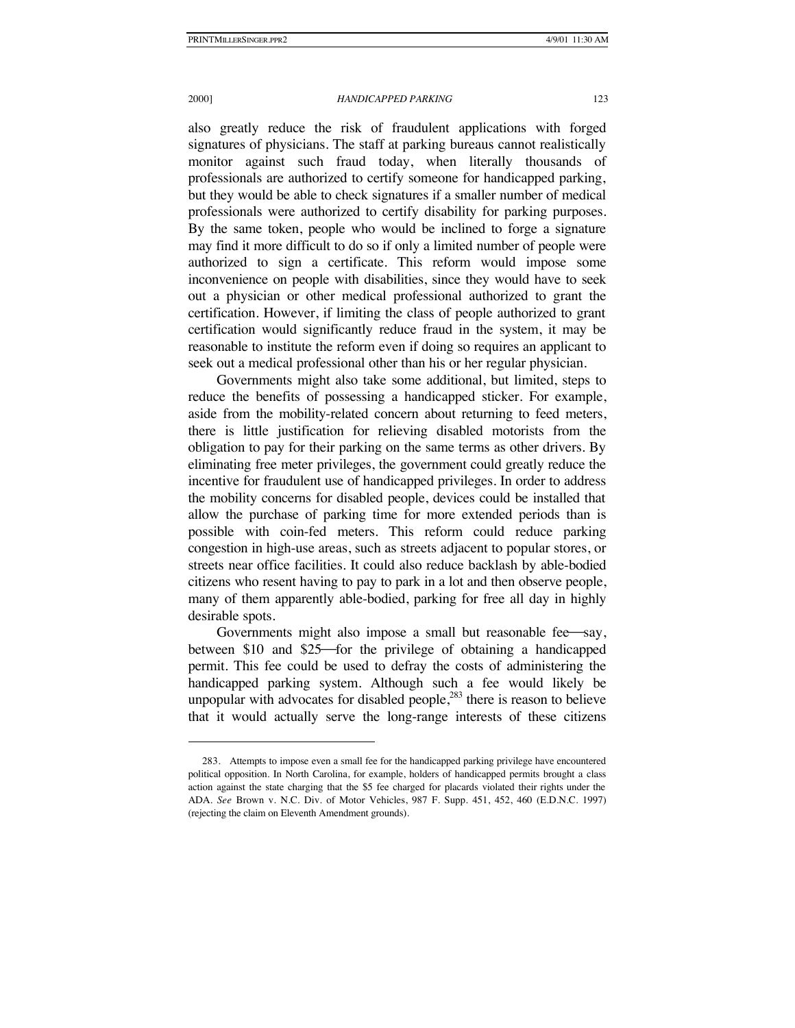#### 2000] *HANDICAPPED PARKING* 123

also greatly reduce the risk of fraudulent applications with forged signatures of physicians. The staff at parking bureaus cannot realistically monitor against such fraud today, when literally thousands of professionals are authorized to certify someone for handicapped parking, but they would be able to check signatures if a smaller number of medical professionals were authorized to certify disability for parking purposes. By the same token, people who would be inclined to forge a signature may find it more difficult to do so if only a limited number of people were authorized to sign a certificate. This reform would impose some inconvenience on people with disabilities, since they would have to seek out a physician or other medical professional authorized to grant the certification. However, if limiting the class of people authorized to grant certification would significantly reduce fraud in the system, it may be reasonable to institute the reform even if doing so requires an applicant to seek out a medical professional other than his or her regular physician.

Governments might also take some additional, but limited, steps to reduce the benefits of possessing a handicapped sticker. For example, aside from the mobility-related concern about returning to feed meters, there is little justification for relieving disabled motorists from the obligation to pay for their parking on the same terms as other drivers. By eliminating free meter privileges, the government could greatly reduce the incentive for fraudulent use of handicapped privileges. In order to address the mobility concerns for disabled people, devices could be installed that allow the purchase of parking time for more extended periods than is possible with coin-fed meters. This reform could reduce parking congestion in high-use areas, such as streets adjacent to popular stores, or streets near office facilities. It could also reduce backlash by able-bodied citizens who resent having to pay to park in a lot and then observe people, many of them apparently able-bodied, parking for free all day in highly desirable spots.

Governments might also impose a small but reasonable fee say, between \$10 and \$25—for the privilege of obtaining a handicapped permit. This fee could be used to defray the costs of administering the handicapped parking system. Although such a fee would likely be unpopular with advocates for disabled people, $283$  there is reason to believe that it would actually serve the long-range interests of these citizens

<sup>283.</sup> Attempts to impose even a small fee for the handicapped parking privilege have encountered political opposition. In North Carolina, for example, holders of handicapped permits brought a class action against the state charging that the \$5 fee charged for placards violated their rights under the ADA. *See* Brown v. N.C. Div. of Motor Vehicles, 987 F. Supp. 451, 452, 460 (E.D.N.C. 1997) (rejecting the claim on Eleventh Amendment grounds).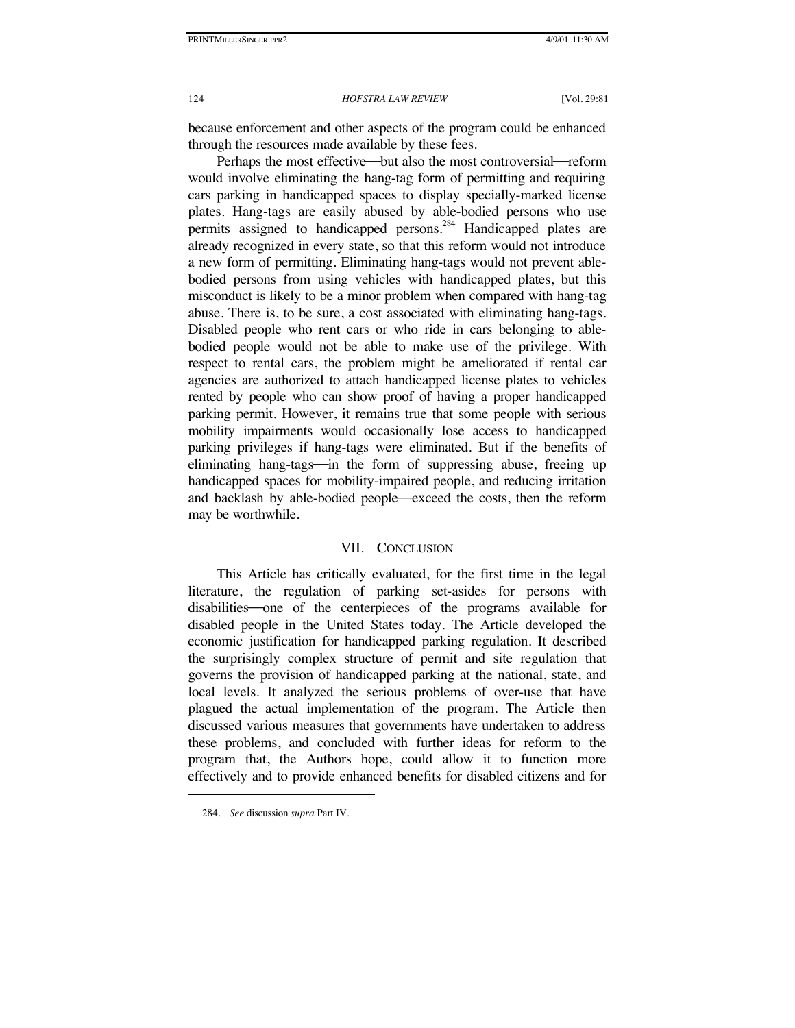because enforcement and other aspects of the program could be enhanced through the resources made available by these fees.

Perhaps the most effective—but also the most controversial—reform would involve eliminating the hang-tag form of permitting and requiring cars parking in handicapped spaces to display specially-marked license plates. Hang-tags are easily abused by able-bodied persons who use permits assigned to handicapped persons.<sup>284</sup> Handicapped plates are already recognized in every state, so that this reform would not introduce a new form of permitting. Eliminating hang-tags would not prevent ablebodied persons from using vehicles with handicapped plates, but this misconduct is likely to be a minor problem when compared with hang-tag abuse. There is, to be sure, a cost associated with eliminating hang-tags. Disabled people who rent cars or who ride in cars belonging to ablebodied people would not be able to make use of the privilege. With respect to rental cars, the problem might be ameliorated if rental car agencies are authorized to attach handicapped license plates to vehicles rented by people who can show proof of having a proper handicapped parking permit. However, it remains true that some people with serious mobility impairments would occasionally lose access to handicapped parking privileges if hang-tags were eliminated. But if the benefits of eliminating hang-tags—in the form of suppressing abuse, freeing up handicapped spaces for mobility-impaired people, and reducing irritation and backlash by able-bodied people—exceed the costs, then the reform may be worthwhile.

### VII. CONCLUSION

This Article has critically evaluated, for the first time in the legal literature, the regulation of parking set-asides for persons with disabilities one of the centerpieces of the programs available for disabled people in the United States today. The Article developed the economic justification for handicapped parking regulation. It described the surprisingly complex structure of permit and site regulation that governs the provision of handicapped parking at the national, state, and local levels. It analyzed the serious problems of over-use that have plagued the actual implementation of the program. The Article then discussed various measures that governments have undertaken to address these problems, and concluded with further ideas for reform to the program that, the Authors hope, could allow it to function more effectively and to provide enhanced benefits for disabled citizens and for

<sup>284.</sup> *See* discussion *supra* Part IV.